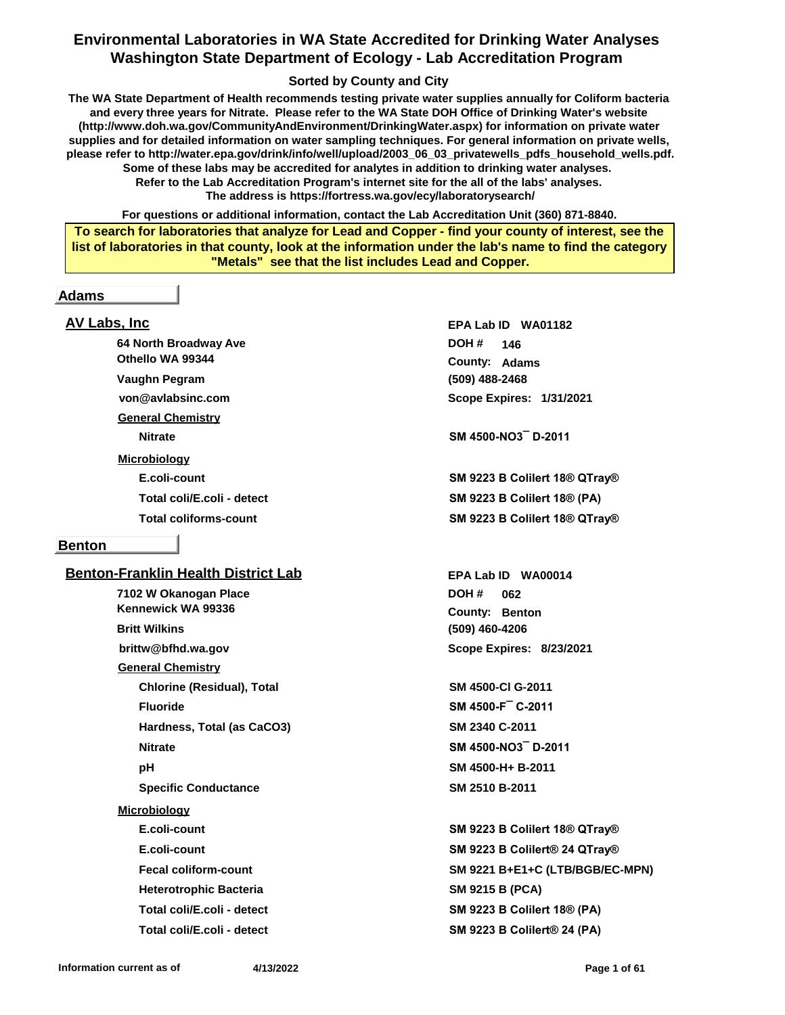## **Environmental Laboratories in WA State Accredited for Drinking Water Analyses Washington State Department of Ecology - Lab Accreditation Program**

### **Sorted by County and City**

**The WA State Department of Health recommends testing private water supplies annually for Coliform bacteria and every three years for Nitrate. Please refer to the WA State DOH Office of Drinking Water's website (http://www.doh.wa.gov/CommunityAndEnvironment/DrinkingWater.aspx) for information on private water supplies and for detailed information on water sampling techniques. For general information on private wells, please refer to http://water.epa.gov/drink/info/well/upload/2003\_06\_03\_privatewells\_pdfs\_household\_wells.pdf. Some of these labs may be accredited for analytes in addition to drinking water analyses. Refer to the Lab Accreditation Program's internet site for the all of the labs' analyses. The address is https://fortress.wa.gov/ecy/laboratorysearch/**

**For questions or additional information, contact the Lab Accreditation Unit (360) 871-8840.**

**To search for laboratories that analyze for Lead and Copper - find your county of interest, see the list of laboratories in that county, look at the information under the lab's name to find the category "Metals" see that the list includes Lead and Copper.**

#### **Adams**

## **AV Labs, Inc**

**64 North Broadway Ave von@avlabsinc.com Othello WA 99344 Vaughn Pegram General Chemistry**

**Microbiology**

#### **Benton**

#### **Benton-Franklin Health District Lab**

**7102 W Okanogan Place brittw@bfhd.wa.gov Kennewick WA 99336 Britt Wilkins General Chemistry Chlorine (Residual), Total SM 4500-Cl G-2011 Fluoride SM 4500-F¯ C-2011 Hardness, Total (as CaCO3) SM 2340 C-2011 Nitrate SM 4500-NO3¯ D-2011 pH SM 4500-H+ B-2011 Specific Conductance SM 2510 B-2011 Microbiology Heterotrophic Bacteria SM 9215 B (PCA) Total coli/E.coli - detect SM 9223 B Colilert 18® (PA)**

**(509) 488-2468 Adams County: 146 DOH # Scope Expires: 1/31/2021 EPA Lab ID WA01182**

**Nitrate SM 4500-NO3¯ D-2011**

**E.coli-count SM 9223 B Colilert 18® QTray® Total coli/E.coli - detect SM 9223 B Colilert 18® (PA) Total coliforms-count SM 9223 B Colilert 18® QTray®**

> **(509) 460-4206** County: Benton **062 DOH # Scope Expires: 8/23/2021 EPA Lab ID WA00014**

**E.coli-count SM 9223 B Colilert 18® QTray® E.coli-count SM 9223 B Colilert® 24 QTray® Fecal coliform-count SM 9221 B+E1+C (LTB/BGB/EC-MPN) Total coli/E.coli - detect SM 9223 B Colilert® 24 (PA)**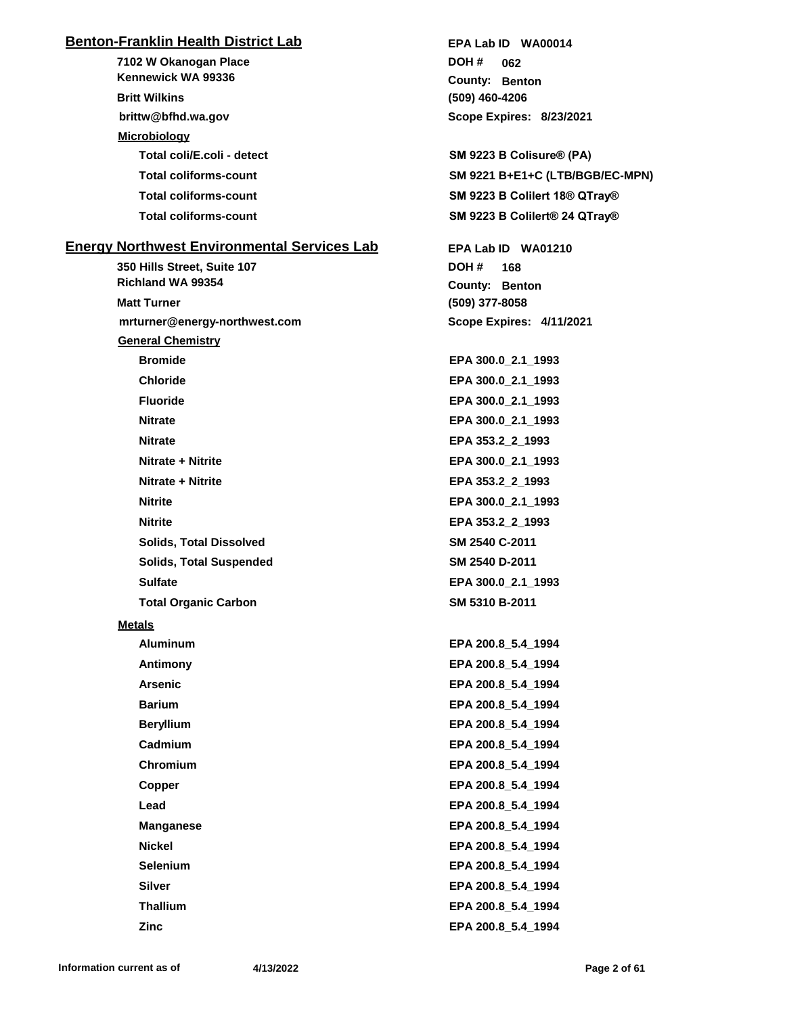## **Benton-Franklin Health District Lab**

**7102 W Okanogan Place brittw@bfhd.wa.gov Kennewick WA 99336 Britt Wilkins Microbiology Total coli/E.coli - detect SM 9223 B Colisure® (PA)**

## **Energy Northwest Environmental Services Lab**

**350 Hills Street, Suite 107 mrturner@energy-northwest.com Richland WA 99354 Matt Turner General Chemistry Bromide EPA 300.0\_2.1\_1993 Chloride EPA 300.0\_2.1\_1993 Fluoride EPA 300.0\_2.1\_1993 Nitrate EPA 300.0\_2.1\_1993 Nitrate EPA 353.2\_2\_1993 Nitrate + Nitrite EPA 300.0\_2.1\_1993 Nitrate + Nitrite EPA 353.2\_2\_1993 Nitrite EPA 300.0\_2.1\_1993 Nitrite EPA 353.2\_2\_1993 Solids, Total Dissolved SM 2540 C-2011 Solids, Total Suspended SM 2540 D-2011 Sulfate EPA 300.0\_2.1\_1993 Total Organic Carbon SM 5310 B-2011 Metals**

**Aluminum EPA 200.8\_5.4\_1994 Antimony EPA 200.8\_5.4\_1994 Arsenic EPA 200.8\_5.4\_1994 Barium EPA 200.8\_5.4\_1994 Beryllium EPA 200.8\_5.4\_1994 Cadmium EPA 200.8\_5.4\_1994 Chromium EPA 200.8\_5.4\_1994 Copper EPA 200.8\_5.4\_1994 Lead EPA 200.8\_5.4\_1994 Manganese EPA 200.8\_5.4\_1994 Nickel EPA 200.8\_5.4\_1994 Selenium EPA 200.8\_5.4\_1994 Silver EPA 200.8\_5.4\_1994 Thallium EPA 200.8\_5.4\_1994**

#### **(509) 460-4206** County: Benton **062 DOH # Scope Expires: 8/23/2021 EPA Lab ID WA00014**

**Total coliforms-count SM 9221 B+E1+C (LTB/BGB/EC-MPN) Total coliforms-count SM 9223 B Colilert 18® QTray® Total coliforms-count SM 9223 B Colilert® 24 QTray®**

> **(509) 377-8058** County: Benton **168 DOH # Scope Expires: 4/11/2021 EPA Lab ID WA01210**

**Zinc EPA 200.8\_5.4\_1994**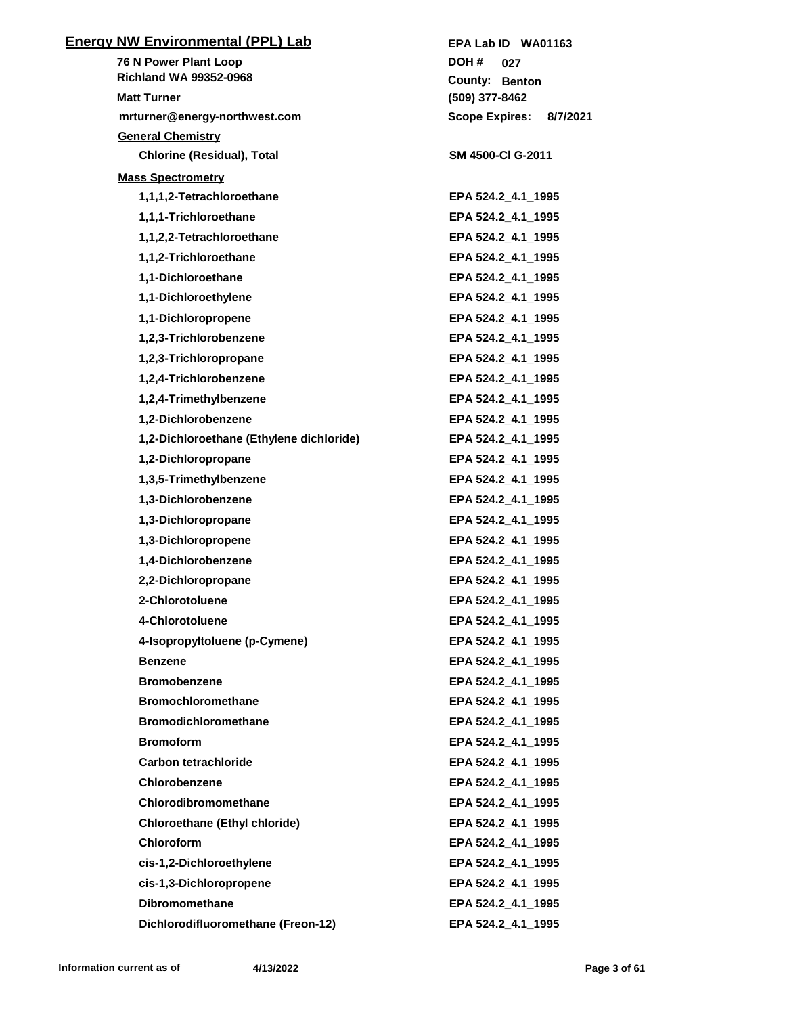| <b>Energy NW Environmental (PPL) Lab</b> | EPA Lab ID WA01163                |
|------------------------------------------|-----------------------------------|
| <b>76 N Power Plant Loop</b>             | DOH #<br>027                      |
| <b>Richland WA 99352-0968</b>            | County: Benton                    |
| <b>Matt Turner</b>                       | (509) 377-8462                    |
| mrturner@energy-northwest.com            | <b>Scope Expires:</b><br>8/7/2021 |
| <b>General Chemistry</b>                 |                                   |
| <b>Chlorine (Residual), Total</b>        | SM 4500-CI G-2011                 |
| <b>Mass Spectrometry</b>                 |                                   |
| 1,1,1,2-Tetrachloroethane                | EPA 524.2 4.1 1995                |
| 1,1,1-Trichloroethane                    | EPA 524.2_4.1_1995                |
| 1,1,2,2-Tetrachloroethane                | EPA 524.2_4.1_1995                |
| 1,1,2-Trichloroethane                    | EPA 524.2_4.1_1995                |
| 1,1-Dichloroethane                       | EPA 524.2_4.1_1995                |
| 1,1-Dichloroethylene                     | EPA 524.2_4.1_1995                |
| 1,1-Dichloropropene                      | EPA 524.2_4.1_1995                |
| 1,2,3-Trichlorobenzene                   | EPA 524.2_4.1_1995                |
| 1,2,3-Trichloropropane                   | EPA 524.2_4.1_1995                |
| 1,2,4-Trichlorobenzene                   | EPA 524.2_4.1_1995                |
| 1,2,4-Trimethylbenzene                   | EPA 524.2_4.1_1995                |
| 1,2-Dichlorobenzene                      | EPA 524.2_4.1_1995                |
| 1,2-Dichloroethane (Ethylene dichloride) | EPA 524.2_4.1_1995                |
| 1,2-Dichloropropane                      | EPA 524.2_4.1_1995                |
| 1,3,5-Trimethylbenzene                   | EPA 524.2_4.1_1995                |
| 1,3-Dichlorobenzene                      | EPA 524.2_4.1_1995                |
| 1,3-Dichloropropane                      | EPA 524.2_4.1_1995                |
| 1,3-Dichloropropene                      | EPA 524.2_4.1_1995                |
| 1,4-Dichlorobenzene                      | EPA 524.2_4.1_1995                |
| 2,2-Dichloropropane                      | EPA 524.2_4.1_1995                |
| 2-Chlorotoluene                          | EPA 524.2_4.1_1995                |
| 4-Chlorotoluene                          | EPA 524.2_4.1_1995                |
| 4-Isopropyltoluene (p-Cymene)            | EPA 524.2_4.1_1995                |
| <b>Benzene</b>                           | EPA 524.2 4.1 1995                |
| <b>Bromobenzene</b>                      | EPA 524.2_4.1_1995                |
| <b>Bromochloromethane</b>                | EPA 524.2_4.1_1995                |
| <b>Bromodichloromethane</b>              | EPA 524.2_4.1_1995                |
| <b>Bromoform</b>                         | EPA 524.2_4.1_1995                |
| Carbon tetrachloride                     | EPA 524.2_4.1_1995                |
| Chlorobenzene                            | EPA 524.2 4.1 1995                |
| Chlorodibromomethane                     | EPA 524.2_4.1_1995                |
| <b>Chloroethane (Ethyl chloride)</b>     | EPA 524.2 4.1 1995                |
| <b>Chloroform</b>                        | EPA 524.2_4.1_1995                |
| cis-1,2-Dichloroethylene                 | EPA 524.2_4.1_1995                |
| cis-1,3-Dichloropropene                  | EPA 524.2 4.1 1995                |
| <b>Dibromomethane</b>                    | EPA 524.2 4.1 1995                |
| Dichlorodifluoromethane (Freon-12)       | EPA 524.2_4.1_1995                |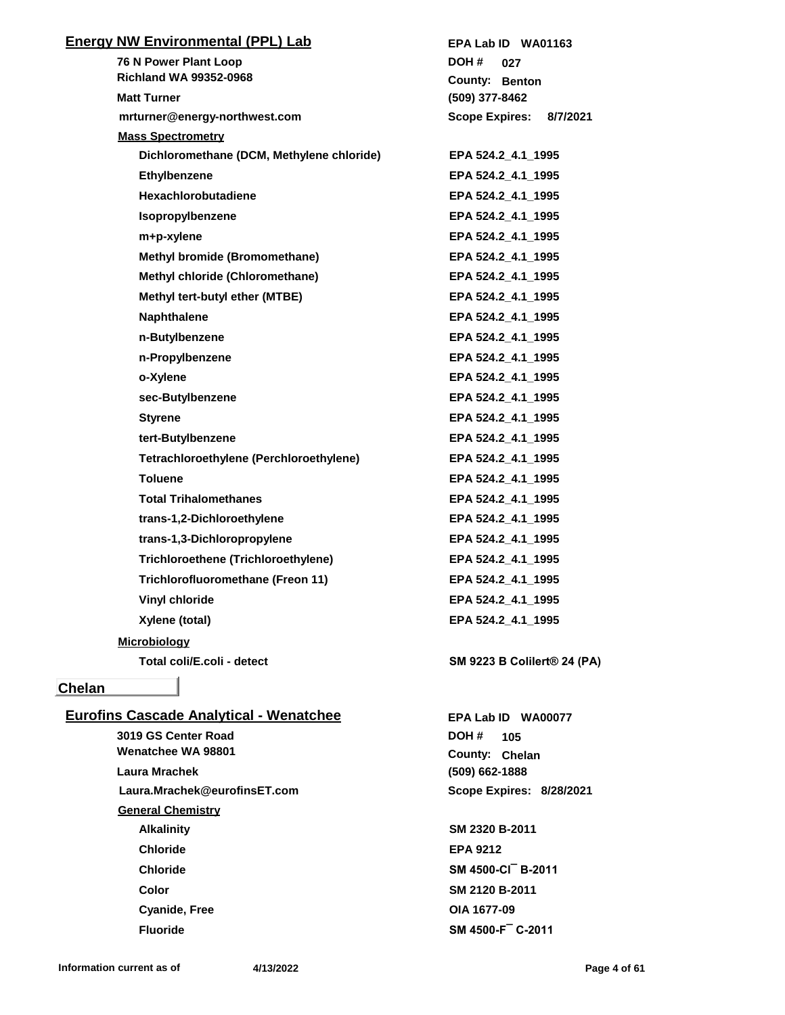| <b>Energy NW Environmental (PPL) Lab</b>       | EPA Lab ID WA01163                |
|------------------------------------------------|-----------------------------------|
| 76 N Power Plant Loop                          | DOH #<br>027                      |
| <b>Richland WA 99352-0968</b>                  | County: Benton                    |
| <b>Matt Turner</b>                             | (509) 377-8462                    |
| mrturner@energy-northwest.com                  | <b>Scope Expires:</b><br>8/7/2021 |
| <b>Mass Spectrometry</b>                       |                                   |
| Dichloromethane (DCM, Methylene chloride)      | EPA 524.2_4.1_1995                |
| Ethylbenzene                                   | EPA 524.2 4.1 1995                |
| Hexachlorobutadiene                            | EPA 524.2_4.1_1995                |
| Isopropylbenzene                               | EPA 524.2_4.1_1995                |
| m+p-xylene                                     | EPA 524.2_4.1_1995                |
| <b>Methyl bromide (Bromomethane)</b>           | EPA 524.2_4.1_1995                |
| Methyl chloride (Chloromethane)                | EPA 524.2_4.1_1995                |
| Methyl tert-butyl ether (MTBE)                 | EPA 524.2_4.1_1995                |
| <b>Naphthalene</b>                             | EPA 524.2 4.1 1995                |
| n-Butylbenzene                                 | EPA 524.2_4.1_1995                |
| n-Propylbenzene                                | EPA 524.2_4.1_1995                |
| o-Xylene                                       | EPA 524.2 4.1 1995                |
| sec-Butylbenzene                               | EPA 524.2_4.1_1995                |
| <b>Styrene</b>                                 | EPA 524.2_4.1_1995                |
| tert-Butylbenzene                              | EPA 524.2_4.1_1995                |
| Tetrachloroethylene (Perchloroethylene)        | EPA 524.2_4.1_1995                |
| <b>Toluene</b>                                 | EPA 524.2_4.1_1995                |
| <b>Total Trihalomethanes</b>                   | EPA 524.2_4.1_1995                |
| trans-1,2-Dichloroethylene                     | EPA 524.2_4.1_1995                |
| trans-1,3-Dichloropropylene                    | EPA 524.2 4.1 1995                |
| <b>Trichloroethene (Trichloroethylene)</b>     | EPA 524.2 4.1 1995                |
| Trichlorofluoromethane (Freon 11)              | EPA 524.2 4.1 1995                |
| <b>Vinyl chloride</b>                          | EPA 524.2 4.1 1995                |
| Xylene (total)                                 | EPA 524.2_4.1_1995                |
| <b>Microbiology</b>                            |                                   |
| Total coli/E.coli - detect                     | SM 9223 B Colilert® 24 (PA)       |
|                                                |                                   |
| <b>Chelan</b>                                  |                                   |
| <b>Eurofins Cascade Analytical - Wenatchee</b> | EPA Lab ID WA00077                |
| 3019 GS Center Road                            | DOH #<br>105                      |
| Wenatchee WA 98801                             | County: Chelan                    |
| Laura Mrachek                                  | $(509)$ 662-1888                  |
| Laura.Mrachek@eurofinsET.com                   | Scope Expires: 8/28/2021          |
| <b>General Chemistry</b>                       |                                   |
| <b>Alkalinity</b>                              | SM 2320 B-2011                    |
| <b>Chloride</b>                                | <b>EPA 9212</b>                   |
| <b>Chloride</b>                                | SM 4500-CI B-2011                 |
| <b>Color</b>                                   | SM 2120 B-2011                    |
| <b>Cyanide, Free</b>                           | OIA 1677-09                       |
| <b>Fluoride</b>                                | SM 4500-F C-2011                  |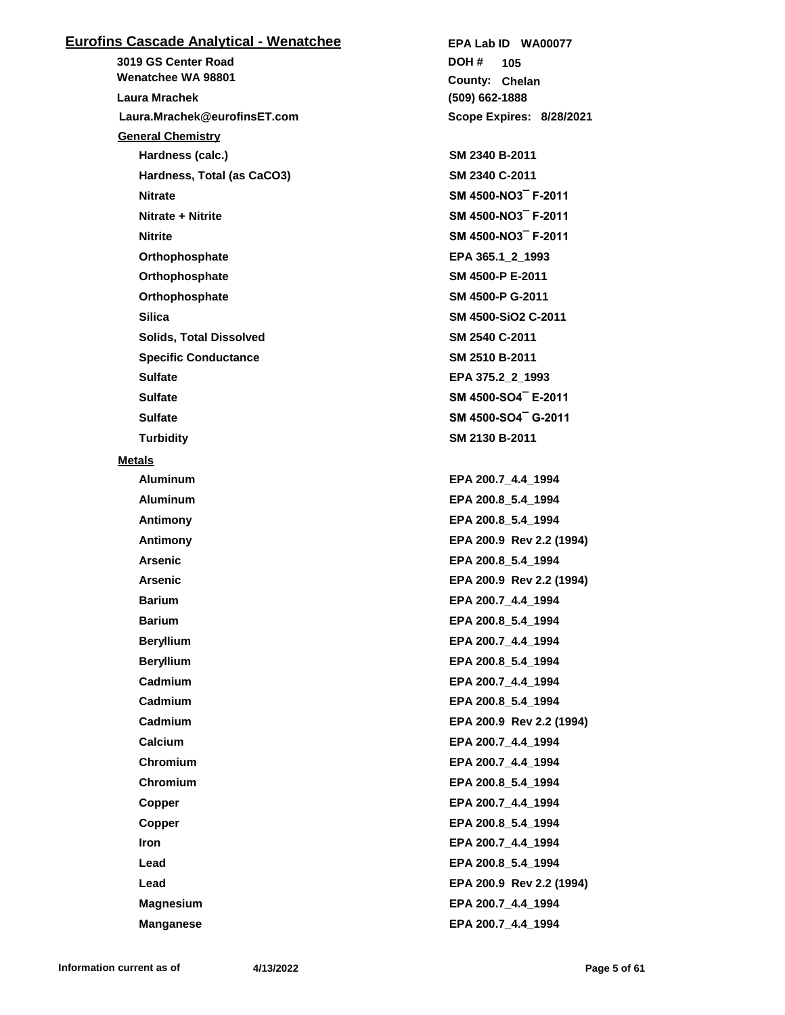## **Eurofins Cascade Analytical - Wenatchee**

**3019 GS Center Road Laura.Mrachek@eurofinsET.com Wenatchee WA 98801 Laura Mrachek General Chemistry Hardness (calc.) SM 2340 B-2011 Hardness, Total (as CaCO3) SM 2340 C-2011 Nitrate SM 4500-NO3¯ F-2011 Nitrate + Nitrite SM 4500-NO3¯ F-2011 Nitrite SM 4500-NO3¯ F-2011 Orthophosphate EPA 365.1\_2\_1993 Orthophosphate SM 4500-P E-2011 Orthophosphate SM 4500-P G-2011 Silica SM 4500-SiO2 C-2011 Solids, Total Dissolved SM 2540 C-2011 Specific Conductance SM 2510 B-2011 Sulfate EPA 375.2\_2\_1993 Sulfate SM 4500-SO4¯ E-2011 Sulfate SM 4500-SO4¯ G-2011 Turbidity SM 2130 B-2011 Metals Aluminum EPA 200.7\_4.4\_1994 Aluminum EPA 200.8\_5.4\_1994 Antimony EPA 200.8\_5.4\_1994 Antimony EPA 200.9 Rev 2.2 (1994) Arsenic EPA 200.8\_5.4\_1994 Arsenic EPA 200.9 Rev 2.2 (1994) Barium EPA 200.7\_4.4\_1994 Barium EPA 200.8\_5.4\_1994 Beryllium EPA 200.7\_4.4\_1994 Beryllium EPA 200.8\_5.4\_1994 Cadmium EPA 200.7\_4.4\_1994 Cadmium EPA 200.8\_5.4\_1994 Cadmium EPA 200.9 Rev 2.2 (1994) Calcium EPA 200.7\_4.4\_1994 Chromium EPA 200.7\_4.4\_1994 Chromium EPA 200.8\_5.4\_1994 Copper EPA 200.7\_4.4\_1994 Copper EPA 200.8\_5.4\_1994 Iron EPA 200.7\_4.4\_1994 Lead EPA 200.8\_5.4\_1994 Lead EPA 200.9 Rev 2.2 (1994) Magnesium EPA 200.7\_4.4\_1994 Manganese EPA 200.7\_4.4\_1994**

**(509) 662-1888 County: Chelan 105 DOH # Scope Expires: 8/28/2021 EPA Lab ID WA00077**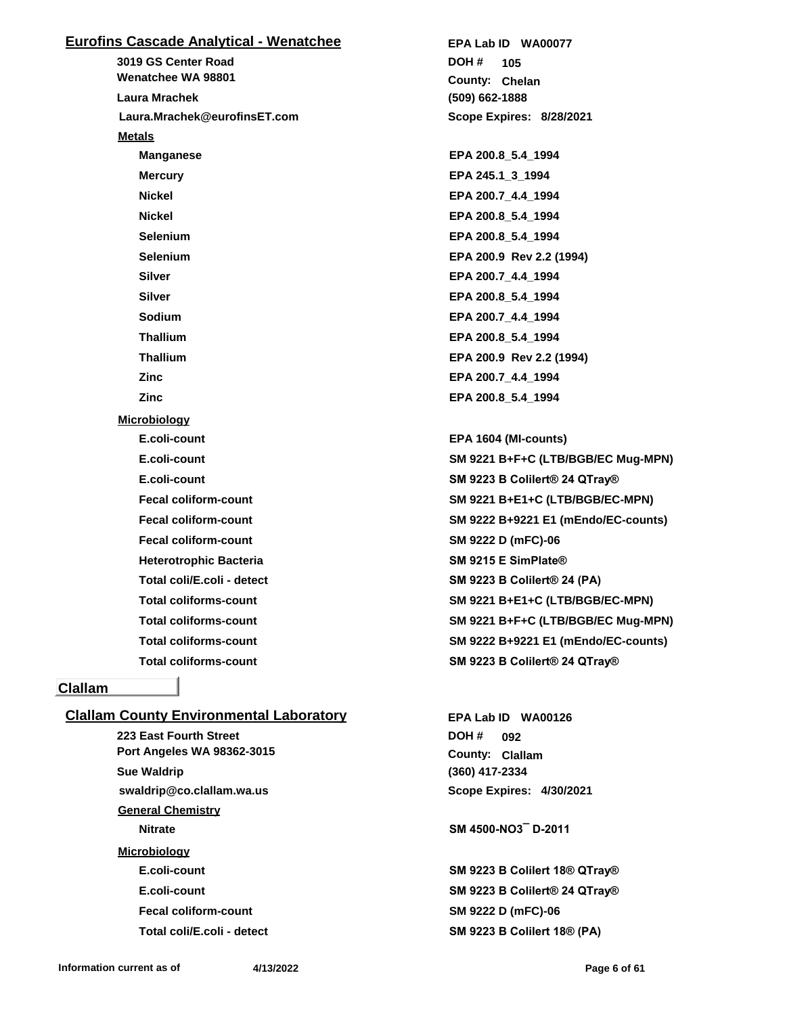## **Eurofins Cascade Analytical - Wenatchee**

**3019 GS Center Road Laura.Mrachek@eurofinsET.com Wenatchee WA 98801 Laura Mrachek Metals Manganese EPA 200.8\_5.4\_1994 Mercury EPA 245.1\_3\_1994 Nickel EPA 200.7\_4.4\_1994 Nickel EPA 200.8\_5.4\_1994 Selenium EPA 200.8\_5.4\_1994 Selenium EPA 200.9 Rev 2.2 (1994) Silver EPA 200.7\_4.4\_1994 Silver EPA 200.8\_5.4\_1994 Sodium EPA 200.7\_4.4\_1994 Thallium EPA 200.8\_5.4\_1994 Thallium EPA 200.9 Rev 2.2 (1994) Zinc EPA 200.7\_4.4\_1994 Zinc EPA 200.8\_5.4\_1994 Microbiology E.coli-count EPA 1604 (MI-counts) E.coli-count SM 9223 B Colilert® 24 QTray® Fecal coliform-count SM 9222 D (mFC)-06 Heterotrophic Bacteria SM 9215 E SimPlate® Total coli/E.coli - detect SM 9223 B Colilert® 24 (PA)**

#### **Clallam**

#### **Clallam County Environmental Laboratory**

**223 East Fourth Street swaldrip@co.clallam.wa.us Port Angeles WA 98362-3015 Sue Waldrip General Chemistry Nitrate SM 4500-NO3¯ D-2011 Microbiology Fecal coliform-count SM 9222 D (mFC)-06**

**(509) 662-1888 County: Chelan 105 DOH # Scope Expires: 8/28/2021 EPA Lab ID WA00077**

**E.coli-count SM 9221 B+F+C (LTB/BGB/EC Mug-MPN) Fecal coliform-count SM 9221 B+E1+C (LTB/BGB/EC-MPN) Fecal coliform-count SM 9222 B+9221 E1 (mEndo/EC-counts) Total coliforms-count SM 9221 B+E1+C (LTB/BGB/EC-MPN) Total coliforms-count SM 9221 B+F+C (LTB/BGB/EC Mug-MPN) Total coliforms-count SM 9222 B+9221 E1 (mEndo/EC-counts) Total coliforms-count SM 9223 B Colilert® 24 QTray®**

> **(360) 417-2334 County: Clallam 092 DOH # Scope Expires: 4/30/2021 EPA Lab ID WA00126**

**E.coli-count SM 9223 B Colilert 18® QTray® E.coli-count SM 9223 B Colilert® 24 QTray® Total coli/E.coli - detect SM 9223 B Colilert 18® (PA)**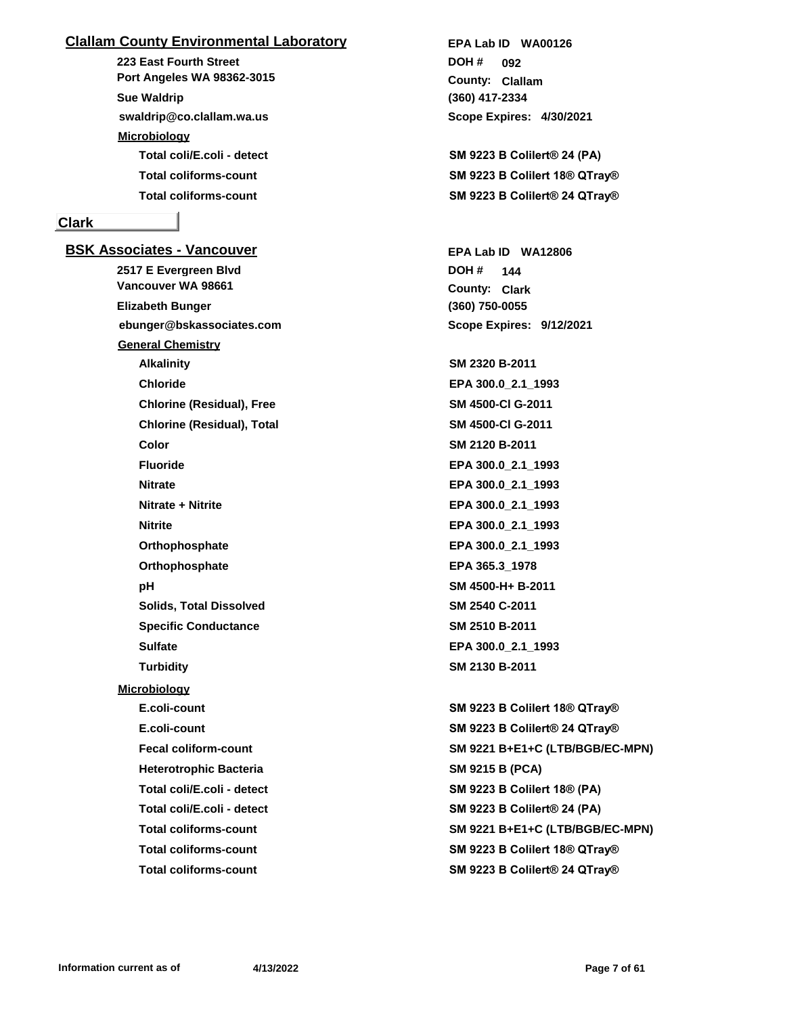## **Clallam County Environmental Laboratory**

**223 East Fourth Street swaldrip@co.clallam.wa.us Port Angeles WA 98362-3015 Sue Waldrip Microbiology**

## **Clark**

**BSK Associates - Vancouver 2517 E Evergreen Blvd ebunger@bskassociates.com Vancouver WA 98661 Elizabeth Bunger General Chemistry Alkalinity SM 2320 B-2011 Chloride EPA 300.0\_2.1\_1993 Chlorine (Residual), Free SM 4500-Cl G-2011 Chlorine (Residual), Total SM 4500-Cl G-2011 Color SM 2120 B-2011 Fluoride EPA 300.0\_2.1\_1993 Nitrate EPA 300.0\_2.1\_1993 Nitrate + Nitrite EPA 300.0\_2.1\_1993 Nitrite EPA 300.0\_2.1\_1993 Orthophosphate EPA 300.0\_2.1\_1993 Orthophosphate EPA 365.3\_1978 pH SM 4500-H+ B-2011 Solids, Total Dissolved SM 2540 C-2011 Specific Conductance SM 2510 B-2011 Sulfate EPA 300.0\_2.1\_1993 Turbidity SM 2130 B-2011 Microbiology E.coli-count SM 9223 B Colilert 18® QTray® E.coli-count SM 9223 B Colilert® 24 QTray® Heterotrophic Bacteria SM 9215 B (PCA) Total coli/E.coli - detect SM 9223 B Colilert 18® (PA) Total coli/E.coli - detect SM 9223 B Colilert® 24 (PA) Total coliforms-count SM 9223 B Colilert 18® QTray® Total coliforms-count SM 9223 B Colilert® 24 QTray®**

**(360) 417-2334** County: Clallam **092 DOH # Scope Expires: 4/30/2021 EPA Lab ID WA00126**

**Total coli/E.coli - detect SM 9223 B Colilert® 24 (PA) Total coliforms-count SM 9223 B Colilert 18® QTray® Total coliforms-count SM 9223 B Colilert® 24 QTray®**

> **(360) 750-0055 County: Clark 144 DOH # Scope Expires: 9/12/2021 EPA Lab ID WA12806**

**Fecal coliform-count SM 9221 B+E1+C (LTB/BGB/EC-MPN) Total coliforms-count SM 9221 B+E1+C (LTB/BGB/EC-MPN)**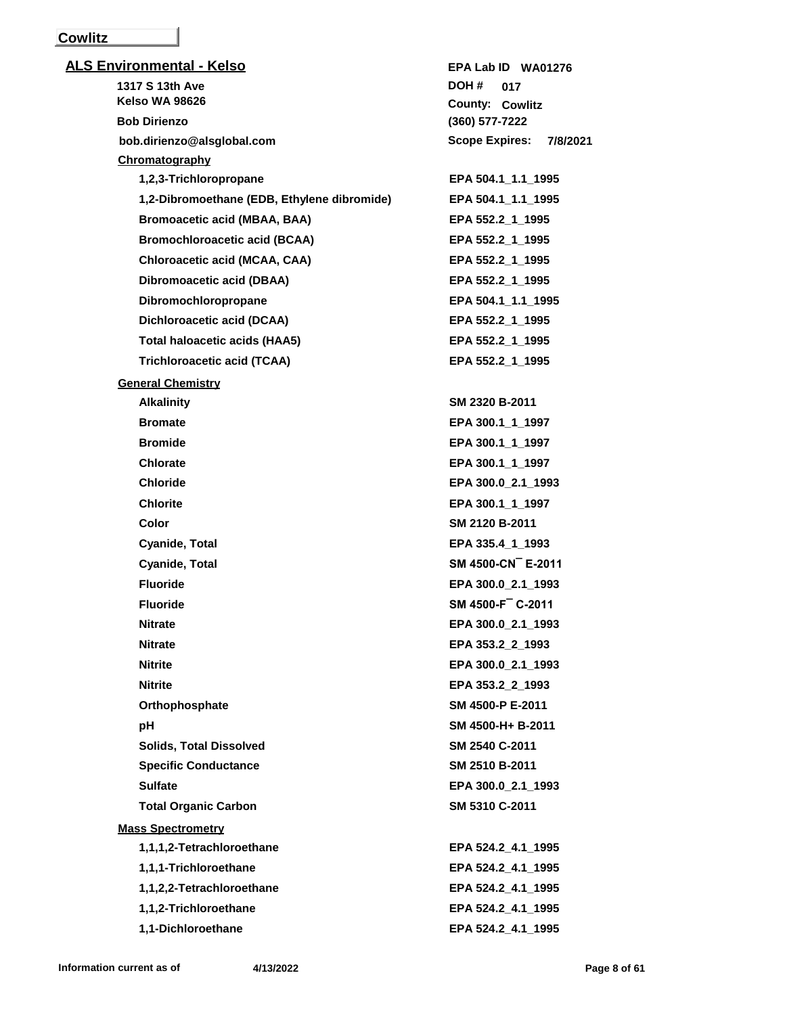## **Cowlitz**

| <b>ALS Environmental - Kelso</b>            | EPA Lab ID WA01276                |
|---------------------------------------------|-----------------------------------|
| 1317 S 13th Ave                             | DOH #<br>017                      |
| <b>Kelso WA 98626</b>                       | <b>County: Cowlitz</b>            |
| <b>Bob Dirienzo</b>                         | (360) 577-7222                    |
| bob.dirienzo@alsglobal.com                  | <b>Scope Expires:</b><br>7/8/2021 |
| Chromatography                              |                                   |
| 1,2,3-Trichloropropane                      | EPA 504.1 1.1 1995                |
| 1,2-Dibromoethane (EDB, Ethylene dibromide) | EPA 504.1_1.1_1995                |
| <b>Bromoacetic acid (MBAA, BAA)</b>         | EPA 552.2 1 1995                  |
| <b>Bromochloroacetic acid (BCAA)</b>        | EPA 552.2_1_1995                  |
| Chloroacetic acid (MCAA, CAA)               | EPA 552.2_1_1995                  |
| Dibromoacetic acid (DBAA)                   | EPA 552.2_1_1995                  |
| Dibromochloropropane                        | EPA 504.1_1.1_1995                |
| Dichloroacetic acid (DCAA)                  | EPA 552.2_1_1995                  |
| <b>Total haloacetic acids (HAA5)</b>        | EPA 552.2 1 1995                  |
| <b>Trichloroacetic acid (TCAA)</b>          | EPA 552.2_1_1995                  |
| <b>General Chemistry</b>                    |                                   |
| <b>Alkalinity</b>                           | SM 2320 B-2011                    |
| <b>Bromate</b>                              | EPA 300.1_1_1997                  |
| <b>Bromide</b>                              | EPA 300.1_1_1997                  |
| <b>Chlorate</b>                             | EPA 300.1_1_1997                  |
| <b>Chloride</b>                             | EPA 300.0 2.1 1993                |
| <b>Chlorite</b>                             | EPA 300.1_1_1997                  |
| Color                                       | SM 2120 B-2011                    |
| Cyanide, Total                              | EPA 335.4_1_1993                  |
| Cyanide, Total                              | SM 4500-CN E-2011                 |
| <b>Fluoride</b>                             | EPA 300.0_2.1_1993                |
| <b>Fluoride</b>                             | SM 4500-F C-2011                  |
| <b>Nitrate</b>                              | EPA 300.0_2.1_1993                |
| <b>Nitrate</b>                              | EPA 353.2 2 1993                  |
| <b>Nitrite</b>                              | EPA 300.0 2.1 1993                |
| <b>Nitrite</b>                              | EPA 353.2_2_1993                  |
| Orthophosphate                              | SM 4500-P E-2011                  |
| рH                                          | SM 4500-H+ B-2011                 |
| <b>Solids, Total Dissolved</b>              | SM 2540 C-2011                    |
| <b>Specific Conductance</b>                 | SM 2510 B-2011                    |
| <b>Sulfate</b>                              | EPA 300.0_2.1_1993                |
| <b>Total Organic Carbon</b>                 | SM 5310 C-2011                    |
| <b>Mass Spectrometry</b>                    |                                   |
| 1,1,1,2-Tetrachloroethane                   | EPA 524.2_4.1_1995                |
| 1,1,1-Trichloroethane                       | EPA 524.2 4.1 1995                |
| 1,1,2,2-Tetrachloroethane                   | EPA 524.2_4.1_1995                |
| 1,1,2-Trichloroethane                       | EPA 524.2_4.1_1995                |
| 1,1-Dichloroethane                          | EPA 524.2_4.1_1995                |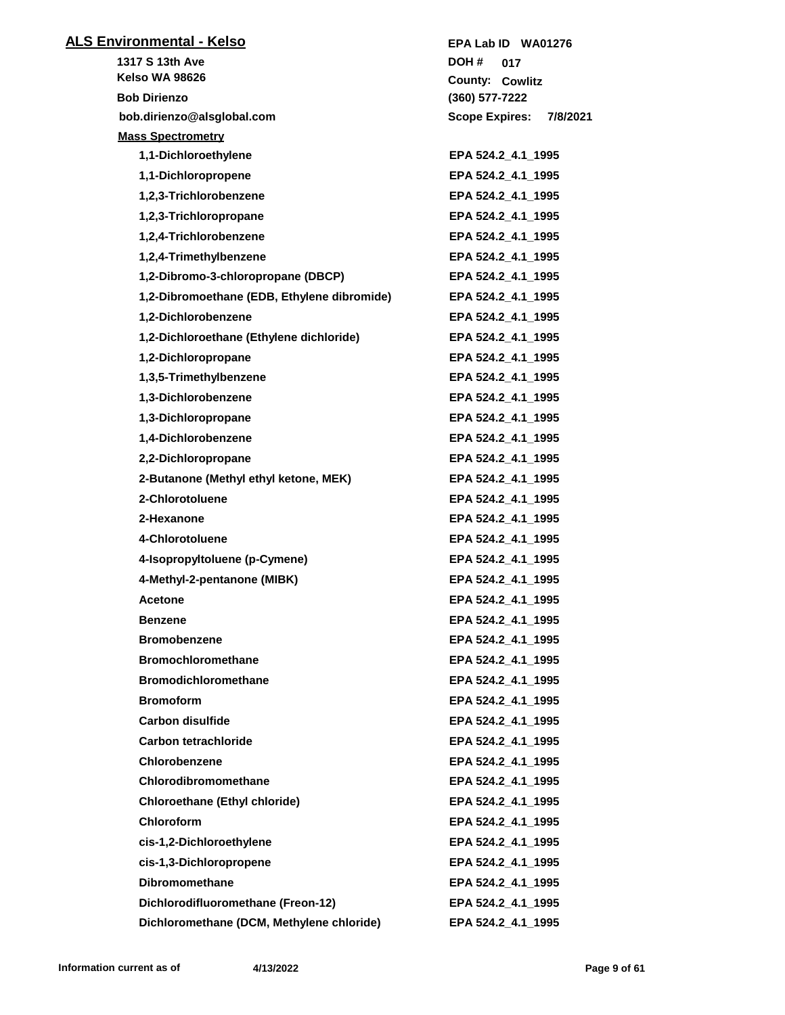| <b>ALS Environmental - Kelso</b>            | EPA Lab ID WA01276                |
|---------------------------------------------|-----------------------------------|
| 1317 S 13th Ave                             | DOH #<br>017                      |
| Kelso WA 98626                              | County: Cowlitz                   |
| <b>Bob Dirienzo</b>                         | (360) 577-7222                    |
| bob.dirienzo@alsglobal.com                  | <b>Scope Expires:</b><br>7/8/2021 |
| <b>Mass Spectrometry</b>                    |                                   |
| 1,1-Dichloroethylene                        | EPA 524.2_4.1_1995                |
| 1,1-Dichloropropene                         | EPA 524.2 4.1 1995                |
| 1,2,3-Trichlorobenzene                      | EPA 524.2_4.1_1995                |
| 1,2,3-Trichloropropane                      | EPA 524.2 4.1 1995                |
| 1,2,4-Trichlorobenzene                      | EPA 524.2_4.1_1995                |
| 1,2,4-Trimethylbenzene                      | EPA 524.2_4.1_1995                |
| 1,2-Dibromo-3-chloropropane (DBCP)          | EPA 524.2 4.1 1995                |
| 1,2-Dibromoethane (EDB, Ethylene dibromide) | EPA 524.2_4.1_1995                |
| 1,2-Dichlorobenzene                         | EPA 524.2_4.1_1995                |
| 1,2-Dichloroethane (Ethylene dichloride)    | EPA 524.2 4.1 1995                |
| 1,2-Dichloropropane                         | EPA 524.2_4.1_1995                |
| 1,3,5-Trimethylbenzene                      | EPA 524.2_4.1_1995                |
| 1,3-Dichlorobenzene                         | EPA 524.2_4.1_1995                |
| 1,3-Dichloropropane                         | EPA 524.2_4.1_1995                |
| 1,4-Dichlorobenzene                         | EPA 524.2_4.1_1995                |
| 2,2-Dichloropropane                         | EPA 524.2_4.1_1995                |
| 2-Butanone (Methyl ethyl ketone, MEK)       | EPA 524.2_4.1_1995                |
| 2-Chlorotoluene                             | EPA 524.2_4.1_1995                |
| 2-Hexanone                                  | EPA 524.2_4.1_1995                |
| 4-Chlorotoluene                             | EPA 524.2_4.1_1995                |
| 4-Isopropyltoluene (p-Cymene)               | EPA 524.2_4.1_1995                |
| 4-Methyl-2-pentanone (MIBK)                 | EPA 524.2 4.1 1995                |
| Acetone                                     | EPA 524.2_4.1_1995                |
| <b>Benzene</b>                              | EPA 524.2 4.1 1995                |
| <b>Bromobenzene</b>                         | EPA 524.2 4.1 1995                |
| <b>Bromochloromethane</b>                   | EPA 524.2 4.1 1995                |
| <b>Bromodichloromethane</b>                 | EPA 524.2_4.1_1995                |
| <b>Bromoform</b>                            | EPA 524.2 4.1 1995                |
| <b>Carbon disulfide</b>                     | EPA 524.2 4.1 1995                |
| Carbon tetrachloride                        | EPA 524.2 4.1 1995                |
| Chlorobenzene                               | EPA 524.2 4.1 1995                |
| Chlorodibromomethane                        | EPA 524.2 4.1 1995                |
| <b>Chloroethane (Ethyl chloride)</b>        | EPA 524.2_4.1_1995                |
| Chloroform                                  | EPA 524.2 4.1 1995                |
| cis-1,2-Dichloroethylene                    | EPA 524.2_4.1_1995                |
| cis-1,3-Dichloropropene                     | EPA 524.2_4.1_1995                |
| <b>Dibromomethane</b>                       | EPA 524.2_4.1_1995                |
| Dichlorodifluoromethane (Freon-12)          | EPA 524.2 4.1 1995                |
| Dichloromethane (DCM, Methylene chloride)   | EPA 524.2 4.1 1995                |
|                                             |                                   |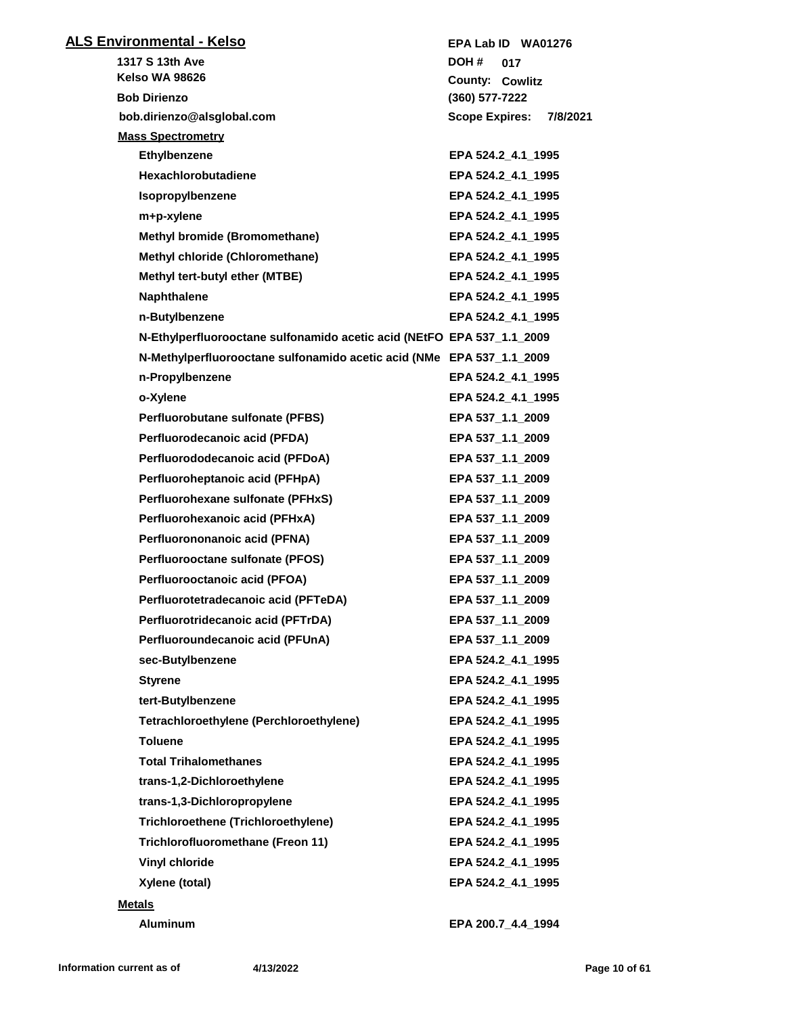| <b>ALS Environmental - Kelso</b>                                       | EPA Lab ID WA01276                |
|------------------------------------------------------------------------|-----------------------------------|
| 1317 S 13th Ave                                                        | DOH #<br>017                      |
| <b>Kelso WA 98626</b>                                                  | County: Cowlitz                   |
| <b>Bob Dirienzo</b>                                                    | (360) 577-7222                    |
| bob.dirienzo@alsglobal.com                                             | <b>Scope Expires:</b><br>7/8/2021 |
| <b>Mass Spectrometry</b>                                               |                                   |
| Ethylbenzene                                                           | EPA 524.2 4.1 1995                |
| <b>Hexachlorobutadiene</b>                                             | EPA 524.2 4.1 1995                |
| Isopropylbenzene                                                       | EPA 524.2 4.1 1995                |
| m+p-xylene                                                             | EPA 524.2 4.1 1995                |
| <b>Methyl bromide (Bromomethane)</b>                                   | EPA 524.2_4.1_1995                |
| Methyl chloride (Chloromethane)                                        | EPA 524.2_4.1_1995                |
| Methyl tert-butyl ether (MTBE)                                         | EPA 524.2_4.1_1995                |
| <b>Naphthalene</b>                                                     | EPA 524.2_4.1_1995                |
| n-Butylbenzene                                                         | EPA 524.2 4.1 1995                |
| N-Ethylperfluorooctane sulfonamido acetic acid (NEtFO EPA 537_1.1_2009 |                                   |
| N-Methylperfluorooctane sulfonamido acetic acid (NMe EPA 537_1.1_2009  |                                   |
| n-Propylbenzene                                                        | EPA 524.2_4.1_1995                |
| o-Xylene                                                               | EPA 524.2_4.1_1995                |
| Perfluorobutane sulfonate (PFBS)                                       | EPA 537_1.1_2009                  |
| Perfluorodecanoic acid (PFDA)                                          | EPA 537_1.1_2009                  |
| Perfluorododecanoic acid (PFDoA)                                       | EPA 537_1.1_2009                  |
| Perfluoroheptanoic acid (PFHpA)                                        | EPA 537_1.1_2009                  |
| Perfluorohexane sulfonate (PFHxS)                                      | EPA 537_1.1_2009                  |
| Perfluorohexanoic acid (PFHxA)                                         | EPA 537_1.1_2009                  |
| Perfluorononanoic acid (PFNA)                                          | EPA 537_1.1_2009                  |
| Perfluorooctane sulfonate (PFOS)                                       | EPA 537_1.1_2009                  |
| Perfluorooctanoic acid (PFOA)                                          | EPA 537_1.1_2009                  |
| Perfluorotetradecanoic acid (PFTeDA)                                   | EPA 537_1.1_2009                  |
| Perfluorotridecanoic acid (PFTrDA)                                     | EPA 537_1.1_2009                  |
| Perfluoroundecanoic acid (PFUnA)                                       | EPA 537_1.1_2009                  |
| sec-Butylbenzene                                                       | EPA 524.2 4.1 1995                |
| <b>Styrene</b>                                                         | EPA 524.2_4.1_1995                |
| tert-Butylbenzene                                                      | EPA 524.2_4.1_1995                |
| Tetrachloroethylene (Perchloroethylene)                                | EPA 524.2_4.1_1995                |
| <b>Toluene</b>                                                         | EPA 524.2_4.1_1995                |
| <b>Total Trihalomethanes</b>                                           | EPA 524.2_4.1_1995                |
| trans-1,2-Dichloroethylene                                             | EPA 524.2_4.1_1995                |
| trans-1,3-Dichloropropylene                                            | EPA 524.2_4.1_1995                |
| <b>Trichloroethene (Trichloroethylene)</b>                             | EPA 524.2 4.1 1995                |
| Trichlorofluoromethane (Freon 11)                                      | EPA 524.2_4.1_1995                |
| <b>Vinyl chloride</b>                                                  | EPA 524.2_4.1_1995                |
| Xylene (total)                                                         |                                   |
|                                                                        | EPA 524.2_4.1_1995                |
| <b>Metals</b>                                                          |                                   |
| Aluminum                                                               | EPA 200.7_4.4_1994                |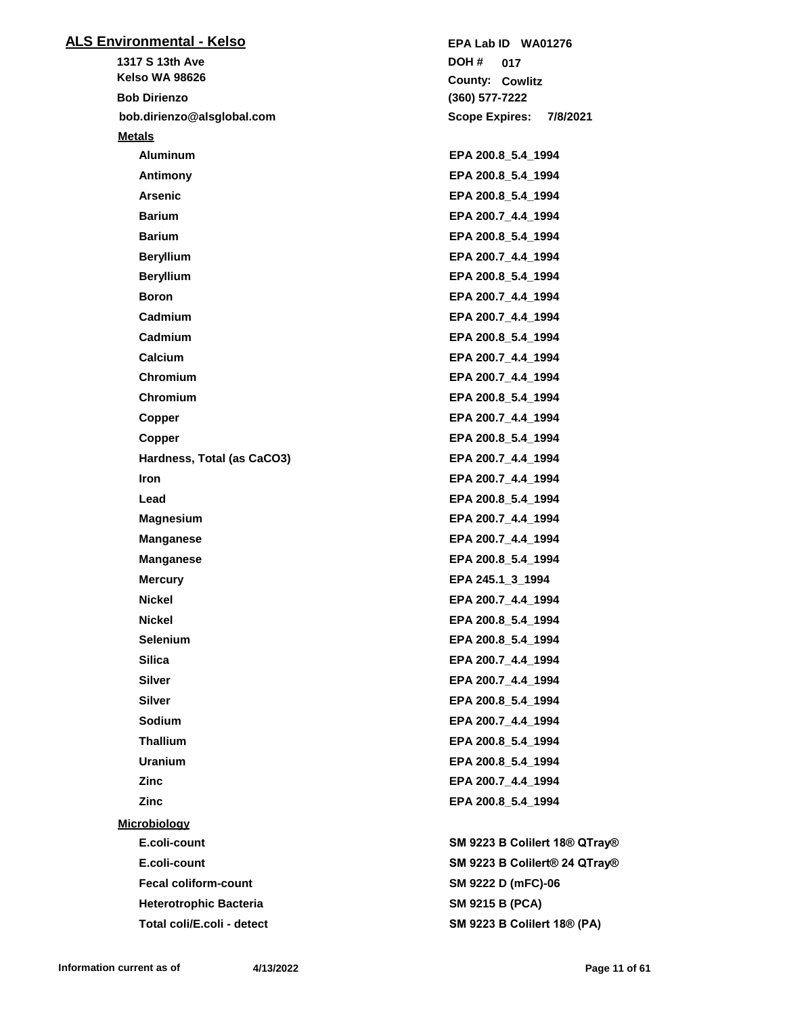| <u> ALS Environmental - Kelso</u> | EPA Lab ID WA01276                 |
|-----------------------------------|------------------------------------|
| 1317 S 13th Ave                   | DOH #<br>017                       |
| <b>Kelso WA 98626</b>             | <b>County: Cowlitz</b>             |
| <b>Bob Dirienzo</b>               | (360) 577-7222                     |
| bob.dirienzo@alsglobal.com        | Scope Expires: 7/8/2021            |
| <b>Metals</b>                     |                                    |
| <b>Aluminum</b>                   | EPA 200.8_5.4_1994                 |
| Antimony                          | EPA 200.8 5.4 1994                 |
| <b>Arsenic</b>                    | EPA 200.8_5.4_1994                 |
| <b>Barium</b>                     | EPA 200.7_4.4_1994                 |
| <b>Barium</b>                     | EPA 200.8_5.4_1994                 |
| <b>Beryllium</b>                  | EPA 200.7_4.4_1994                 |
| <b>Beryllium</b>                  | EPA 200.8_5.4_1994                 |
| <b>Boron</b>                      | EPA 200.7_4.4_1994                 |
| Cadmium                           | EPA 200.7_4.4_1994                 |
| Cadmium                           | EPA 200.8 5.4 1994                 |
| Calcium                           | EPA 200.7_4.4_1994                 |
| Chromium                          | EPA 200.7_4.4_1994                 |
| Chromium                          | EPA 200.8_5.4_1994                 |
| Copper                            | EPA 200.7_4.4_1994                 |
| Copper                            | EPA 200.8_5.4_1994                 |
| Hardness, Total (as CaCO3)        | EPA 200.7_4.4_1994                 |
| Iron                              | EPA 200.7_4.4_1994                 |
| Lead                              | EPA 200.8_5.4_1994                 |
| <b>Magnesium</b>                  | EPA 200.7_4.4_1994                 |
| <b>Manganese</b>                  | EPA 200.7_4.4_1994                 |
| <b>Manganese</b>                  | EPA 200.8_5.4_1994                 |
| <b>Mercury</b>                    | EPA 245.1_3_1994                   |
| Nickel                            | EPA 200.7_4.4_1994                 |
| <b>Nickel</b>                     | EPA 200.8_5.4_1994                 |
| Selenium                          | EPA 200.8_5.4_1994                 |
| <b>Silica</b>                     | EPA 200.7_4.4_1994                 |
| <b>Silver</b>                     | EPA 200.7_4.4_1994                 |
| <b>Silver</b>                     | EPA 200.8_5.4_1994                 |
| Sodium                            | EPA 200.7_4.4_1994                 |
| <b>Thallium</b>                   | EPA 200.8 5.4 1994                 |
| <b>Uranium</b>                    | EPA 200.8_5.4_1994                 |
| Zinc                              | EPA 200.7_4.4_1994                 |
| Zinc                              | EPA 200.8_5.4_1994                 |
| <b>Microbiology</b>               |                                    |
| E.coli-count                      | SM 9223 B Colilert 18® QTray®      |
| E.coli-count                      | SM 9223 B Colilert® 24 QTray®      |
| <b>Fecal coliform-count</b>       | SM 9222 D (mFC)-06                 |
| <b>Heterotrophic Bacteria</b>     | <b>SM 9215 B (PCA)</b>             |
| Total coli/E.coli - detect        | <b>SM 9223 B Colilert 18® (PA)</b> |
|                                   |                                    |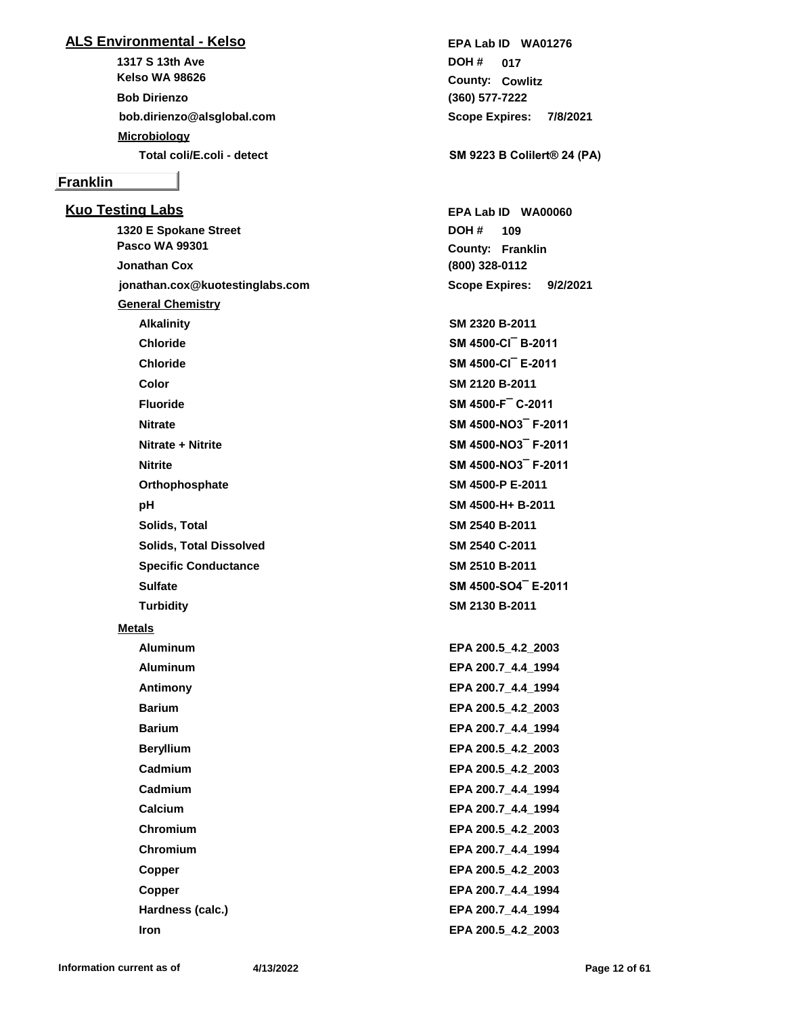## **ALS Environmental - Kelso**

**1317 S 13th Ave bob.dirienzo@alsglobal.com Kelso WA 98626 Bob Dirienzo Microbiology**

## **Franklin**

**Kuo Testing Labs 1320 E Spokane Street jonathan.cox@kuotestinglabs.com Pasco WA 99301 Jonathan Cox General Chemistry Alkalinity SM 2320 B-2011 Chloride SM 4500-Cl¯ B-2011 Chloride SM 4500-Cl¯ E-2011 Color SM 2120 B-2011 Fluoride SM 4500-F¯ C-2011 Nitrate SM 4500-NO3¯ F-2011 Nitrate + Nitrite SM 4500-NO3¯ F-2011 Nitrite SM 4500-NO3¯ F-2011 Orthophosphate SM 4500-P E-2011 pH SM 4500-H+ B-2011 Solids, Total SM 2540 B-2011 Solids, Total Dissolved SM 2540 C-2011 Specific Conductance SM 2510 B-2011 Sulfate SM 4500-SO4¯ E-2011 Turbidity SM 2130 B-2011 Metals**

**Aluminum EPA 200.5\_4.2\_2003 Aluminum EPA 200.7\_4.4\_1994 Antimony EPA 200.7\_4.4\_1994 Barium EPA 200.5\_4.2\_2003 Barium EPA 200.7\_4.4\_1994 Beryllium EPA 200.5\_4.2\_2003 Cadmium EPA 200.5\_4.2\_2003 Cadmium EPA 200.7\_4.4\_1994 Calcium EPA 200.7\_4.4\_1994 Chromium EPA 200.5\_4.2\_2003 Chromium EPA 200.7\_4.4\_1994 Copper EPA 200.5\_4.2\_2003 Copper EPA 200.7\_4.4\_1994 Hardness (calc.) EPA 200.7\_4.4\_1994 Iron EPA 200.5\_4.2\_2003**

**(360) 577-7222 Cowlitz County: 017 DOH # Scope Expires: 7/8/2021 EPA Lab ID WA01276**

**Total coli/E.coli - detect SM 9223 B Colilert® 24 (PA)**

**(800) 328-0112 Franklin County: 109 DOH # Scope Expires: 9/2/2021 EPA Lab ID WA00060**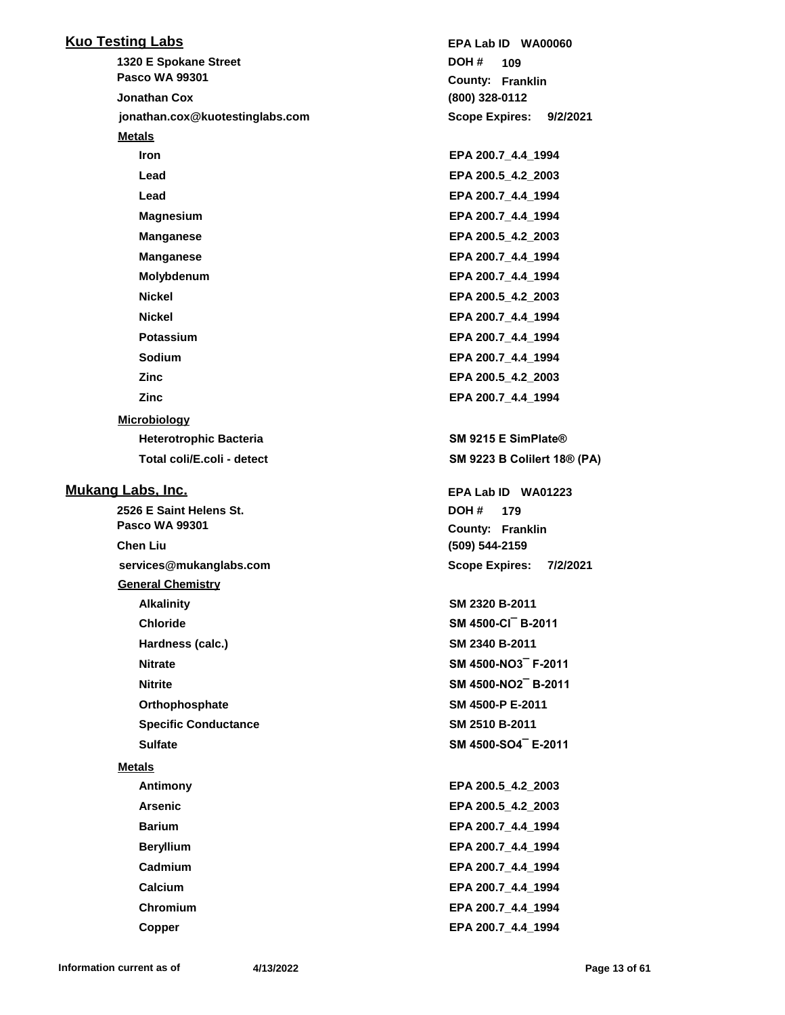| <b>Kuo Testing Labs</b>         | EPA Lab ID WA00060                 |
|---------------------------------|------------------------------------|
| 1320 E Spokane Street           | DOH#<br>109                        |
| <b>Pasco WA 99301</b>           | <b>County: Franklin</b>            |
| <b>Jonathan Cox</b>             | (800) 328-0112                     |
| jonathan.cox@kuotestinglabs.com | <b>Scope Expires:</b><br>9/2/2021  |
| <b>Metals</b>                   |                                    |
| <b>Iron</b>                     | EPA 200.7_4.4_1994                 |
| Lead                            | EPA 200.5 4.2 2003                 |
| Lead                            | EPA 200.7_4.4_1994                 |
| <b>Magnesium</b>                | EPA 200.7_4.4_1994                 |
| <b>Manganese</b>                | EPA 200.5_4.2_2003                 |
| <b>Manganese</b>                | EPA 200.7_4.4_1994                 |
| Molybdenum                      | EPA 200.7_4.4_1994                 |
| <b>Nickel</b>                   | EPA 200.5_4.2_2003                 |
| <b>Nickel</b>                   | EPA 200.7_4.4_1994                 |
| Potassium                       | EPA 200.7_4.4_1994                 |
| Sodium                          | EPA 200.7 4.4 1994                 |
| <b>Zinc</b>                     | EPA 200.5 4.2 2003                 |
| <b>Zinc</b>                     | EPA 200.7 4.4 1994                 |
| <b>Microbiology</b>             |                                    |
| <b>Heterotrophic Bacteria</b>   | SM 9215 E SimPlate®                |
| Total coli/E.coli - detect      | <b>SM 9223 B Colilert 18® (PA)</b> |
|                                 |                                    |
| <b>Mukang Labs, Inc.</b>        | EPA Lab ID WA01223                 |
| 2526 E Saint Helens St.         | DOH #<br>179                       |
| <b>Pasco WA 99301</b>           | <b>County: Franklin</b>            |
| <b>Chen Liu</b>                 | (509) 544-2159                     |
| services@mukanglabs.com         | <b>Scope Expires:</b><br>7/2/2021  |
| <b>General Chemistry</b>        |                                    |
| <b>Alkalinity</b>               | SM 2320 B-2011                     |
| <b>Chloride</b>                 | SM 4500-CI B-2011                  |
| Hardness (calc.)                | SM 2340 B-2011                     |
| <b>Nitrate</b>                  | SM 4500-NO3 F-2011                 |
| <b>Nitrite</b>                  | SM 4500-NO2 B-2011                 |
| Orthophosphate                  | SM 4500-P E-2011                   |
| <b>Specific Conductance</b>     | SM 2510 B-2011                     |
| <b>Sulfate</b>                  | SM 4500-SO4 E-2011                 |
| <b>Metals</b>                   |                                    |
| Antimony                        | EPA 200.5_4.2_2003                 |
| <b>Arsenic</b>                  | EPA 200.5 4.2 2003                 |
| <b>Barium</b>                   | EPA 200.7_4.4_1994                 |
| <b>Beryllium</b>                | EPA 200.7_4.4_1994                 |
| Cadmium                         | EPA 200.7_4.4_1994                 |
| Calcium                         | EPA 200.7 4.4 1994                 |
| Chromium                        | EPA 200.7_4.4_1994                 |
| <b>Copper</b>                   | EPA 200.7_4.4_1994                 |
|                                 |                                    |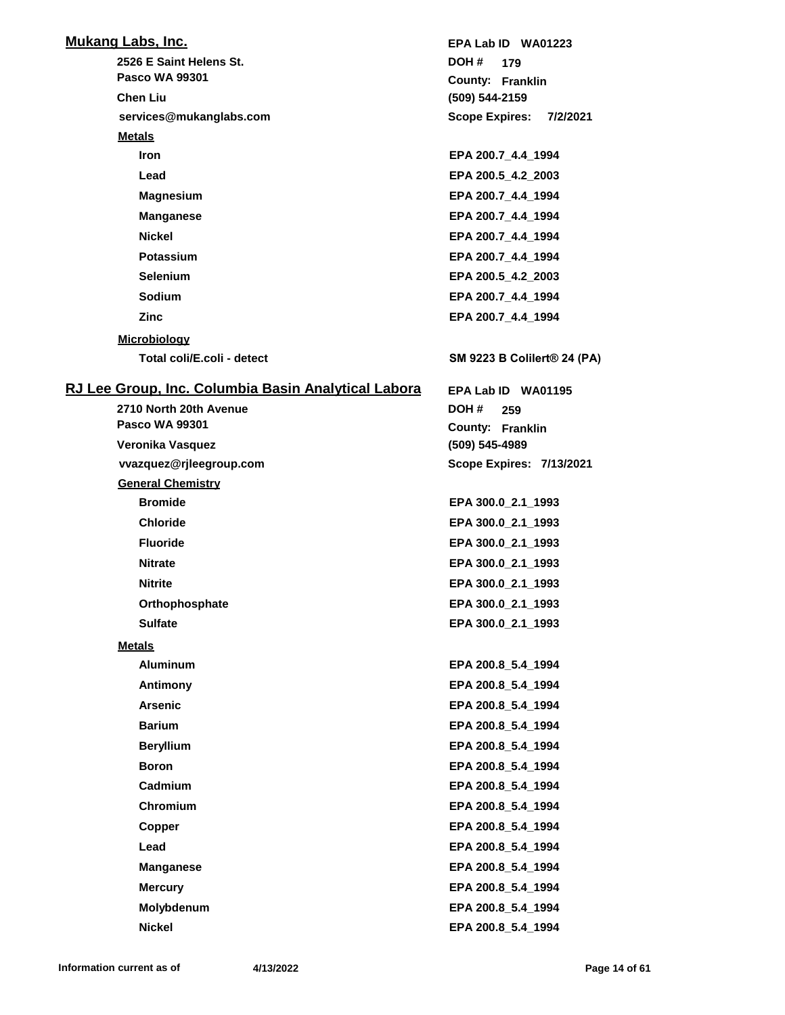| <b>Mukang Labs, Inc.</b>                            | EPA Lab ID WA01223                |
|-----------------------------------------------------|-----------------------------------|
| 2526 E Saint Helens St.                             | DOH #<br>179                      |
| <b>Pasco WA 99301</b>                               | County: Franklin                  |
| <b>Chen Liu</b>                                     | (509) 544-2159                    |
| services@mukanglabs.com                             | <b>Scope Expires:</b><br>7/2/2021 |
| <b>Metals</b>                                       |                                   |
| <b>Iron</b>                                         | EPA 200.7_4.4_1994                |
| Lead                                                | EPA 200.5 4.2 2003                |
| <b>Magnesium</b>                                    | EPA 200.7 4.4 1994                |
| <b>Manganese</b>                                    | EPA 200.7 4.4 1994                |
| <b>Nickel</b>                                       | EPA 200.7_4.4_1994                |
| <b>Potassium</b>                                    | EPA 200.7_4.4_1994                |
| <b>Selenium</b>                                     | EPA 200.5_4.2_2003                |
| Sodium                                              | EPA 200.7 4.4 1994                |
| Zinc                                                | EPA 200.7 4.4 1994                |
| <b>Microbiology</b>                                 |                                   |
| Total coli/E.coli - detect                          | SM 9223 B Colilert® 24 (PA)       |
| RJ Lee Group, Inc. Columbia Basin Analytical Labora | EPA Lab ID WA01195                |
| 2710 North 20th Avenue                              | DOH #<br>259                      |
| <b>Pasco WA 99301</b>                               | County: Franklin                  |
| Veronika Vasquez                                    | (509) 545-4989                    |
| vvazquez@rjleegroup.com                             | <b>Scope Expires: 7/13/2021</b>   |
| <b>General Chemistry</b>                            |                                   |
| <b>Bromide</b>                                      | EPA 300.0_2.1_1993                |
| <b>Chloride</b>                                     | EPA 300.0_2.1_1993                |
| <b>Fluoride</b>                                     | EPA 300.0_2.1_1993                |
| <b>Nitrate</b>                                      | EPA 300.0_2.1_1993                |
| <b>Nitrite</b>                                      | EPA 300.0 2.1 1993                |
| Orthophosphate                                      | EPA 300.0_2.1_1993                |
| <b>Sulfate</b>                                      | EPA 300.0_2.1_1993                |
| <b>Metals</b>                                       |                                   |
| <b>Aluminum</b>                                     | EPA 200.8 5.4 1994                |
| Antimony                                            | EPA 200.8_5.4_1994                |
| <b>Arsenic</b>                                      | EPA 200.8 5.4 1994                |
| <b>Barium</b>                                       | EPA 200.8_5.4_1994                |
| <b>Beryllium</b>                                    | EPA 200.8_5.4_1994                |
| <b>Boron</b>                                        | EPA 200.8_5.4_1994                |
| Cadmium                                             | EPA 200.8_5.4_1994                |
| Chromium                                            | EPA 200.8 5.4 1994                |
| Copper                                              | EPA 200.8_5.4_1994                |
| Lead                                                | EPA 200.8_5.4_1994                |
| <b>Manganese</b>                                    | EPA 200.8_5.4_1994                |
| <b>Mercury</b>                                      | EPA 200.8 5.4 1994                |
| Molybdenum                                          | EPA 200.8_5.4_1994                |
|                                                     |                                   |
| <b>Nickel</b>                                       | EPA 200.8_5.4_1994                |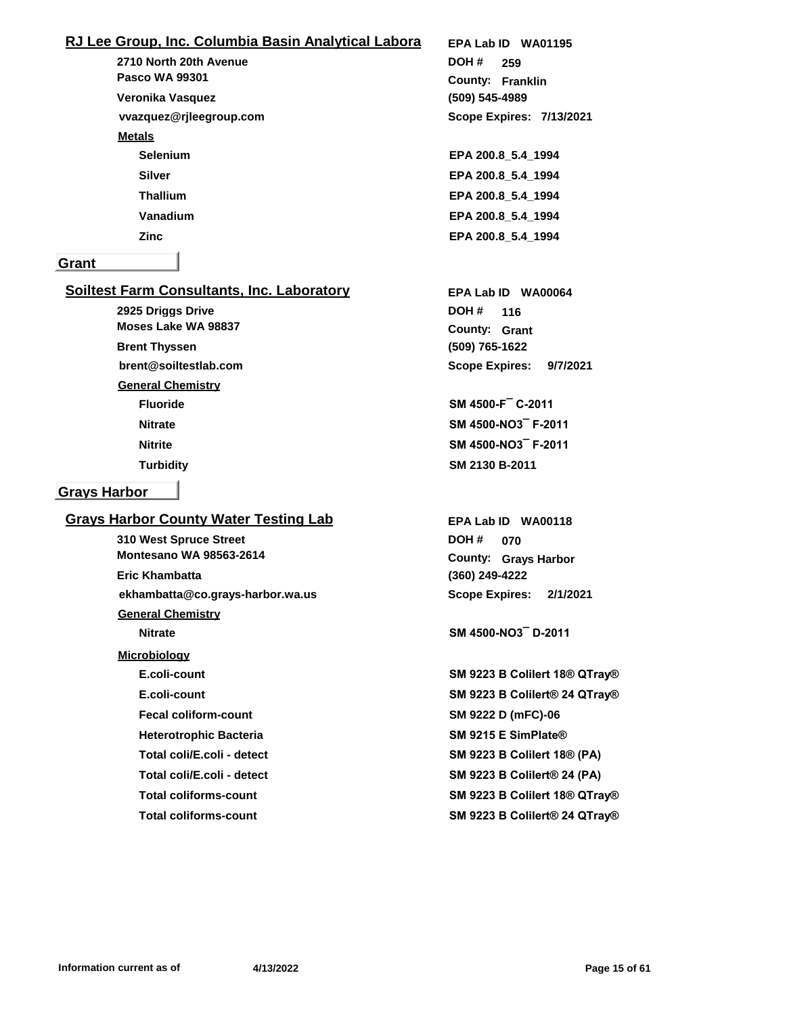## **RJ Lee Group, Inc. Columbia Basin Analytical Labora**

**2710 North 20th Avenue vvazquez@rjleegroup.com Pasco WA 99301 Veronika Vasquez Metals Selenium EPA 200.8\_5.4\_1994 Silver EPA 200.8\_5.4\_1994 Thallium EPA 200.8\_5.4\_1994 Vanadium EPA 200.8\_5.4\_1994 Zinc EPA 200.8\_5.4\_1994**

#### **Grant**

## **Soiltest Farm Consultants, Inc. Laboratory**

**2925 Driggs Drive (509) 765-1622 brent@soiltestlab.com Grant County: 116 Moses Lake WA 98837 Brent Thyssen DOH # General Chemistry Fluoride SM 4500-F¯ C-2011 Nitrate SM 4500-NO3¯ F-2011 Nitrite SM 4500-NO3¯ F-2011 Turbidity SM 2130 B-2011**

#### **Grays Harbor**

## **Grays Harbor County Water Testing Lab**

**310 West Spruce Street ekhambatta@co.grays-harbor.wa.us Montesano WA 98563-2614 Eric Khambatta General Chemistry Nitrate SM 4500-NO3¯ D-2011 Microbiology E.coli-count SM 9223 B Colilert 18® QTray® E.coli-count SM 9223 B Colilert® 24 QTray® Fecal coliform-count SM 9222 D (mFC)-06 Heterotrophic Bacteria SM 9215 E SimPlate® Total coli/E.coli - detect SM 9223 B Colilert 18® (PA) Total coli/E.coli - detect SM 9223 B Colilert® 24 (PA) Total coliforms-count SM 9223 B Colilert 18® QTray®**

**(509) 545-4989 Franklin County: 259 DOH # Scope Expires: 7/13/2021 EPA Lab ID WA01195**

**Scope Expires: 9/7/2021 EPA Lab ID WA00064**

**(360) 249-4222 Grays Harbor County: 070 DOH # Scope Expires: 2/1/2021 EPA Lab ID WA00118**

**Total coliforms-count SM 9223 B Colilert® 24 QTray®**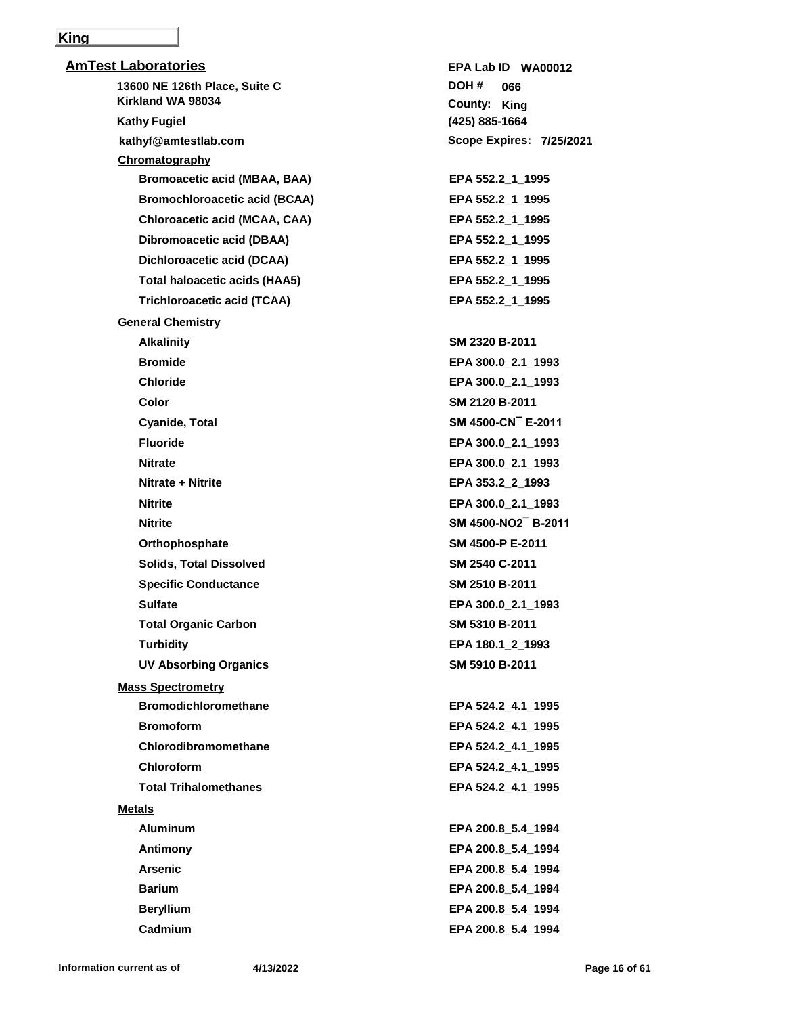#### **King**

| <b>AmTest Laboratories</b>           | EPA Lab ID WA00012              |
|--------------------------------------|---------------------------------|
| 13600 NE 126th Place, Suite C        | DOH #<br>066                    |
| Kirkland WA 98034                    | County: King                    |
| <b>Kathy Fugiel</b>                  | (425) 885-1664                  |
| kathyf@amtestlab.com                 | <b>Scope Expires: 7/25/2021</b> |
| Chromatography                       |                                 |
| <b>Bromoacetic acid (MBAA, BAA)</b>  | EPA 552.2 1 1995                |
| <b>Bromochloroacetic acid (BCAA)</b> | EPA 552.2_1_1995                |
| Chloroacetic acid (MCAA, CAA)        | EPA 552.2_1_1995                |
| Dibromoacetic acid (DBAA)            | EPA 552.2 1 1995                |
| Dichloroacetic acid (DCAA)           | EPA 552.2_1_1995                |
| <b>Total haloacetic acids (HAA5)</b> | EPA 552.2 1 1995                |
| <b>Trichloroacetic acid (TCAA)</b>   | EPA 552.2_1_1995                |
| <b>General Chemistry</b>             |                                 |
| <b>Alkalinity</b>                    | SM 2320 B-2011                  |
| <b>Bromide</b>                       | EPA 300.0_2.1_1993              |
| <b>Chloride</b>                      | EPA 300.0_2.1_1993              |
| <b>Color</b>                         | SM 2120 B-2011                  |
| Cyanide, Total                       | SM 4500-CN E-2011               |
| <b>Fluoride</b>                      | EPA 300.0_2.1_1993              |
| <b>Nitrate</b>                       | EPA 300.0_2.1_1993              |
| Nitrate + Nitrite                    | EPA 353.2_2_1993                |
| <b>Nitrite</b>                       | EPA 300.0_2.1_1993              |
| <b>Nitrite</b>                       | SM 4500-NO2 B-2011              |
| Orthophosphate                       | SM 4500-P E-2011                |
| <b>Solids, Total Dissolved</b>       | SM 2540 C-2011                  |
| <b>Specific Conductance</b>          | SM 2510 B-2011                  |
| <b>Sulfate</b>                       | EPA 300.0 2.1 1993              |
| <b>Total Organic Carbon</b>          | SM 5310 B-2011                  |
| <b>Turbidity</b>                     | EPA 180.1_2_1993                |
| <b>UV Absorbing Organics</b>         | SM 5910 B-2011                  |
| <b>Mass Spectrometry</b>             |                                 |
| <b>Bromodichloromethane</b>          | EPA 524.2 4.1 1995              |
| <b>Bromoform</b>                     | EPA 524.2_4.1_1995              |
| Chlorodibromomethane                 | EPA 524.2_4.1_1995              |
| <b>Chloroform</b>                    | EPA 524.2 4.1 1995              |
| <b>Total Trihalomethanes</b>         | EPA 524.2 4.1 1995              |
| <b>Metals</b>                        |                                 |
| <b>Aluminum</b>                      | EPA 200.8_5.4_1994              |
| Antimony                             | EPA 200.8_5.4_1994              |
| <b>Arsenic</b>                       | EPA 200.8 5.4 1994              |
| <b>Barium</b>                        | EPA 200.8 5.4 1994              |
| <b>Beryllium</b>                     | EPA 200.8_5.4_1994              |
| Cadmium                              | EPA 200.8_5.4_1994              |
|                                      |                                 |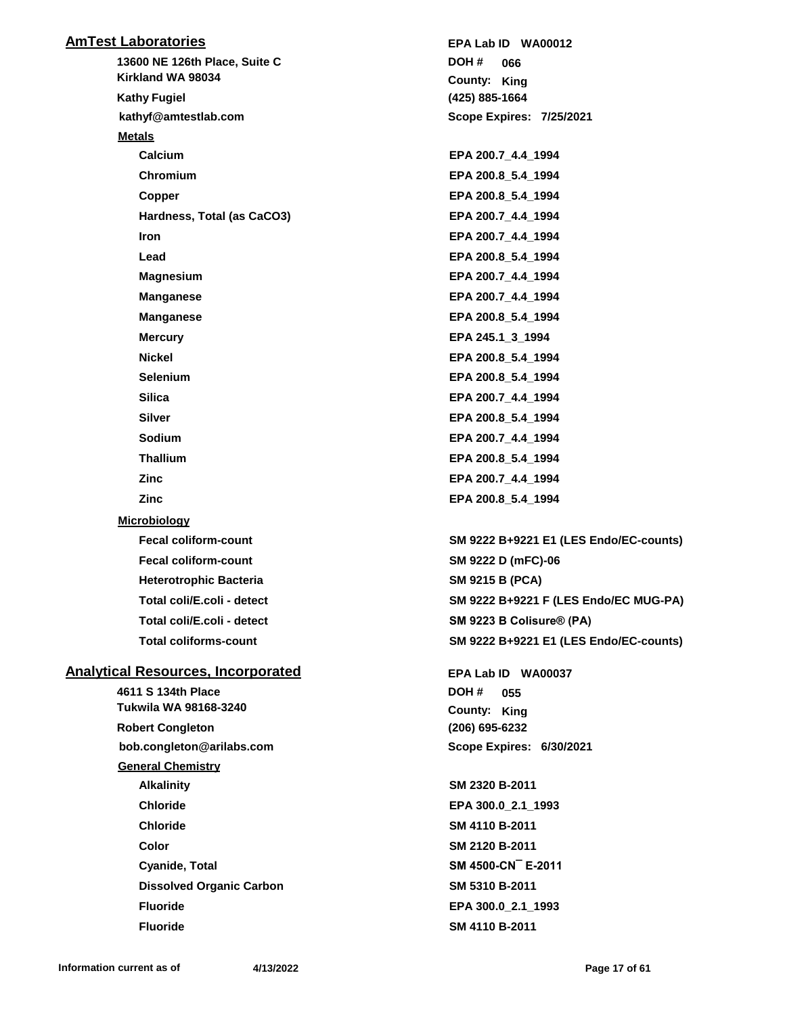| <b>AmTest Laboratories</b>                | EPA Lab ID WA00012                     |
|-------------------------------------------|----------------------------------------|
| 13600 NE 126th Place, Suite C             | DOH #<br>066                           |
| Kirkland WA 98034                         | County: King                           |
| <b>Kathy Fugiel</b>                       | (425) 885-1664                         |
| kathyf@amtestlab.com                      | <b>Scope Expires: 7/25/2021</b>        |
| <b>Metals</b>                             |                                        |
| <b>Calcium</b>                            | EPA 200.7_4.4_1994                     |
| Chromium                                  | EPA 200.8 5.4 1994                     |
| Copper                                    | EPA 200.8 5.4 1994                     |
| Hardness, Total (as CaCO3)                | EPA 200.7_4.4_1994                     |
| Iron                                      | EPA 200.7_4.4_1994                     |
| Lead                                      | EPA 200.8_5.4_1994                     |
| <b>Magnesium</b>                          | EPA 200.7_4.4_1994                     |
| <b>Manganese</b>                          | EPA 200.7_4.4_1994                     |
| <b>Manganese</b>                          | EPA 200.8_5.4_1994                     |
| <b>Mercury</b>                            | EPA 245.1_3_1994                       |
| <b>Nickel</b>                             | EPA 200.8_5.4_1994                     |
| <b>Selenium</b>                           | EPA 200.8_5.4_1994                     |
| <b>Silica</b>                             | EPA 200.7_4.4_1994                     |
| <b>Silver</b>                             | EPA 200.8_5.4_1994                     |
| Sodium                                    | EPA 200.7_4.4_1994                     |
| <b>Thallium</b>                           | EPA 200.8_5.4_1994                     |
| Zinc                                      | EPA 200.7_4.4_1994                     |
| <b>Zinc</b>                               | EPA 200.8_5.4_1994                     |
| <b>Microbiology</b>                       |                                        |
| <b>Fecal coliform-count</b>               | SM 9222 B+9221 E1 (LES Endo/EC-counts) |
| <b>Fecal coliform-count</b>               | SM 9222 D (mFC)-06                     |
| <b>Heterotrophic Bacteria</b>             | <b>SM 9215 B (PCA)</b>                 |
| Total coli/E.coli - detect                | SM 9222 B+9221 F (LES Endo/EC MUG-PA)  |
| Total coli/E.coli - detect                | SM 9223 B Colisure® (PA)               |
| <b>Total coliforms-count</b>              | SM 9222 B+9221 E1 (LES Endo/EC-counts) |
| <b>Analytical Resources, Incorporated</b> | EPA Lab ID WA00037                     |
| 4611 S 134th Place                        | DOH#<br>055                            |
| Tukwila WA 98168-3240                     | County: King                           |
| <b>Robert Congleton</b>                   | (206) 695-6232                         |
| bob.congleton@arilabs.com                 | Scope Expires: 6/30/2021               |
| <b>General Chemistry</b>                  |                                        |
| <b>Alkalinity</b>                         | SM 2320 B-2011                         |
| <b>Chloride</b>                           | EPA 300.0_2.1_1993                     |
| <b>Chloride</b>                           | SM 4110 B-2011                         |
| Color                                     | SM 2120 B-2011                         |

**Cyanide, Total SM 4500-CN¯ E-2011 Dissolved Organic Carbon SM 5310 B-2011 Fluoride EPA 300.0\_2.1\_1993 Fluoride SM 4110 B-2011**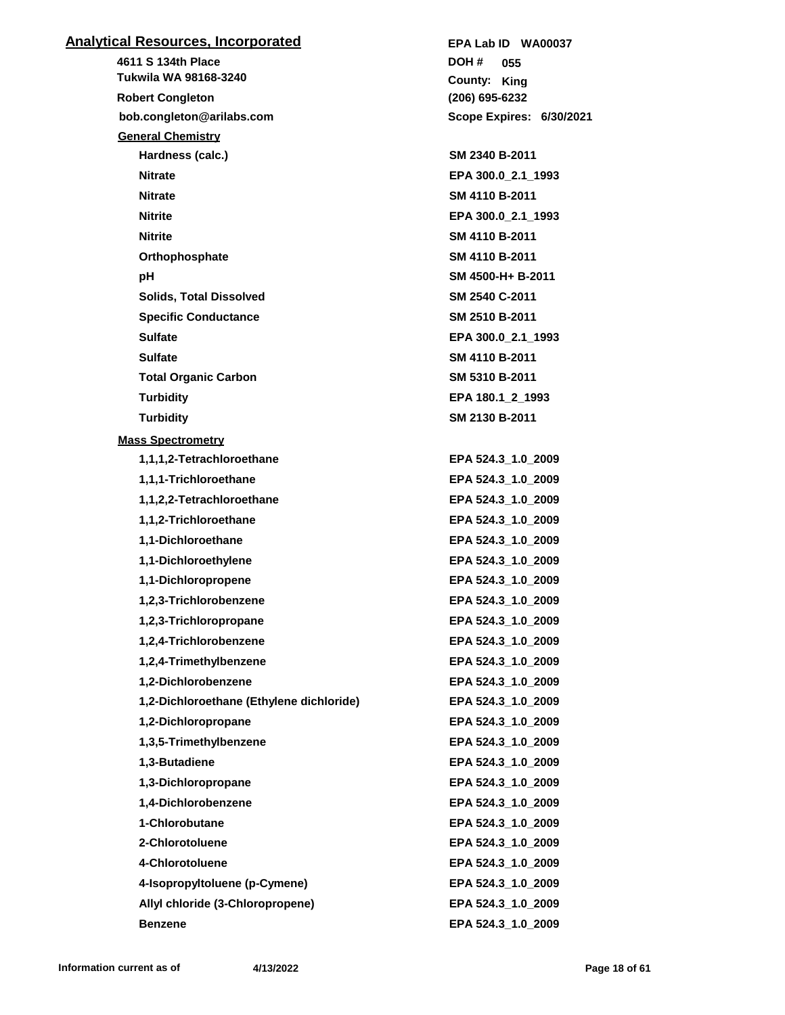## **Analytical Resources, Incorporated**

**4611 S 134th Place bob.congleton@arilabs.com Tukwila WA 98168-3240 Robert Congleton DOH # General Chemistry Hardness (calc.) SM 2340 B-2011 Nitrate EPA 300.0\_2.1\_1993 Nitrate SM 4110 B-2011 Nitrite EPA 300.0\_2.1\_1993 Nitrite SM 4110 B-2011 Orthophosphate SM 4110 B-2011 pH SM 4500-H+ B-2011 Solids, Total Dissolved SM 2540 C-2011 Specific Conductance SM 2510 B-2011 Sulfate EPA 300.0\_2.1\_1993 Sulfate SM 4110 B-2011 Total Organic Carbon SM 5310 B-2011 Turbidity EPA 180.1\_2\_1993 Turbidity SM 2130 B-2011 Mass Spectrometry 1,1,1,2-Tetrachloroethane EPA 524.3\_1.0\_2009 1,1,1-Trichloroethane EPA 524.3\_1.0\_2009 1,1,2,2-Tetrachloroethane EPA 524.3\_1.0\_2009 1,1,2-Trichloroethane EPA 524.3\_1.0\_2009 1,1-Dichloroethane EPA 524.3\_1.0\_2009 1,1-Dichloroethylene EPA 524.3\_1.0\_2009 1,1-Dichloropropene EPA 524.3\_1.0\_2009 1,2,3-Trichlorobenzene EPA 524.3\_1.0\_2009 1,2,3-Trichloropropane EPA 524.3\_1.0\_2009 1,2,4-Trichlorobenzene EPA 524.3\_1.0\_2009 1,2,4-Trimethylbenzene EPA 524.3\_1.0\_2009 1,2-Dichlorobenzene EPA 524.3\_1.0\_2009 1,2-Dichloroethane (Ethylene dichloride) EPA 524.3\_1.0\_2009 1,2-Dichloropropane EPA 524.3\_1.0\_2009 1,3,5-Trimethylbenzene EPA 524.3\_1.0\_2009 1,3-Butadiene EPA 524.3\_1.0\_2009 1,3-Dichloropropane EPA 524.3\_1.0\_2009 1,4-Dichlorobenzene EPA 524.3\_1.0\_2009 1-Chlorobutane EPA 524.3\_1.0\_2009 2-Chlorotoluene EPA 524.3\_1.0\_2009 4-Chlorotoluene EPA 524.3\_1.0\_2009 4-Isopropyltoluene (p-Cymene) EPA 524.3\_1.0\_2009 Allyl chloride (3-Chloropropene) EPA 524.3\_1.0\_2009**

**(206) 695-6232** County: King **055 Scope Expires: 6/30/2021 EPA Lab ID WA00037**

**Benzene EPA 524.3\_1.0\_2009**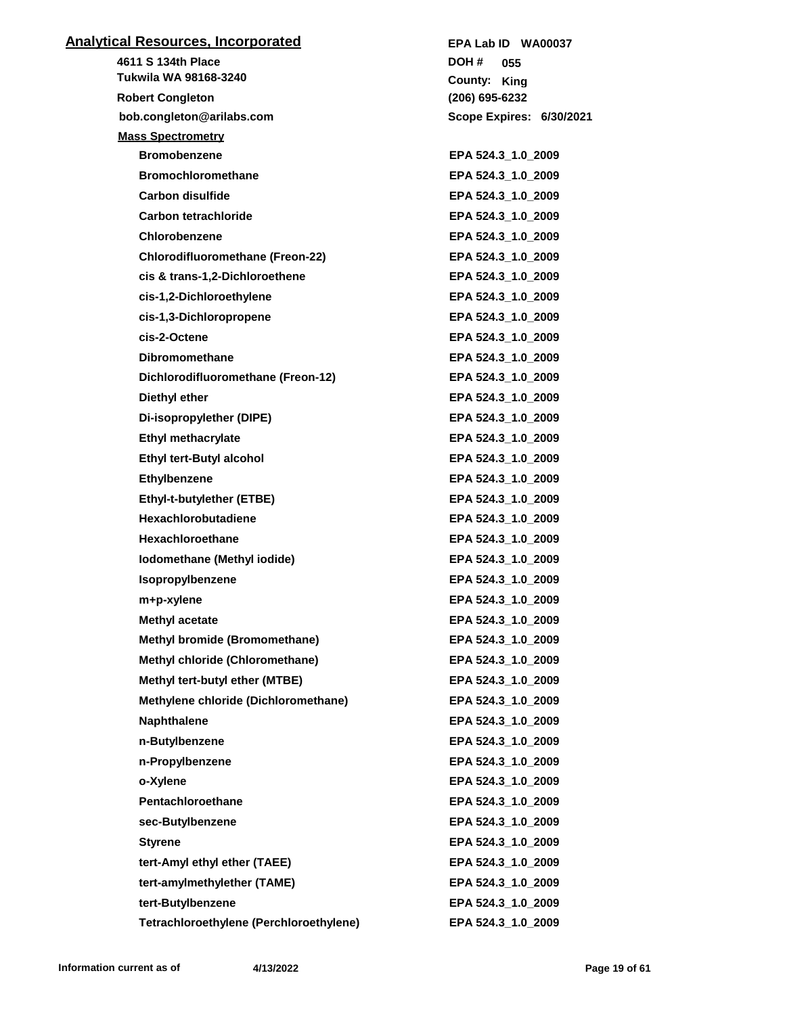| <b>Analytical Resources, Incorporated</b> | EPA Lab ID WA00037       |
|-------------------------------------------|--------------------------|
| 4611 S 134th Place                        | DOH #<br>055             |
| Tukwila WA 98168-3240                     | County: King             |
| <b>Robert Congleton</b>                   | (206) 695-6232           |
| bob.congleton@arilabs.com                 | Scope Expires: 6/30/2021 |
| <b>Mass Spectrometry</b>                  |                          |
| <b>Bromobenzene</b>                       | EPA 524.3 1.0 2009       |
| <b>Bromochloromethane</b>                 | EPA 524.3_1.0_2009       |
| <b>Carbon disulfide</b>                   | EPA 524.3 1.0 2009       |
| <b>Carbon tetrachloride</b>               | EPA 524.3_1.0_2009       |
| <b>Chlorobenzene</b>                      | EPA 524.3_1.0_2009       |
| <b>Chlorodifluoromethane (Freon-22)</b>   | EPA 524.3_1.0_2009       |
| cis & trans-1,2-Dichloroethene            | EPA 524.3_1.0_2009       |
| cis-1,2-Dichloroethylene                  | EPA 524.3_1.0_2009       |
| cis-1,3-Dichloropropene                   | EPA 524.3 1.0 2009       |
| cis-2-Octene                              | EPA 524.3_1.0_2009       |
| <b>Dibromomethane</b>                     | EPA 524.3_1.0_2009       |
| Dichlorodifluoromethane (Freon-12)        | EPA 524.3_1.0_2009       |
| Diethyl ether                             | EPA 524.3 1.0 2009       |
| Di-isopropylether (DIPE)                  | EPA 524.3_1.0_2009       |
| <b>Ethyl methacrylate</b>                 | EPA 524.3_1.0_2009       |
| <b>Ethyl tert-Butyl alcohol</b>           | EPA 524.3_1.0_2009       |
| <b>Ethylbenzene</b>                       | EPA 524.3_1.0_2009       |
| Ethyl-t-butylether (ETBE)                 | EPA 524.3_1.0_2009       |
| <b>Hexachlorobutadiene</b>                | EPA 524.3_1.0_2009       |
| <b>Hexachloroethane</b>                   | EPA 524.3_1.0_2009       |
| Iodomethane (Methyl iodide)               | EPA 524.3_1.0_2009       |
| Isopropylbenzene                          | EPA 524.3_1.0_2009       |
| m+p-xylene                                | EPA 524.3_1.0_2009       |
| <b>Methyl acetate</b>                     | EPA 524.3_1.0_2009       |
| Methyl bromide (Bromomethane)             | EPA 524.3 1.0 2009       |
| Methyl chloride (Chloromethane)           | EPA 524.3 1.0 2009       |
| Methyl tert-butyl ether (MTBE)            | EPA 524.3 1.0 2009       |
| Methylene chloride (Dichloromethane)      | EPA 524.3 1.0 2009       |
| <b>Naphthalene</b>                        | EPA 524.3_1.0_2009       |
| n-Butylbenzene                            | EPA 524.3_1.0_2009       |
| n-Propylbenzene                           | EPA 524.3_1.0_2009       |
| o-Xylene                                  | EPA 524.3_1.0_2009       |
| Pentachloroethane                         | EPA 524.3_1.0_2009       |
| sec-Butylbenzene                          | EPA 524.3 1.0 2009       |
| <b>Styrene</b>                            | EPA 524.3_1.0_2009       |
| tert-Amyl ethyl ether (TAEE)              | EPA 524.3_1.0_2009       |
| tert-amylmethylether (TAME)               | EPA 524.3_1.0_2009       |
| tert-Butylbenzene                         | EPA 524.3 1.0 2009       |
| Tetrachloroethylene (Perchloroethylene)   | EPA 524.3_1.0_2009       |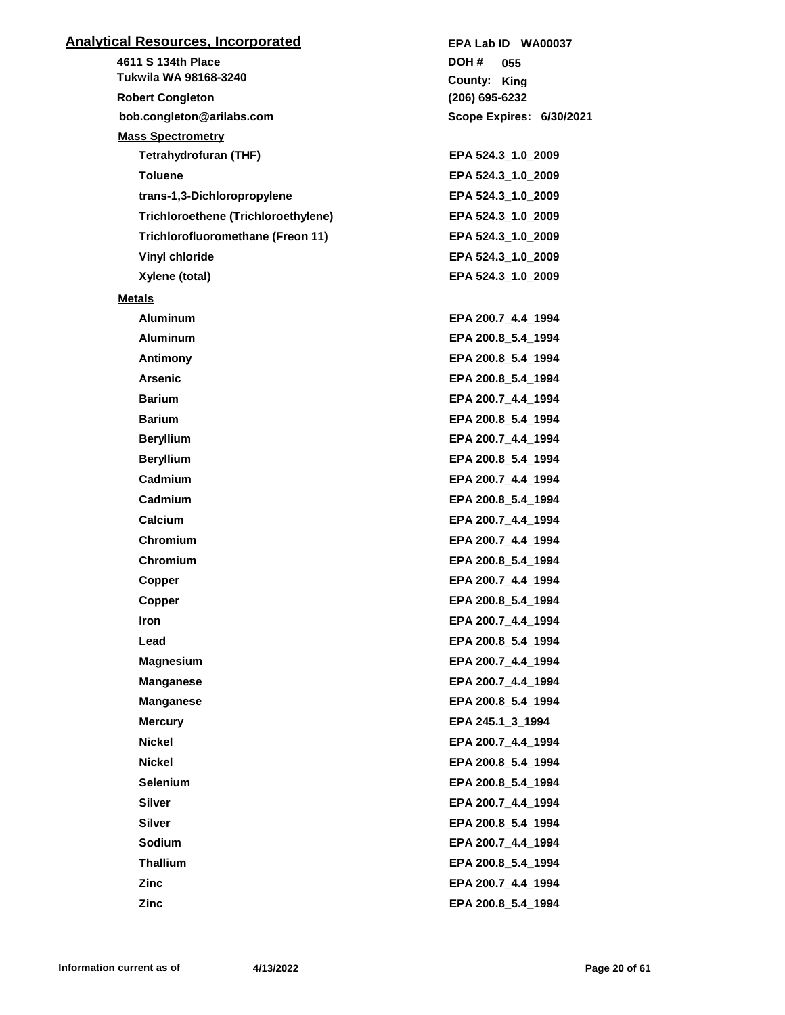| <u>Analytical Resources, Incorporated</u>  | EPA Lab ID WA00037       |
|--------------------------------------------|--------------------------|
| 4611 S 134th Place                         | DOH #<br>055             |
| Tukwila WA 98168-3240                      | County: King             |
| <b>Robert Congleton</b>                    | (206) 695-6232           |
| bob.congleton@arilabs.com                  | Scope Expires: 6/30/2021 |
| <b>Mass Spectrometry</b>                   |                          |
| <b>Tetrahydrofuran (THF)</b>               | EPA 524.3_1.0_2009       |
| <b>Toluene</b>                             | EPA 524.3_1.0_2009       |
| trans-1,3-Dichloropropylene                | EPA 524.3_1.0_2009       |
| <b>Trichloroethene (Trichloroethylene)</b> | EPA 524.3_1.0_2009       |
| Trichlorofluoromethane (Freon 11)          | EPA 524.3_1.0_2009       |
| Vinyl chloride                             | EPA 524.3_1.0_2009       |
| Xylene (total)                             | EPA 524.3_1.0_2009       |
| <b>Metals</b>                              |                          |
| <b>Aluminum</b>                            | EPA 200.7_4.4_1994       |
| <b>Aluminum</b>                            | EPA 200.8_5.4_1994       |
| Antimony                                   | EPA 200.8_5.4_1994       |
| <b>Arsenic</b>                             | EPA 200.8_5.4_1994       |
| <b>Barium</b>                              | EPA 200.7_4.4_1994       |
| <b>Barium</b>                              | EPA 200.8_5.4_1994       |
| <b>Beryllium</b>                           | EPA 200.7_4.4_1994       |
| <b>Beryllium</b>                           | EPA 200.8_5.4_1994       |
| Cadmium                                    | EPA 200.7_4.4_1994       |
| Cadmium                                    | EPA 200.8_5.4_1994       |
| Calcium                                    | EPA 200.7_4.4_1994       |
| Chromium                                   | EPA 200.7_4.4_1994       |
| Chromium                                   | EPA 200.8_5.4_1994       |
| Copper                                     | EPA 200.7 4.4 1994       |
| Copper                                     | EPA 200.8 5.4 1994       |
| Iron                                       | EPA 200.7_4.4_1994       |
| Lead                                       | EPA 200.8 5.4 1994       |
| <b>Magnesium</b>                           | EPA 200.7 4.4 1994       |
| <b>Manganese</b>                           | EPA 200.7 4.4 1994       |
| <b>Manganese</b>                           | EPA 200.8 5.4 1994       |
| <b>Mercury</b>                             | EPA 245.1 3 1994         |
| <b>Nickel</b>                              | EPA 200.7 4.4 1994       |
| <b>Nickel</b>                              | EPA 200.8_5.4_1994       |
| <b>Selenium</b>                            | EPA 200.8 5.4 1994       |
| <b>Silver</b>                              | EPA 200.7 4.4 1994       |
| <b>Silver</b>                              | EPA 200.8 5.4 1994       |
| Sodium                                     | EPA 200.7 4.4 1994       |
| <b>Thallium</b>                            | EPA 200.8_5.4_1994       |
| <b>Zinc</b>                                | EPA 200.7 4.4 1994       |
| Zinc                                       | EPA 200.8 5.4 1994       |
|                                            |                          |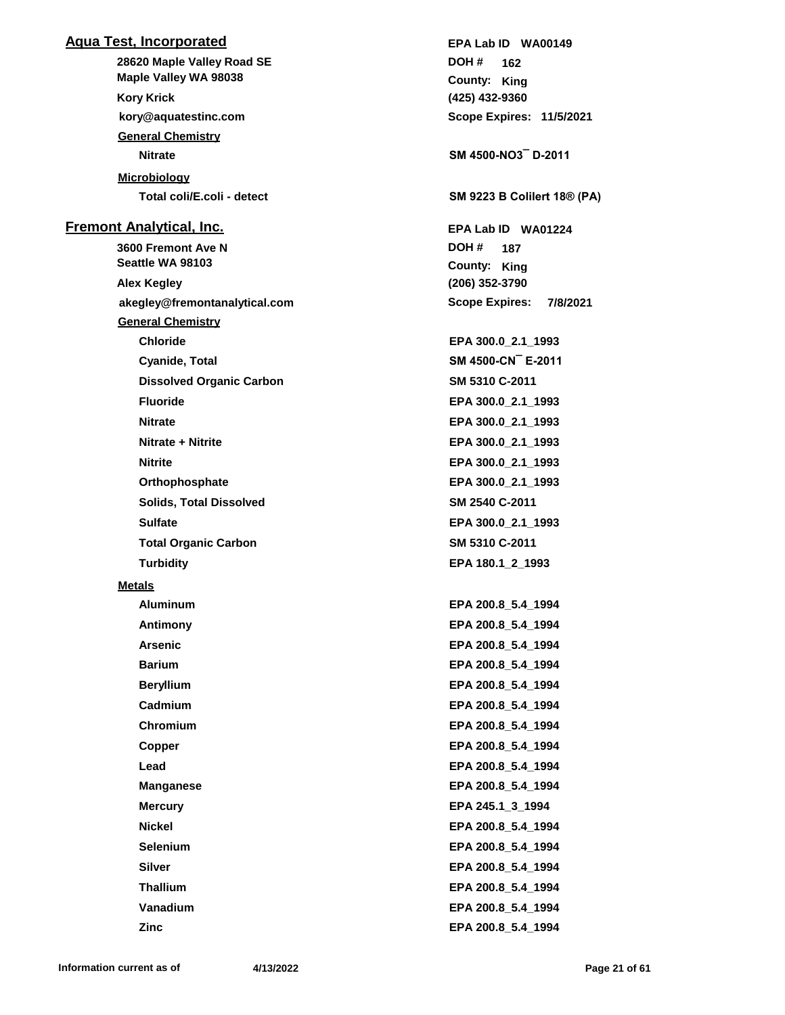## **Aqua Test, Incorporated**

**28620 Maple Valley Road SE kory@aquatestinc.com Maple Valley WA 98038 Kory Krick General Chemistry Nitrate SM 4500-NO3¯ D-2011 Microbiology Total coli/E.coli - detect SM 9223 B Colilert 18® (PA) Fremont Analytical, Inc. 3600 Fremont Ave N Seattle WA 98103**

**akegley@fremontanalytical.com Alex Kegley General Chemistry Chloride EPA 300.0\_2.1\_1993 Cyanide, Total SM 4500-CN¯ E-2011 Dissolved Organic Carbon SM 5310 C-2011 Fluoride EPA 300.0\_2.1\_1993 Nitrate EPA 300.0\_2.1\_1993 Nitrate + Nitrite EPA 300.0\_2.1\_1993 Nitrite EPA 300.0\_2.1\_1993 Orthophosphate EPA 300.0\_2.1\_1993 Solids, Total Dissolved SM 2540 C-2011 Sulfate EPA 300.0\_2.1\_1993 Total Organic Carbon SM 5310 C-2011 Turbidity EPA 180.1\_2\_1993** 

#### **Metals**

**Aluminum EPA 200.8\_5.4\_1994 Antimony EPA 200.8\_5.4\_1994 Arsenic EPA 200.8\_5.4\_1994 Barium EPA 200.8\_5.4\_1994 Beryllium EPA 200.8\_5.4\_1994 Cadmium EPA 200.8\_5.4\_1994 Chromium EPA 200.8\_5.4\_1994 Copper EPA 200.8\_5.4\_1994 Lead EPA 200.8\_5.4\_1994 Manganese EPA 200.8\_5.4\_1994 Mercury EPA 245.1\_3\_1994 Nickel EPA 200.8\_5.4\_1994 Selenium EPA 200.8\_5.4\_1994 Silver EPA 200.8\_5.4\_1994 Thallium EPA 200.8\_5.4\_1994 Vanadium EPA 200.8\_5.4\_1994 Zinc EPA 200.8\_5.4\_1994**

**(425) 432-9360** County: King **162 DOH # Scope Expires: 11/5/2021 EPA Lab ID WA00149 (206) 352-3790** County: King **187 DOH # Scope Expires: 7/8/2021 EPA Lab ID WA01224**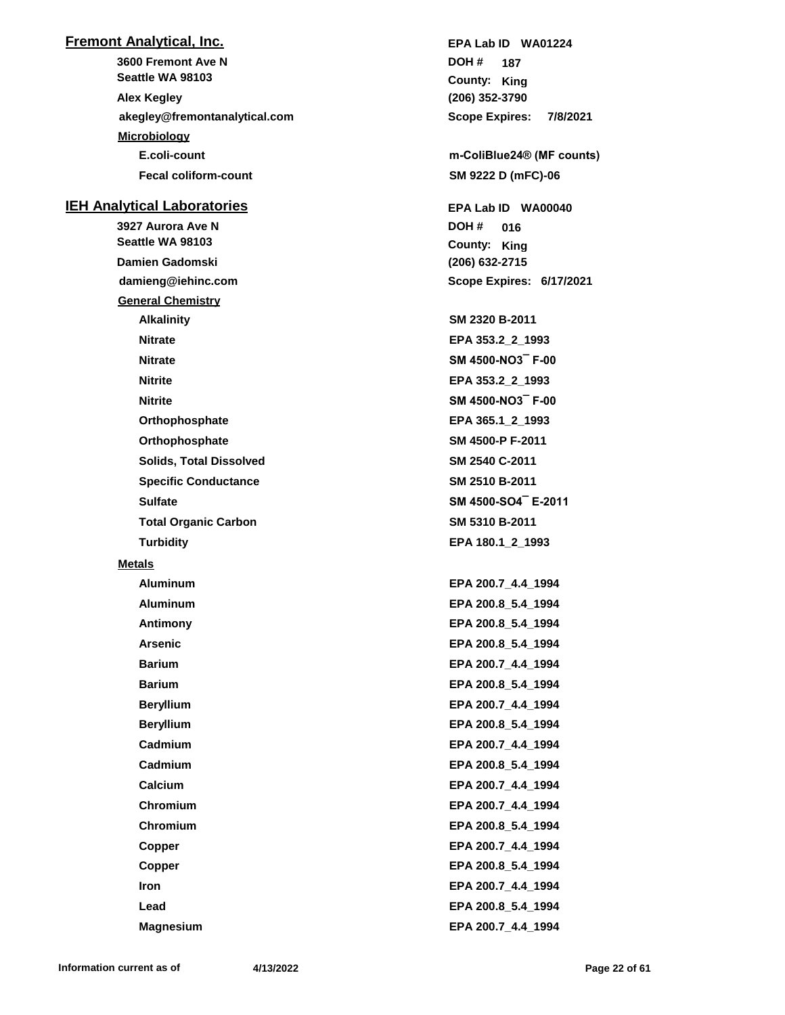### **Fremont Analytical, Inc.**

**3600 Fremont Ave N akegley@fremontanalytical.com Seattle WA 98103 Alex Kegley Microbiology E.coli-count m-ColiBlue24® (MF counts) Fecal coliform-count SM 9222 D (mFC)-06**

#### **IEH Analytical Laboratories**

**3927 Aurora Ave N damieng@iehinc.com Seattle WA 98103 Damien Gadomski General Chemistry Alkalinity SM 2320 B-2011 Nitrate EPA 353.2\_2\_1993 Nitrate SM 4500-NO3¯ F-00 Nitrite EPA 353.2\_2\_1993 Nitrite SM 4500-NO3¯ F-00 Orthophosphate EPA 365.1\_2\_1993 Orthophosphate SM 4500-P F-2011 Solids, Total Dissolved SM 2540 C-2011 Specific Conductance SM 2510 B-2011 Sulfate SM 4500-SO4¯ E-2011 Total Organic Carbon SM 5310 B-2011 Turbidity EPA 180.1\_2\_1993 Metals**

**(206) 352-3790** County: King **187 DOH # Scope Expires: 7/8/2021 EPA Lab ID WA01224**

**(206) 632-2715** County: King **016 DOH # Scope Expires: 6/17/2021 EPA Lab ID WA00040**

**Aluminum EPA 200.7\_4.4\_1994 Aluminum EPA 200.8\_5.4\_1994 Antimony EPA 200.8\_5.4\_1994 Arsenic EPA 200.8\_5.4\_1994 Barium EPA 200.7\_4.4\_1994 Barium EPA 200.8\_5.4\_1994 Beryllium EPA 200.7\_4.4\_1994 Beryllium EPA 200.8\_5.4\_1994 Cadmium EPA 200.7\_4.4\_1994 Cadmium EPA 200.8\_5.4\_1994 Calcium EPA 200.7\_4.4\_1994 Chromium EPA 200.7\_4.4\_1994 Chromium EPA 200.8\_5.4\_1994 Copper EPA 200.7\_4.4\_1994 Copper EPA 200.8\_5.4\_1994 Iron EPA 200.7\_4.4\_1994 Lead EPA 200.8\_5.4\_1994 Magnesium EPA 200.7\_4.4\_1994**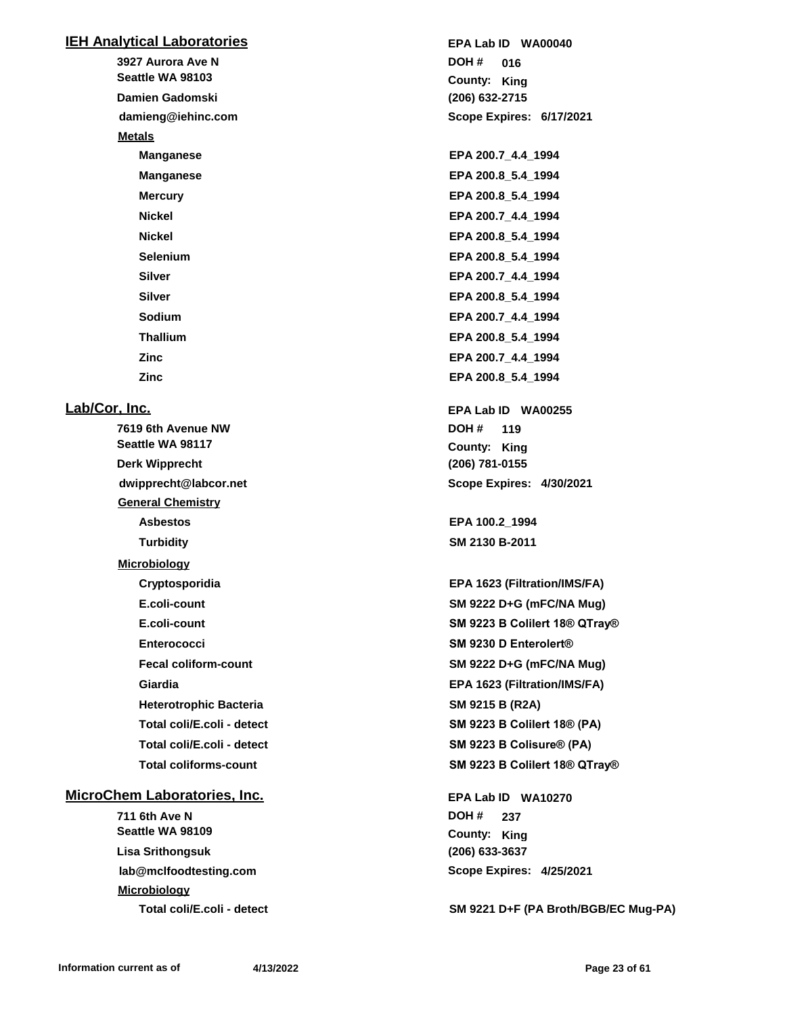#### **IEH Analytical Laboratories**

**3927 Aurora Ave N damieng@iehinc.com Seattle WA 98103 Damien Gadomski Metals**

# **Lab/Cor, Inc.**

**7619 6th Avenue NW dwipprecht@labcor.net Seattle WA 98117 Derk Wipprecht General Chemistry Asbestos EPA 100.2\_1994 Turbidity SM 2130 B-2011 Microbiology Heterotrophic Bacteria SM 9215 B (R2A) Total coliforms-count SM 9223 B Colilert 18® QTray®**

## **MicroChem Laboratories, Inc.**

**711 6th Ave N lab@mclfoodtesting.com Seattle WA 98109 Lisa Srithongsuk Microbiology**

**(206) 632-2715** County: King **016 DOH # Scope Expires: 6/17/2021 EPA Lab ID WA00040 Manganese EPA 200.7\_4.4\_1994 Manganese EPA 200.8\_5.4\_1994 Mercury EPA 200.8 5.4 1994 Nickel EPA 200.7\_4.4\_1994 Nickel EPA 200.8\_5.4\_1994 Selenium EPA 200.8\_5.4\_1994 Silver EPA 200.7\_4.4\_1994 Silver EPA 200.8\_5.4\_1994 Sodium EPA 200.7\_4.4\_1994 Thallium EPA 200.8\_5.4\_1994 Zinc EPA 200.7\_4.4\_1994 Zinc EPA 200.8\_5.4\_1994 (206) 781-0155** County: King **119 DOH # Scope Expires: 4/30/2021 EPA Lab ID WA00255 Cryptosporidia EPA 1623 (Filtration/IMS/FA) E.coli-count SM 9222 D+G (mFC/NA Mug) E.coli-count SM 9223 B Colilert 18® QTray® Enterococci SM 9230 D Enterolert® Fecal coliform-count SM 9222 D+G (mFC/NA Mug) Giardia EPA 1623 (Filtration/IMS/FA) Total coli/E.coli - detect SM 9223 B Colilert 18® (PA) Total coli/E.coli - detect SM 9223 B Colisure® (PA)**

> **(206) 633-3637 County: King 237 DOH # Scope Expires: 4/25/2021 EPA Lab ID WA10270**

**Total coli/E.coli - detect SM 9221 D+F (PA Broth/BGB/EC Mug-PA)**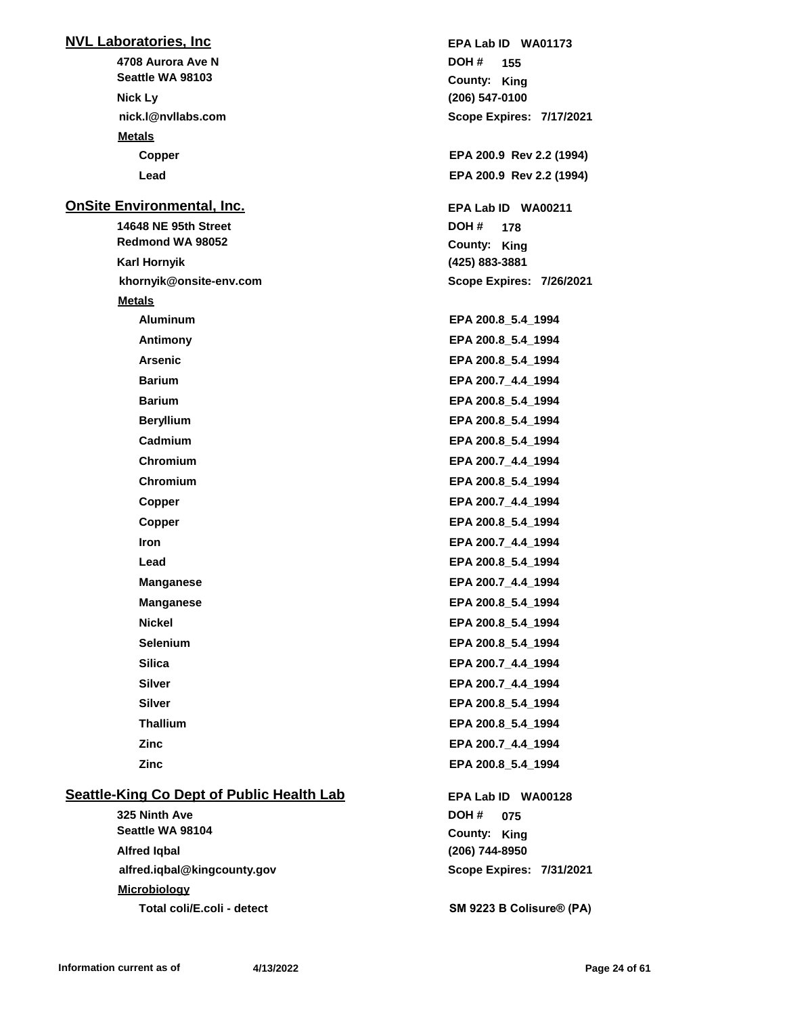## **NVL Laboratories, Inc**

**4708 Aurora Ave N nick.l@nvllabs.com Seattle WA 98103 Nick Ly Metals**

#### **OnSite Environmental, Inc.**

**14648 NE 95th Street khornyik@onsite-env.com Redmond WA 98052 Karl Hornyik Metals Aluminum EPA 200.8\_5.4\_1994 Antimony EPA 200.8\_5.4\_1994 Arsenic EPA 200.8\_5.4\_1994 Barium EPA 200.7\_4.4\_1994 Barium EPA 200.8\_5.4\_1994 Beryllium EPA 200.8\_5.4\_1994 Cadmium EPA 200.8\_5.4\_1994 Chromium EPA 200.7\_4.4\_1994 Chromium EPA 200.8\_5.4\_1994 Copper EPA 200.7\_4.4\_1994 Copper EPA 200.8\_5.4\_1994 Iron EPA 200.7\_4.4\_1994 Lead EPA 200.8\_5.4\_1994 Manganese EPA 200.7\_4.4\_1994 Manganese EPA 200.8\_5.4\_1994 Nickel EPA 200.8\_5.4\_1994 Selenium EPA 200.8\_5.4\_1994 Silica EPA 200.7\_4.4\_1994 Silver EPA 200.7\_4.4\_1994 Silver EPA 200.8\_5.4\_1994 Thallium EPA 200.8\_5.4\_1994 Zinc EPA 200.7\_4.4\_1994**

## **Seattle-King Co Dept of Public Health Lab**

**325 Ninth Ave alfred.iqbal@kingcounty.gov Seattle WA 98104 Alfred Iqbal Microbiology Total coli/E.coli - detect SM 9223 B Colisure® (PA)**

**(206) 547-0100** County: King **155 DOH # Scope Expires: 7/17/2021 EPA Lab ID WA01173 Copper EPA 200.9 Rev 2.2 (1994) Lead EPA 200.9 Rev 2.2 (1994) (425) 883-3881** County: King **178 DOH # Scope Expires: 7/26/2021 EPA Lab ID WA00211 Zinc EPA 200.8\_5.4\_1994**

> **(206) 744-8950 County: King 075 DOH # Scope Expires: 7/31/2021 EPA Lab ID WA00128**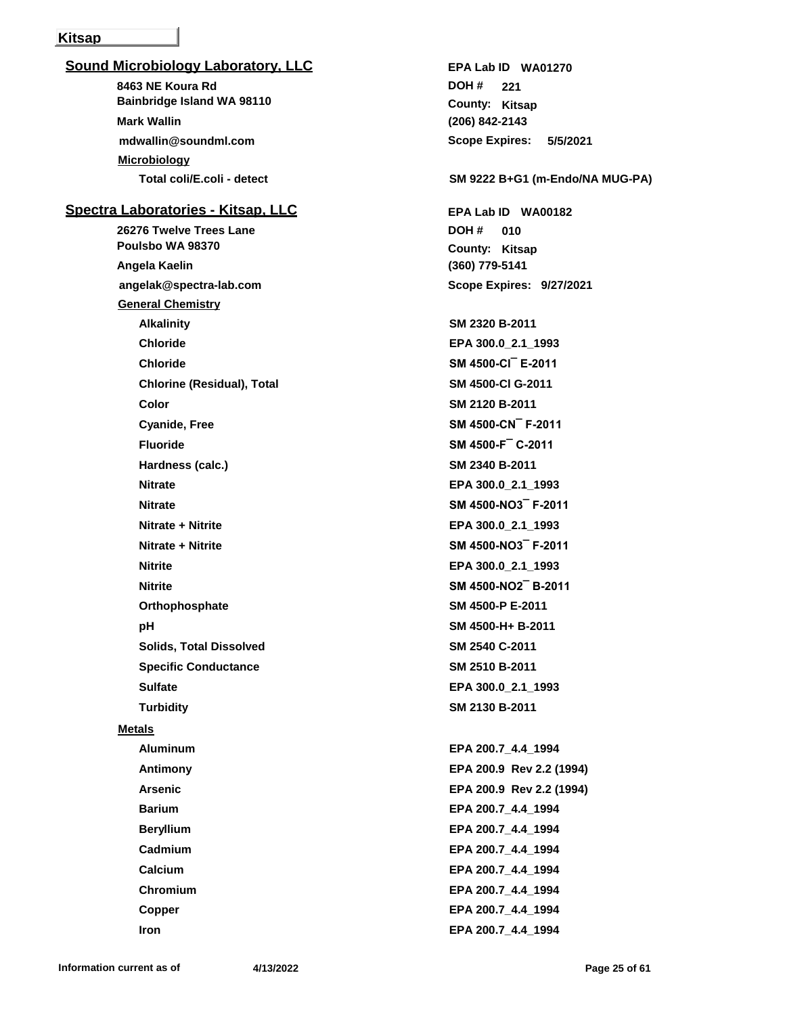#### **Kitsap**

## **Sound Microbiology Laboratory, LLC**

**8463 NE Koura Rd mdwallin@soundml.com Bainbridge Island WA 98110 Mark Wallin Microbiology**

## **Spectra Laboratories - Kitsap, LLC**

**26276 Twelve Trees Lane angelak@spectra-lab.com Poulsbo WA 98370 Angela Kaelin General Chemistry Alkalinity SM 2320 B-2011 Chloride EPA 300.0\_2.1\_1993 Chloride SM 4500-Cl¯ E-2011 Chlorine (Residual), Total SM 4500-Cl G-2011 Color SM 2120 B-2011 Cyanide, Free SM 4500-CN¯ F-2011 Fluoride SM 4500-F¯ C-2011 Hardness (calc.) SM 2340 B-2011 Nitrate EPA 300.0\_2.1\_1993 Nitrate SM 4500-NO3¯ F-2011 Nitrate + Nitrite EPA 300.0\_2.1\_1993 Nitrate + Nitrite SM 4500-NO3¯ F-2011 Nitrite EPA 300.0\_2.1\_1993 Nitrite SM 4500-NO2¯ B-2011 Orthophosphate SM 4500-P E-2011 pH SM 4500-H+ B-2011 Solids, Total Dissolved SM 2540 C-2011 Specific Conductance SM 2510 B-2011 Sulfate EPA 300.0\_2.1\_1993 Turbidity SM 2130 B-2011 Metals Aluminum EPA 200.7\_4.4\_1994 Antimony EPA 200.9 Rev 2.2 (1994) Arsenic EPA 200.9 Rev 2.2 (1994) Barium EPA 200.7\_4.4\_1994 Beryllium EPA 200.7\_4.4\_1994 Cadmium EPA 200.7\_4.4\_1994**

**(206) 842-2143** County: Kitsap **221 DOH # Scope Expires: 5/5/2021 EPA Lab ID WA01270**

#### **Total coli/E.coli - detect SM 9222 B+G1 (m-Endo/NA MUG-PA)**

**(360) 779-5141** County: Kitsap **010 DOH # Scope Expires: 9/27/2021 EPA Lab ID WA00182**

**Calcium EPA 200.7\_4.4\_1994 Chromium EPA 200.7\_4.4\_1994 Copper EPA 200.7\_4.4\_1994 Iron EPA 200.7\_4.4\_1994**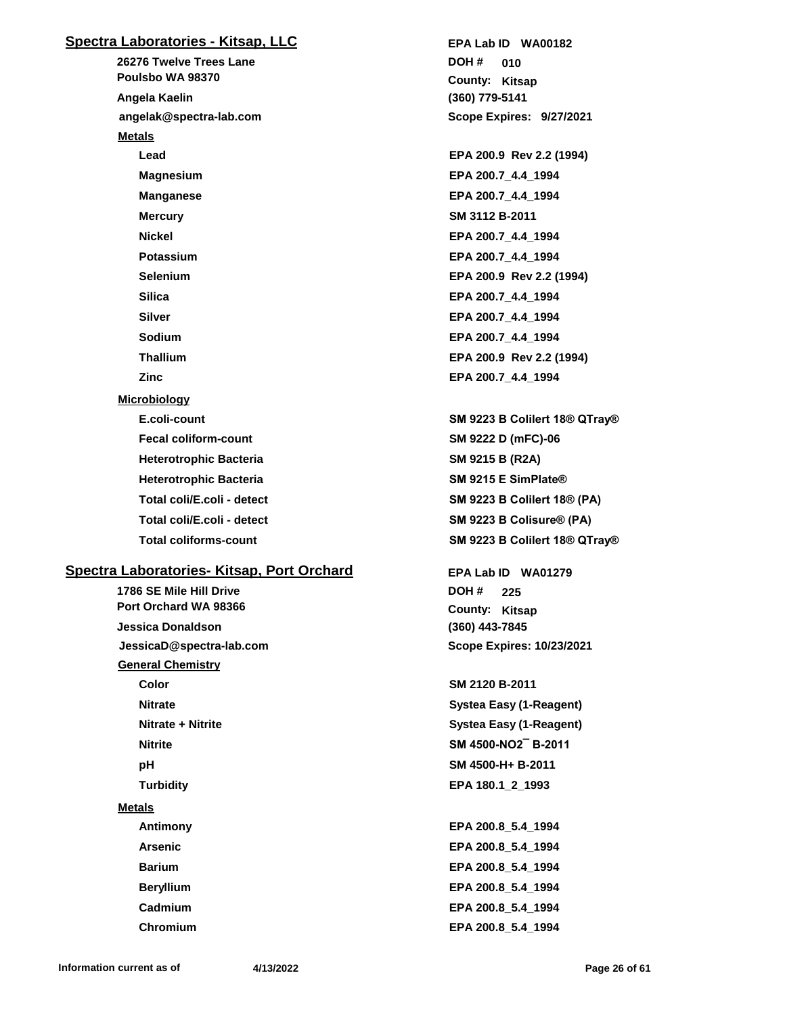## **Spectra Laboratories - Kitsap, LLC**

**26276 Twelve Trees Lane angelak@spectra-lab.com Poulsbo WA 98370 Angela Kaelin Metals Lead EPA 200.9 Rev 2.2 (1994) Magnesium EPA 200.7\_4.4\_1994 Manganese EPA 200.7\_4.4\_1994 Mercury SM 3112 B-2011 Nickel EPA 200.7\_4.4\_1994 Potassium EPA 200.7\_4.4\_1994 Selenium EPA 200.9 Rev 2.2 (1994) Silica EPA 200.7\_4.4\_1994 Silver EPA 200.7\_4.4\_1994 Sodium EPA 200.7\_4.4\_1994 Thallium EPA 200.9 Rev 2.2 (1994) Zinc EPA 200.7\_4.4\_1994 Microbiology E.coli-count SM 9223 B Colilert 18® QTray® Fecal coliform-count SM 9222 D (mFC)-06 Heterotrophic Bacteria SM 9215 B (R2A) Heterotrophic Bacteria SM 9215 E SimPlate® Total coli/E.coli - detect SM 9223 B Colisure® (PA)**

## **Spectra Laboratories- Kitsap, Port Orchard**

**1786 SE Mile Hill Drive JessicaD@spectra-lab.com Port Orchard WA 98366 Jessica Donaldson General Chemistry Color SM 2120 B-2011 Nitrate Systea Easy (1-Reagent) Nitrate + Nitrite Systea Easy (1-Reagent) Nitrite SM 4500-NO2¯ B-2011 pH SM 4500-H+ B-2011 Turbidity EPA 180.1\_2\_1993 Metals Antimony EPA 200.8\_5.4\_1994 Arsenic EPA 200.8\_5.4\_1994 Barium EPA 200.8\_5.4\_1994 Beryllium EPA 200.8\_5.4\_1994**

**(360) 779-5141** County: Kitsap **010 DOH # Scope Expires: 9/27/2021 EPA Lab ID WA00182**

**Total coli/E.coli - detect SM 9223 B Colilert 18® (PA) Total coliforms-count SM 9223 B Colilert 18® QTray®**

> **(360) 443-7845** County: Kitsap **225 DOH # Scope Expires: 10/23/2021 EPA Lab ID WA01279**

**Cadmium EPA 200.8\_5.4\_1994 Chromium EPA 200.8\_5.4\_1994**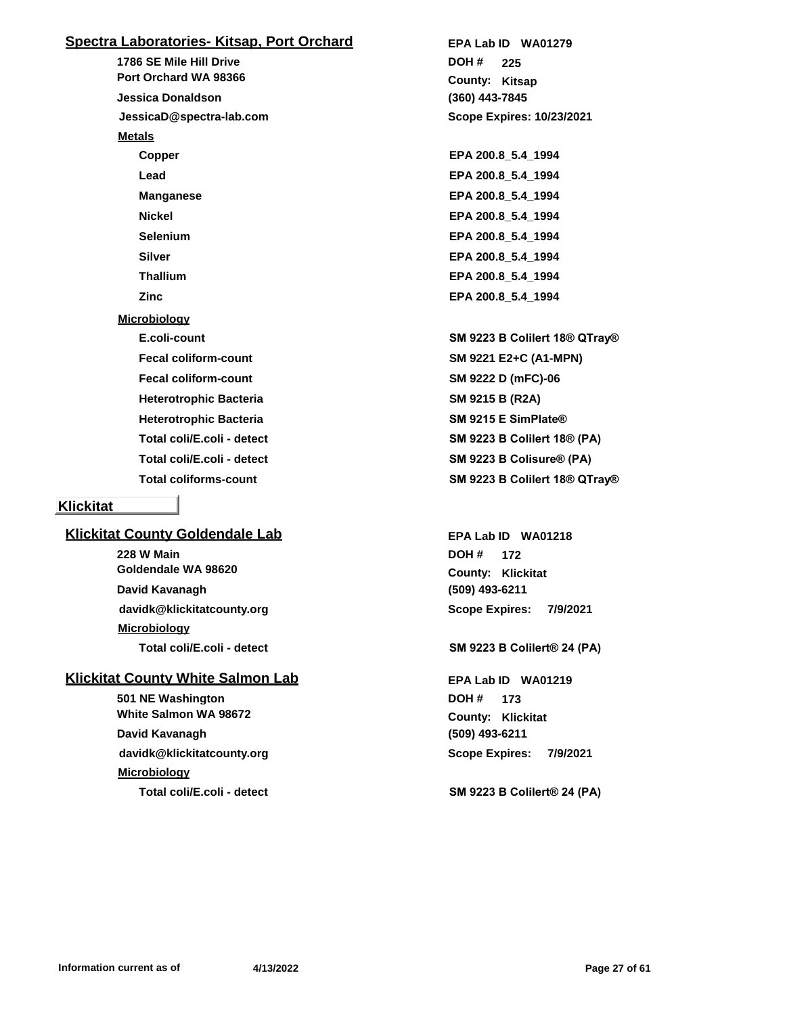## **Spectra Laboratories- Kitsap, Port Orchard**

**1786 SE Mile Hill Drive JessicaD@spectra-lab.com Port Orchard WA 98366 Jessica Donaldson Metals Copper EPA 200.8\_5.4\_1994 Lead EPA 200.8\_5.4\_1994 Manganese EPA 200.8\_5.4\_1994 Nickel EPA 200.8\_5.4\_1994 Selenium EPA 200.8\_5.4\_1994 Silver EPA 200.8\_5.4\_1994 Thallium EPA 200.8\_5.4\_1994 Zinc EPA 200.8\_5.4\_1994 Microbiology Fecal coliform-count SM 9221 E2+C (A1-MPN) Fecal coliform-count SM 9222 D (mFC)-06 Heterotrophic Bacteria SM 9215 B (R2A) Heterotrophic Bacteria SM 9215 E SimPlate® Total coli/E.coli - detect SM 9223 B Colisure® (PA)**

## **Klickitat**

## **Klickitat County Goldendale Lab**

**228 W Main davidk@klickitatcounty.org Goldendale WA 98620 David Kavanagh Microbiology**

## **Klickitat County White Salmon Lab**

**501 NE Washington davidk@klickitatcounty.org White Salmon WA 98672 David Kavanagh Microbiology**

**(360) 443-7845** County: Kitsap **225 DOH # Scope Expires: 10/23/2021 EPA Lab ID WA01279**

**E.coli-count SM 9223 B Colilert 18® QTray® Total coli/E.coli - detect SM 9223 B Colilert 18® (PA) Total coliforms-count SM 9223 B Colilert 18® QTray®**

> **(509) 493-6211 Klickitat County: 172 DOH # Scope Expires: 7/9/2021 EPA Lab ID WA01218**

#### **Total coli/E.coli - detect SM 9223 B Colilert® 24 (PA)**

**(509) 493-6211 Klickitat County: 173 DOH # Scope Expires: 7/9/2021 EPA Lab ID WA01219**

**Total coli/E.coli - detect SM 9223 B Colilert® 24 (PA)**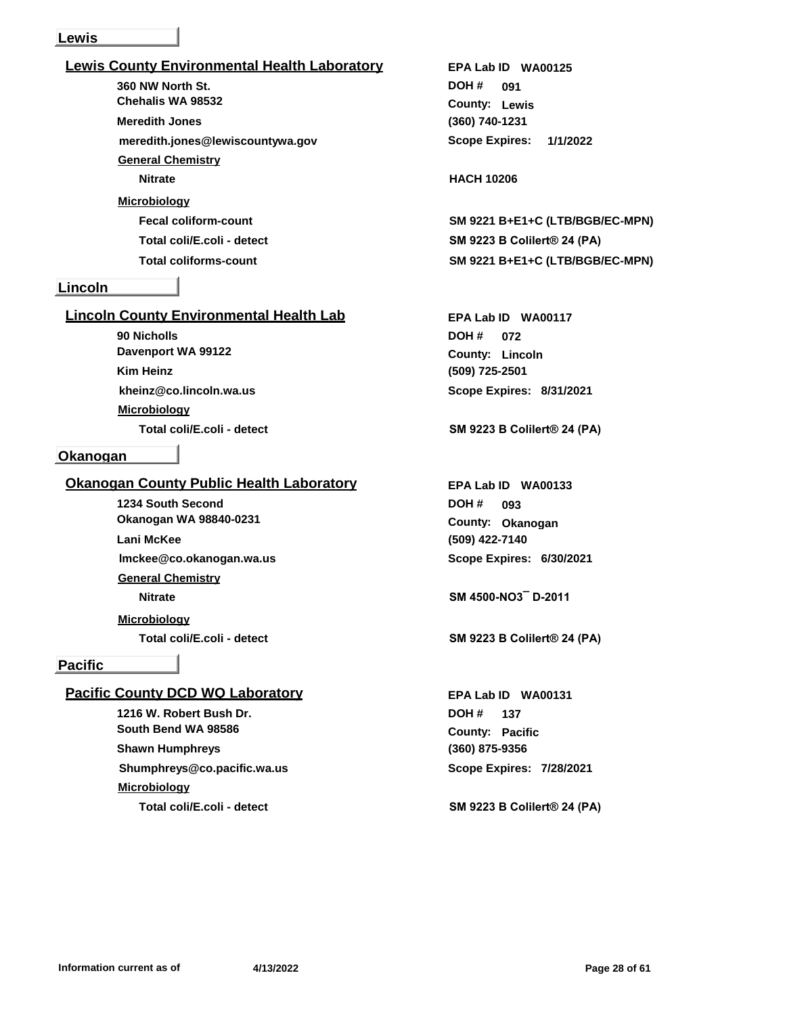#### **Lewis**

| <b>Lewis County Environmental Health Laboratory</b> |
|-----------------------------------------------------|
| 360 NW North St.                                    |
| Chehalis WA 98532                                   |
| <b>Meredith Jones</b>                               |
| meredith.jones@lewiscountywa.gov                    |
| <b>General Chemistry</b>                            |
| <b>Nitrate</b>                                      |
| <b>Microbiology</b>                                 |
| <b>Fecal coliform-count</b>                         |
| Total coli/E.coli - detect                          |
| <b>Total coliforms-count</b>                        |
|                                                     |

#### **Lincoln**

## **Lincoln County Environmental Health Lab**

**90 Nicholls kheinz@co.lincoln.wa.us Davenport WA 99122 Kim Heinz Microbiology**

#### **Okanogan**

## **Okanogan County Public Health Laboratory**

**1234 South Second lmckee@co.okanogan.wa.us Okanogan WA 98840-0231 Lani McKee General Chemistry Nitrate SM 4500-NO3¯ D-2011**

**Microbiology**

#### **Pacific**

## **Pacific County DCD WQ Laboratory**

**1216 W. Robert Bush Dr. Shumphreys@co.pacific.wa.us South Bend WA 98586 Shawn Humphreys Microbiology Total coli/E.coli - detect SM 9223 B Colilert® 24 (PA)**

**(360) 740-1231 Lewis County: 091 DOH # Scope Expires: 1/1/2022 EPA Lab ID WA00125**

## **Nitrate HACH 10206**

**Fecal coliform-count SM 9221 B+E1+C (LTB/BGB/EC-MPN) Total coli/E.coli - detect SM 9223 B Colilert® 24 (PA) Total coliforms-count SM 9221 B+E1+C (LTB/BGB/EC-MPN)**

**(509) 725-2501 Lincoln County: 072 DOH # Scope Expires: 8/31/2021 EPA Lab ID WA00117**

## **Total coli/E.coli - detect SM 9223 B Colilert® 24 (PA)**

**(509) 422-7140 Okanogan County: 093 DOH # Scope Expires: 6/30/2021 EPA Lab ID WA00133**

**Total coli/E.coli - detect SM 9223 B Colilert® 24 (PA)**

**(360) 875-9356 Pacific County: 137 DOH # Scope Expires: 7/28/2021 EPA Lab ID WA00131**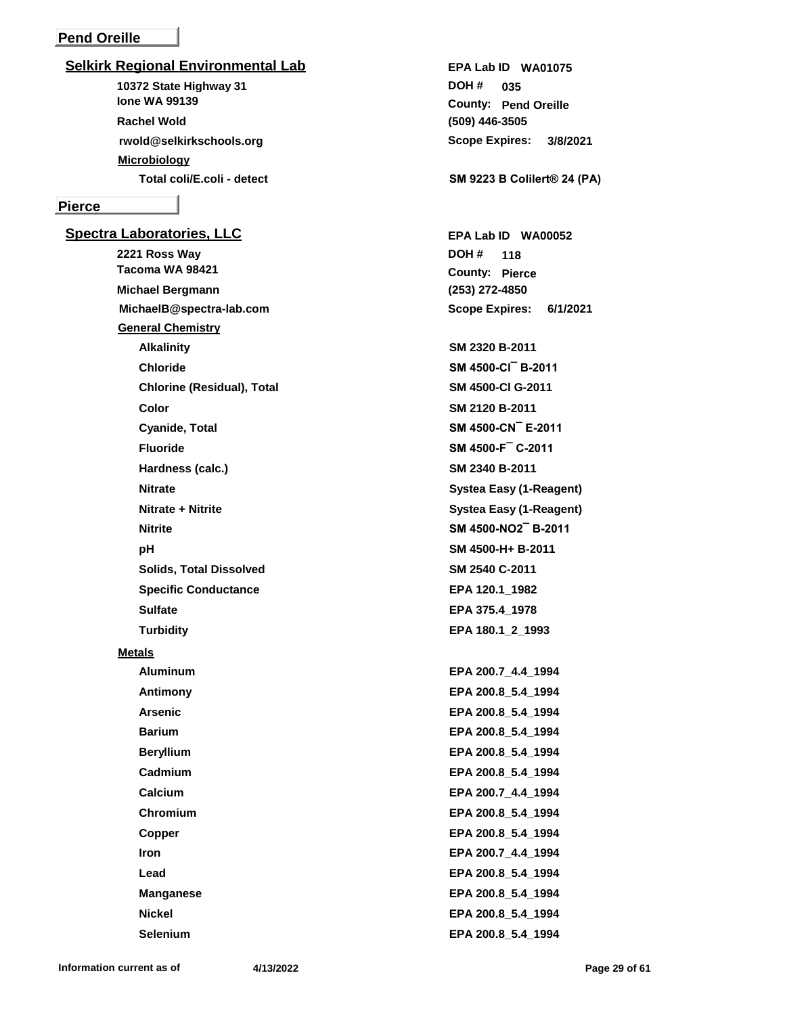## **Pend Oreille**

#### **Selkirk Regional Environmental Lab**

**10372 State Highway 31 rwold@selkirkschools.org Ione WA 99139 Rachel Wold Microbiology**

#### **Pierce**

**Spectra Laboratories, LLC 2221 Ross Way MichaelB@spectra-lab.com Tacoma WA 98421 Michael Bergmann General Chemistry Alkalinity SM 2320 B-2011 Chloride SM 4500-Cl¯ B-2011 Chlorine (Residual), Total SM 4500-Cl G-2011 Color SM 2120 B-2011 Cyanide, Total SM 4500-CN¯ E-2011 Fluoride SM 4500-F¯ C-2011 Hardness (calc.) SM 2340 B-2011 Nitrate Systea Easy (1-Reagent) Nitrate + Nitrite Systea Easy (1-Reagent) Nitrite SM 4500-NO2¯ B-2011 pH SM 4500-H+ B-2011 Solids, Total Dissolved SM 2540 C-2011 Specific Conductance EPA 120.1 1982 Sulfate EPA 375.4\_1978 Turbidity EPA 180.1\_2\_1993 Metals Aluminum EPA 200.7\_4.4\_1994 Antimony EPA 200.8 5.4 1994 Arsenic EPA 200.8\_5.4\_1994 Barium EPA 200.8\_5.4\_1994 Beryllium EPA 200.8\_5.4\_1994 Cadmium EPA 200.8\_5.4\_1994 Calcium EPA 200.7\_4.4\_1994 Chromium EPA 200.8\_5.4\_1994 Copper EPA 200.8\_5.4\_1994 Iron EPA 200.7\_4.4\_1994 Lead EPA 200.8\_5.4\_1994**

**(509) 446-3505 Pend Oreille County: 035 DOH # Scope Expires: 3/8/2021 EPA Lab ID WA01075**

**Total coli/E.coli - detect SM 9223 B Colilert® 24 (PA)**

**(253) 272-4850** County: Pierce **118 DOH # Scope Expires: 6/1/2021 EPA Lab ID WA00052**

**Information current as of 4/13/2022 Page 29 of 61**

**Manganese EPA 200.8\_5.4\_1994 Nickel EPA 200.8\_5.4\_1994 Selenium EPA 200.8\_5.4\_1994**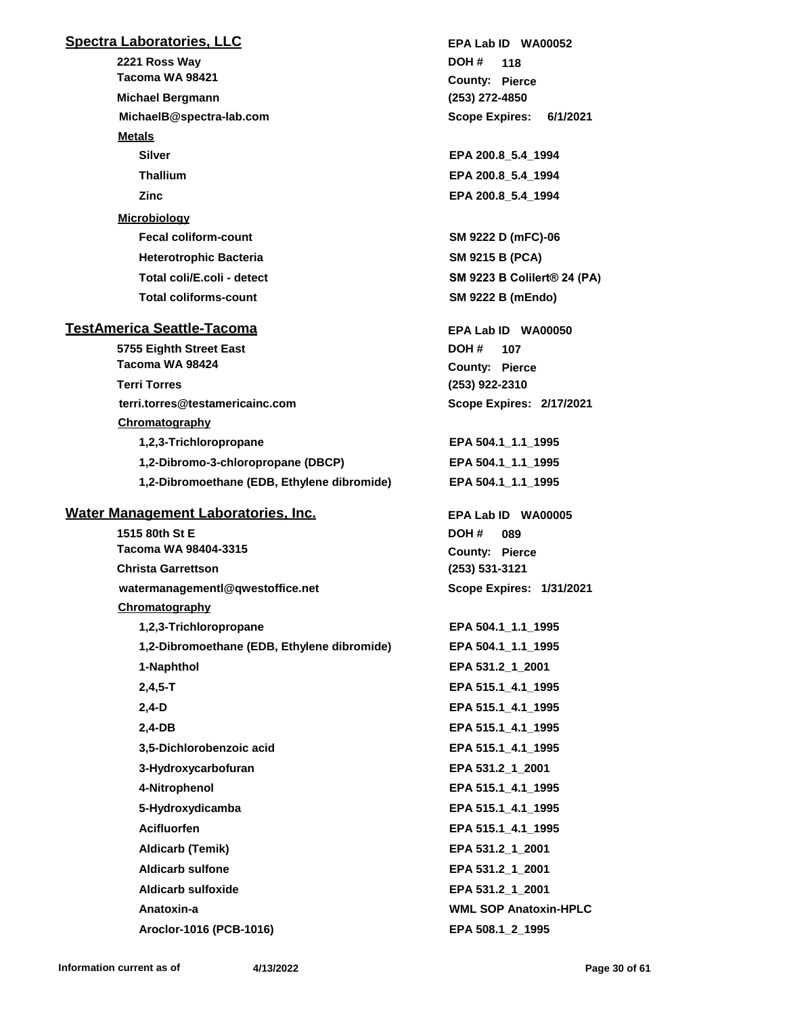## **Spectra Laboratories, LLC**

**2221 Ross Way MichaelB@spectra-lab.com Tacoma WA 98421 Michael Bergmann Metals Silver EPA 200.8\_5.4\_1994 Thallium EPA 200.8\_5.4\_1994 Zinc EPA 200.8\_5.4\_1994 Microbiology Fecal coliform-count SM 9222 D (mFC)-06 Heterotrophic Bacteria SM 9215 B (PCA) Total coliforms-count SM 9222 B (mEndo)**

## **TestAmerica Seattle-Tacoma**

**5755 Eighth Street East terri.torres@testamericainc.com Tacoma WA 98424 Terri Torres Chromatography 1,2,3-Trichloropropane EPA 504.1\_1.1\_1995 1,2-Dibromo-3-chloropropane (DBCP) EPA 504.1\_1.1\_1995 1,2-Dibromoethane (EDB, Ethylene dibromide) EPA 504.1\_1.1\_1995**

## **Water Management Laboratories, Inc.**

**1515 80th St E watermanagementl@qwestoffice.net Tacoma WA 98404-3315 Christa Garrettson Chromatography 1,2,3-Trichloropropane EPA 504.1\_1.1\_1995 1,2-Dibromoethane (EDB, Ethylene dibromide) EPA 504.1\_1.1\_1995 1-Naphthol EPA 531.2\_1\_2001 2,4,5-T EPA 515.1\_4.1\_1995 2,4-D EPA 515.1\_4.1\_1995 2,4-DB EPA 515.1\_4.1\_1995 3,5-Dichlorobenzoic acid EPA 515.1\_4.1\_1995 3-Hydroxycarbofuran EPA 531.2\_1\_2001 4-Nitrophenol EPA 515.1\_4.1\_1995 5-Hydroxydicamba EPA 515.1\_4.1\_1995 Acifluorfen EPA 515.1\_4.1\_1995 Aldicarb (Temik) EPA 531.2\_1\_2001 Aldicarb sulfone EPA 531.2\_1\_2001 Aldicarb sulfoxide EPA 531.2\_1\_2001 Anatoxin-a WML SOP Anatoxin-HPLC**

**(253) 272-4850** County: Pierce **118 DOH # Scope Expires: 6/1/2021 EPA Lab ID WA00052**

**Total coli/E.coli - detect SM 9223 B Colilert® 24 (PA)**

**(253) 922-2310** County: Pierce **107 DOH # Scope Expires: 2/17/2021 EPA Lab ID WA00050**

**(253) 531-3121** County: Pierce **089 DOH # Scope Expires: 1/31/2021 EPA Lab ID WA00005**

**Aroclor-1016 (PCB-1016) EPA 508.1\_2\_1995**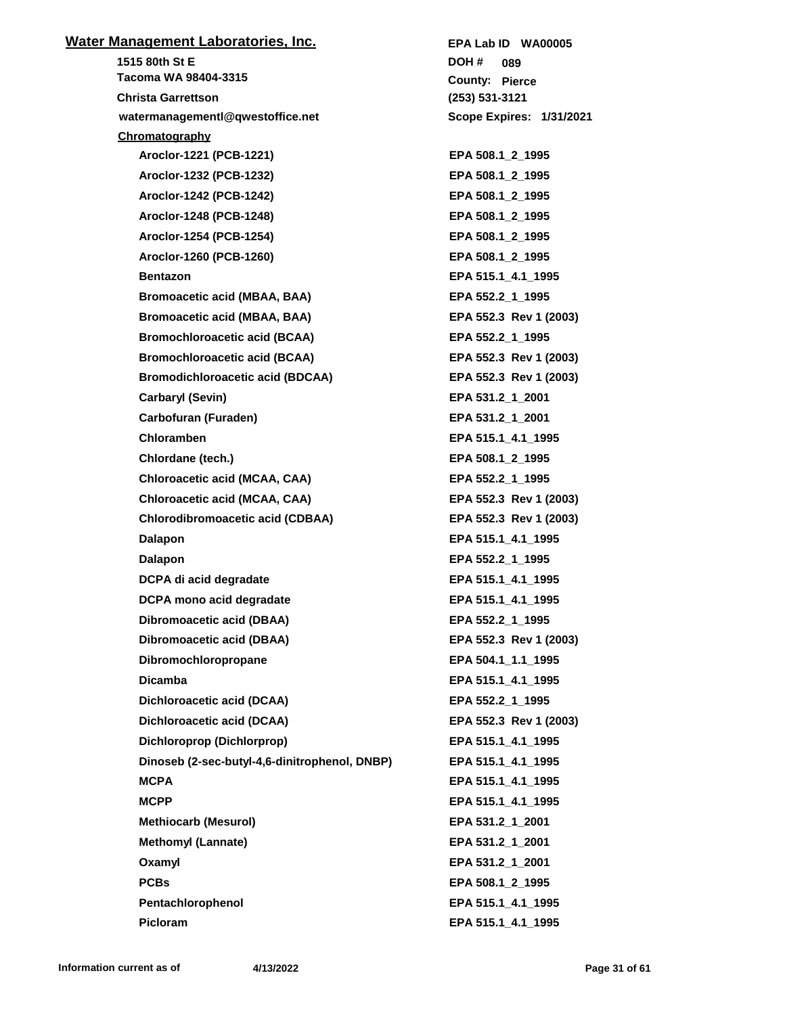# **Water Management Laboratories, Inc. 1515 80th St E watermanagementl@qwestoffice.net Tacoma WA 98404-3315 Christa Garrettson Chromatography Aroclor-1221 (PCB-1221) EPA 508.1\_2\_1995 Aroclor-1232 (PCB-1232) EPA 508.1\_2\_1995 Aroclor-1242 (PCB-1242) EPA 508.1\_2\_1995 Aroclor-1248 (PCB-1248) EPA 508.1\_2\_1995 Aroclor-1254 (PCB-1254) EPA 508.1\_2\_1995 Aroclor-1260 (PCB-1260) EPA 508.1\_2\_1995 Bentazon EPA 515.1\_4.1\_1995 Bromoacetic acid (MBAA, BAA) EPA 552.2\_1\_1995 Bromoacetic acid (MBAA, BAA) EPA 552.3 Rev 1 (2003)** Bromochloroacetic acid (BCAA) **EPA 552.2\_1\_1995 Bromochloroacetic acid (BCAA) EPA 552.3 Rev 1 (2003) Bromodichloroacetic acid (BDCAA) EPA 552.3 Rev 1 (2003) Carbaryl (Sevin) EPA 531.2\_1\_2001 Carbofuran (Furaden) EPA 531.2\_1\_2001 Chloramben EPA 515.1\_4.1\_1995 Chlordane (tech.) EPA 508.1\_2\_1995 Chloroacetic acid (MCAA, CAA) EPA 552.2\_1\_1995 Chloroacetic acid (MCAA, CAA) EPA 552.3 Rev 1 (2003) Chlorodibromoacetic acid (CDBAA) EPA 552.3 Rev 1 (2003) Dalapon EPA 515.1\_4.1\_1995 Dalapon EPA 552.2\_1\_1995 DCPA di acid degradate EPA 515.1\_4.1\_1995 DCPA mono acid degradate EPA 515.1\_4.1\_1995 Dibromoacetic acid (DBAA) EPA 552.2\_1\_1995 Dibromoacetic acid (DBAA) EPA 552.3 Rev 1 (2003) Dibromochloropropane EPA 504.1\_1.1\_1995 Dicamba EPA 515.1\_4.1\_1995 Dichloroacetic acid (DCAA) EPA 552.2\_1\_1995 Dichloroacetic acid (DCAA) EPA 552.3 Rev 1 (2003) Dichloroprop (Dichlorprop) EPA 515.1\_4.1\_1995 Dinoseb (2-sec-butyl-4,6-dinitrophenol, DNBP) EPA 515.1\_4.1\_1995 MCPA EPA 515.1\_4.1\_1995 MCPP EPA 515.1\_4.1\_1995 Methiocarb (Mesurol) EPA 531.2\_1\_2001 Methomyl (Lannate) EPA 531.2\_1\_2001 Oxamyl EPA 531.2\_1\_2001 PCBs EPA 508.1\_2\_1995 Pentachlorophenol EPA 515.1\_4.1\_1995 Picloram EPA 515.1\_4.1\_1995**

**(253) 531-3121** County: Pierce **089 DOH # Scope Expires: 1/31/2021 EPA Lab ID WA00005**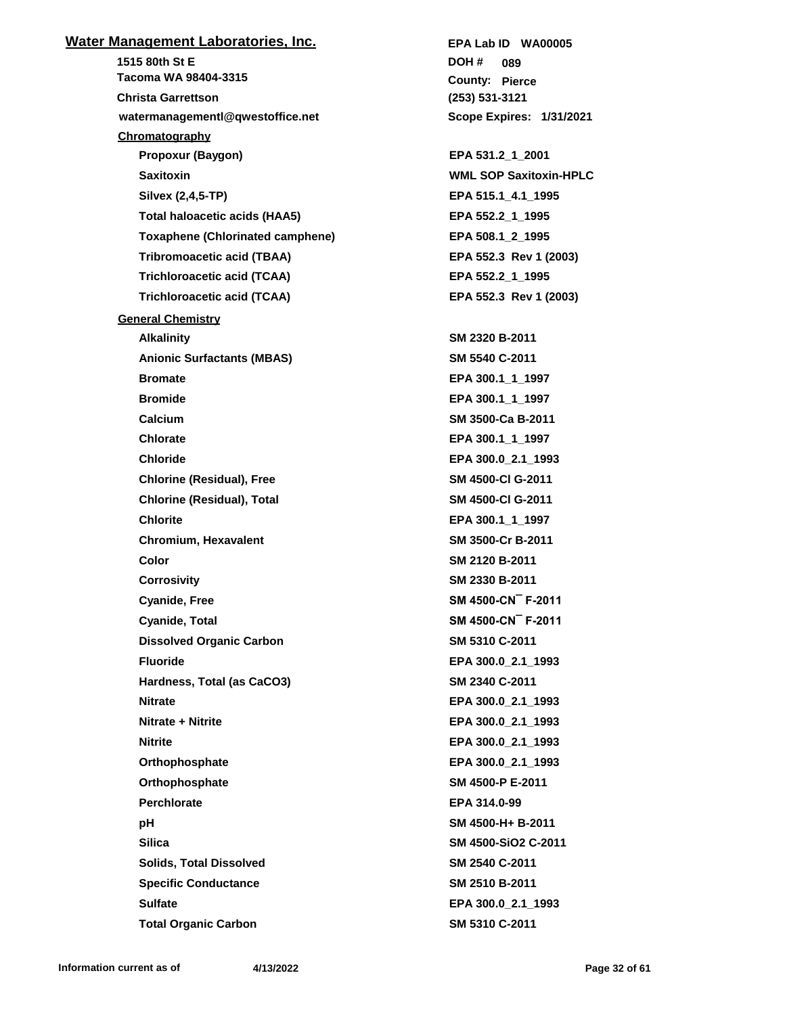# **Water Management Laboratories, Inc. 1515 80th St E watermanagementl@qwestoffice.net Tacoma WA 98404-3315 Christa Garrettson Chromatography Propoxur (Baygon) EPA 531.2\_1\_2001 Saxitoxin WML SOP Saxitoxin-HPLC Silvex (2,4,5-TP) EPA 515.1\_4.1\_1995 Total haloacetic acids (HAA5) EPA 552.2\_1\_1995 Toxaphene (Chlorinated camphene) EPA 508.1\_2\_1995 Tribromoacetic acid (TBAA) EPA 552.3 Rev 1 (2003) Trichloroacetic acid (TCAA) EPA 552.2\_1\_1995 Trichloroacetic acid (TCAA) EPA 552.3 Rev 1 (2003) General Chemistry Alkalinity SM 2320 B-2011 Anionic Surfactants (MBAS) SM 5540 C-2011 Bromate EPA 300.1\_1\_1997 Bromide EPA 300.1\_1\_1997 Calcium SM 3500-Ca B-2011 Chlorate EPA 300.1\_1\_1997 Chloride EPA 300.0\_2.1\_1993 Chlorine (Residual), Free SM 4500-Cl G-2011 Chlorine (Residual), Total SM 4500-Cl G-2011 Chlorite EPA 300.1\_1\_1997 Chromium, Hexavalent SM 3500-Cr B-2011 Color SM 2120 B-2011 Corrosivity SM 2330 B-2011 Cyanide, Free SM 4500-CN¯ F-2011 Cyanide, Total SM 4500-CN¯ F-2011 Dissolved Organic Carbon SM 5310 C-2011 Fluoride EPA 300.0\_2.1\_1993 Hardness, Total (as CaCO3) SM 2340 C-2011 Nitrate EPA 300.0\_2.1\_1993 Nitrate + Nitrite EPA 300.0\_2.1\_1993 Nitrite EPA 300.0\_2.1\_1993 Orthophosphate EPA 300.0\_2.1\_1993 Orthophosphate SM 4500-P E-2011 Perchlorate EPA 314.0-99 pH SM 4500-H+ B-2011 Silica SM 4500-SiO2 C-2011 Solids, Total Dissolved SM 2540 C-2011 Specific Conductance SM 2510 B-2011 Sulfate EPA 300.0\_2.1\_1993 Total Organic Carbon SM 5310 C-2011**

**(253) 531-3121** County: Pierce **089 DOH # Scope Expires: 1/31/2021 EPA Lab ID WA00005**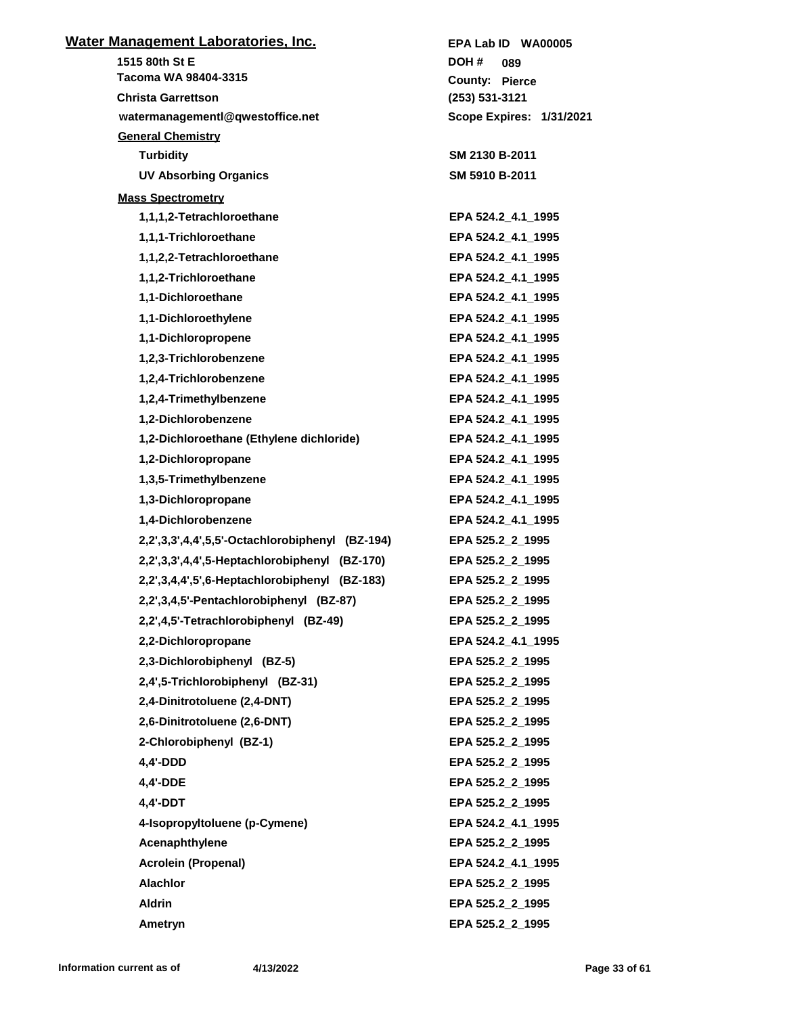| <u> Water Management Laboratories, Inc.</u>     | EPA Lab ID WA00005       |
|-------------------------------------------------|--------------------------|
| 1515 80th St E                                  | DOH #<br>089             |
| Tacoma WA 98404-3315                            | <b>County: Pierce</b>    |
| <b>Christa Garrettson</b>                       | $(253) 531 - 3121$       |
| watermanagementl@qwestoffice.net                | Scope Expires: 1/31/2021 |
| <b>General Chemistry</b>                        |                          |
| <b>Turbidity</b>                                | SM 2130 B-2011           |
| <b>UV Absorbing Organics</b>                    | SM 5910 B-2011           |
| <b>Mass Spectrometry</b>                        |                          |
| 1,1,1,2-Tetrachloroethane                       | EPA 524.2 4.1 1995       |
| 1,1,1-Trichloroethane                           | EPA 524.2_4.1_1995       |
| 1,1,2,2-Tetrachloroethane                       | EPA 524.2_4.1_1995       |
| 1,1,2-Trichloroethane                           | EPA 524.2_4.1_1995       |
| 1,1-Dichloroethane                              | EPA 524.2_4.1_1995       |
| 1,1-Dichloroethylene                            | EPA 524.2 4.1 1995       |
| 1,1-Dichloropropene                             | EPA 524.2_4.1_1995       |
| 1,2,3-Trichlorobenzene                          | EPA 524.2_4.1_1995       |
| 1,2,4-Trichlorobenzene                          | EPA 524.2_4.1_1995       |
| 1,2,4-Trimethylbenzene                          | EPA 524.2_4.1_1995       |
| 1,2-Dichlorobenzene                             | EPA 524.2_4.1_1995       |
| 1,2-Dichloroethane (Ethylene dichloride)        | EPA 524.2_4.1_1995       |
| 1,2-Dichloropropane                             | EPA 524.2_4.1_1995       |
| 1,3,5-Trimethylbenzene                          | EPA 524.2_4.1_1995       |
| 1,3-Dichloropropane                             | EPA 524.2_4.1_1995       |
| 1,4-Dichlorobenzene                             | EPA 524.2_4.1_1995       |
| 2,2',3,3',4,4',5,5'-Octachlorobiphenyl (BZ-194) | EPA 525.2 2 1995         |
| 2,2',3,3',4,4',5-Heptachlorobiphenyl (BZ-170)   | EPA 525.2 2 1995         |
| 2,2',3,4,4',5',6-Heptachlorobiphenyl (BZ-183)   | EPA 525.2_2_1995         |
| 2,2',3,4,5'-Pentachlorobiphenyl (BZ-87)         | EPA 525.2 2 1995         |
| 2,2',4,5'-Tetrachlorobiphenyl (BZ-49)           | EPA 525.2 2 1995         |
| 2,2-Dichloropropane                             | EPA 524.2 4.1 1995       |
| 2,3-Dichlorobiphenyl (BZ-5)                     | EPA 525.2_2_1995         |
| 2,4',5-Trichlorobiphenyl (BZ-31)                | EPA 525.2 2 1995         |
| 2,4-Dinitrotoluene (2,4-DNT)                    | EPA 525.2 2 1995         |
| 2,6-Dinitrotoluene (2,6-DNT)                    | EPA 525.2_2_1995         |
| 2-Chlorobiphenyl (BZ-1)                         | EPA 525.2_2_1995         |
| 4,4'-DDD                                        | EPA 525.2 2 1995         |
| 4,4'-DDE                                        | EPA 525.2_2_1995         |
| 4,4'-DDT                                        | EPA 525.2_2_1995         |
| 4-Isopropyltoluene (p-Cymene)                   | EPA 524.2_4.1_1995       |
| Acenaphthylene                                  | EPA 525.2_2_1995         |
| <b>Acrolein (Propenal)</b>                      | EPA 524.2_4.1_1995       |
| <b>Alachlor</b>                                 | EPA 525.2_2_1995         |
| <b>Aldrin</b>                                   | EPA 525.2_2_1995         |
| Ametryn                                         | EPA 525.2_2_1995         |
|                                                 |                          |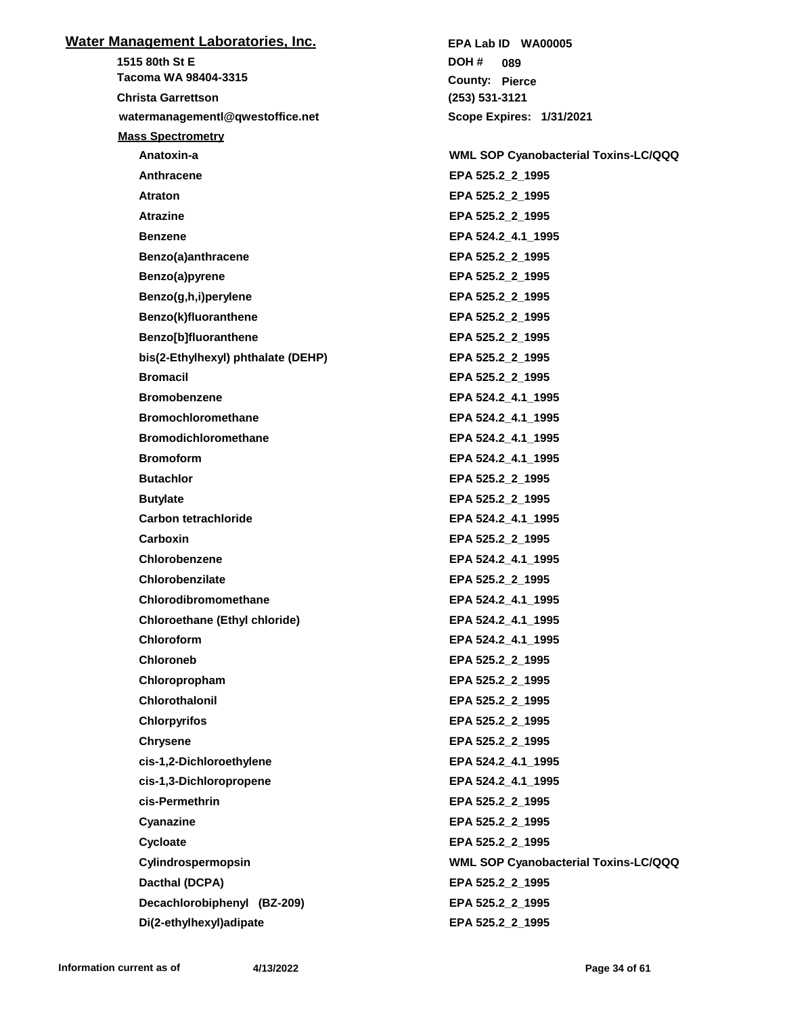| <u>Water Management Laboratories, Inc.</u> | EPA Lab ID WA00005                          |
|--------------------------------------------|---------------------------------------------|
| 1515 80th St E                             | DOH#<br>089                                 |
| Tacoma WA 98404-3315                       | <b>County: Pierce</b>                       |
| <b>Christa Garrettson</b>                  | $(253) 531 - 3121$                          |
| watermanagementl@qwestoffice.net           | Scope Expires: 1/31/2021                    |
| <b>Mass Spectrometry</b>                   |                                             |
| Anatoxin-a                                 | <b>WML SOP Cyanobacterial Toxins-LC/QQQ</b> |
| Anthracene                                 | EPA 525.2_2_1995                            |
| Atraton                                    | EPA 525.2_2_1995                            |
| <b>Atrazine</b>                            | EPA 525.2_2_1995                            |
| <b>Benzene</b>                             | EPA 524.2 4.1 1995                          |
| Benzo(a)anthracene                         | EPA 525.2_2_1995                            |
| Benzo(a)pyrene                             | EPA 525.2_2_1995                            |
| Benzo(g,h,i)perylene                       | EPA 525.2_2_1995                            |
| Benzo(k)fluoranthene                       | EPA 525.2_2_1995                            |
| Benzo[b]fluoranthene                       | EPA 525.2 2 1995                            |
| bis(2-Ethylhexyl) phthalate (DEHP)         | EPA 525.2_2_1995                            |
| <b>Bromacil</b>                            | EPA 525.2_2_1995                            |
| <b>Bromobenzene</b>                        | EPA 524.2_4.1_1995                          |
| <b>Bromochloromethane</b>                  | EPA 524.2_4.1_1995                          |
| <b>Bromodichloromethane</b>                | EPA 524.2_4.1_1995                          |
| <b>Bromoform</b>                           | EPA 524.2_4.1_1995                          |
| <b>Butachlor</b>                           | EPA 525.2_2_1995                            |
| <b>Butylate</b>                            | EPA 525.2_2_1995                            |
| Carbon tetrachloride                       | EPA 524.2_4.1_1995                          |
| Carboxin                                   | EPA 525.2_2_1995                            |
| Chlorobenzene                              | EPA 524.2_4.1_1995                          |
| Chlorobenzilate                            | EPA 525.2 2 1995                            |
| Chlorodibromomethane                       | EPA 524.2 4.1 1995                          |
| <b>Chloroethane (Ethyl chloride)</b>       | EPA 524.2_4.1_1995                          |
| <b>Chloroform</b>                          | EPA 524.2_4.1_1995                          |
| <b>Chloroneb</b>                           | EPA 525.2 2 1995                            |
| Chloropropham                              | EPA 525.2_2_1995                            |
| Chlorothalonil                             | EPA 525.2_2_1995                            |
| <b>Chlorpyrifos</b>                        | EPA 525.2_2_1995                            |
| <b>Chrysene</b>                            | EPA 525.2_2_1995                            |
| cis-1,2-Dichloroethylene                   | EPA 524.2_4.1_1995                          |
| cis-1,3-Dichloropropene                    | EPA 524.2_4.1_1995                          |
| cis-Permethrin                             | EPA 525.2_2_1995                            |
| Cyanazine                                  | EPA 525.2 2 1995                            |
| Cycloate                                   | EPA 525.2_2_1995                            |
| Cylindrospermopsin                         | WML SOP Cyanobacterial Toxins-LC/QQQ        |
| Dacthal (DCPA)                             | EPA 525.2_2_1995                            |
| Decachlorobiphenyl (BZ-209)                | EPA 525.2_2_1995                            |
| Di(2-ethylhexyl)adipate                    | EPA 525.2_2_1995                            |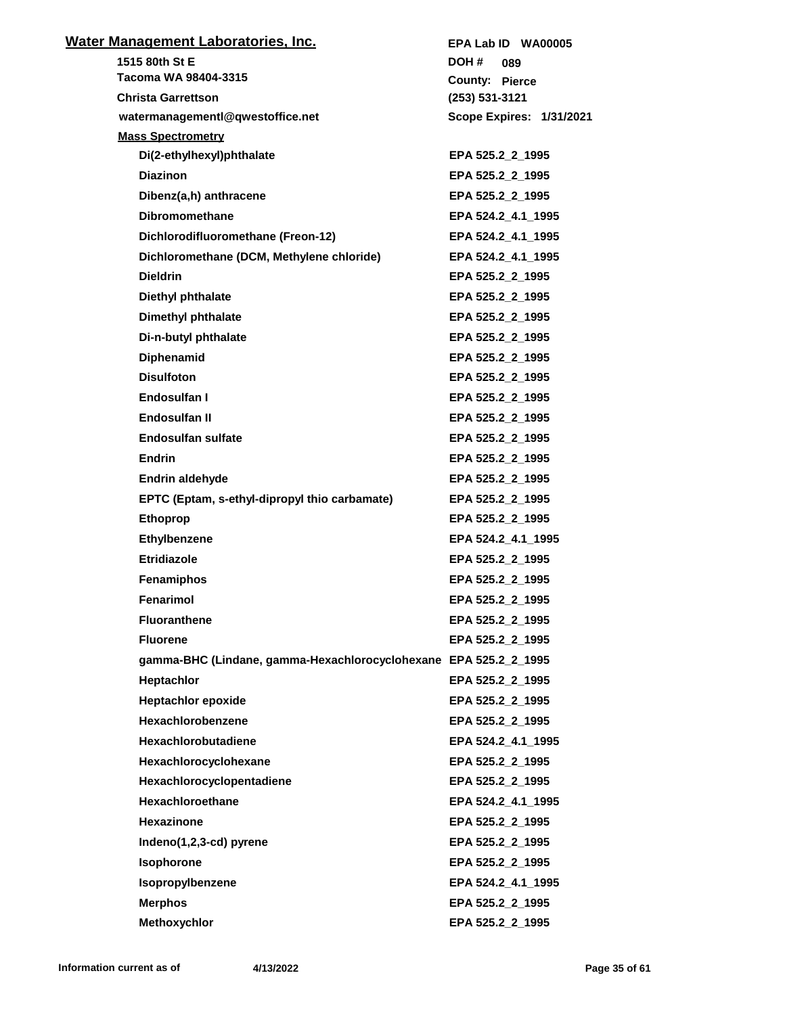| <u>Water Management Laboratories, Inc.</u>                       | EPA Lab ID WA00005       |
|------------------------------------------------------------------|--------------------------|
| 1515 80th St E                                                   | DOH #<br>089             |
| Tacoma WA 98404-3315                                             | <b>County: Pierce</b>    |
| <b>Christa Garrettson</b>                                        | (253) 531-3121           |
| watermanagementl@qwestoffice.net                                 | Scope Expires: 1/31/2021 |
| <b>Mass Spectrometry</b>                                         |                          |
| Di(2-ethylhexyl)phthalate                                        | EPA 525.2_2_1995         |
| <b>Diazinon</b>                                                  | EPA 525.2_2_1995         |
| Dibenz(a,h) anthracene                                           | EPA 525.2 2 1995         |
| <b>Dibromomethane</b>                                            | EPA 524.2 4.1 1995       |
| Dichlorodifluoromethane (Freon-12)                               | EPA 524.2_4.1_1995       |
| Dichloromethane (DCM, Methylene chloride)                        | EPA 524.2_4.1_1995       |
| <b>Dieldrin</b>                                                  | EPA 525.2_2_1995         |
| Diethyl phthalate                                                | EPA 525.2 2 1995         |
| Dimethyl phthalate                                               | EPA 525.2_2_1995         |
| Di-n-butyl phthalate                                             | EPA 525.2_2_1995         |
| <b>Diphenamid</b>                                                | EPA 525.2_2_1995         |
| <b>Disulfoton</b>                                                | EPA 525.2_2_1995         |
| Endosulfan I                                                     | EPA 525.2 2 1995         |
| Endosulfan II                                                    | EPA 525.2_2_1995         |
| <b>Endosulfan sulfate</b>                                        | EPA 525.2_2_1995         |
| <b>Endrin</b>                                                    | EPA 525.2_2_1995         |
| Endrin aldehyde                                                  | EPA 525.2_2_1995         |
| EPTC (Eptam, s-ethyl-dipropyl thio carbamate)                    | EPA 525.2_2_1995         |
| <b>Ethoprop</b>                                                  | EPA 525.2_2_1995         |
| Ethylbenzene                                                     | EPA 524.2 4.1 1995       |
| <b>Etridiazole</b>                                               | EPA 525.2_2_1995         |
| Fenamiphos                                                       | EPA 525.2 2 1995         |
| Fenarimol                                                        | EPA 525.2 2 1995         |
| <b>Fluoranthene</b>                                              | EPA 525.2 2 1995         |
| <b>Fluorene</b>                                                  | EPA 525.2_2_1995         |
| gamma-BHC (Lindane, gamma-Hexachlorocyclohexane EPA 525.2 2 1995 |                          |
| Heptachlor                                                       | EPA 525.2_2_1995         |
| <b>Heptachlor epoxide</b>                                        | EPA 525.2_2_1995         |
| Hexachlorobenzene                                                | EPA 525.2_2_1995         |
| Hexachlorobutadiene                                              | EPA 524.2_4.1_1995       |
| Hexachlorocyclohexane                                            | EPA 525.2_2_1995         |
| Hexachlorocyclopentadiene                                        | EPA 525.2_2_1995         |
| Hexachloroethane                                                 | EPA 524.2_4.1_1995       |
| Hexazinone                                                       | EPA 525.2 2 1995         |
| Indeno(1,2,3-cd) pyrene                                          | EPA 525.2_2_1995         |
| Isophorone                                                       | EPA 525.2_2_1995         |
| Isopropylbenzene                                                 | EPA 524.2_4.1_1995       |
| <b>Merphos</b>                                                   | EPA 525.2_2_1995         |
| Methoxychlor                                                     | EPA 525.2_2_1995         |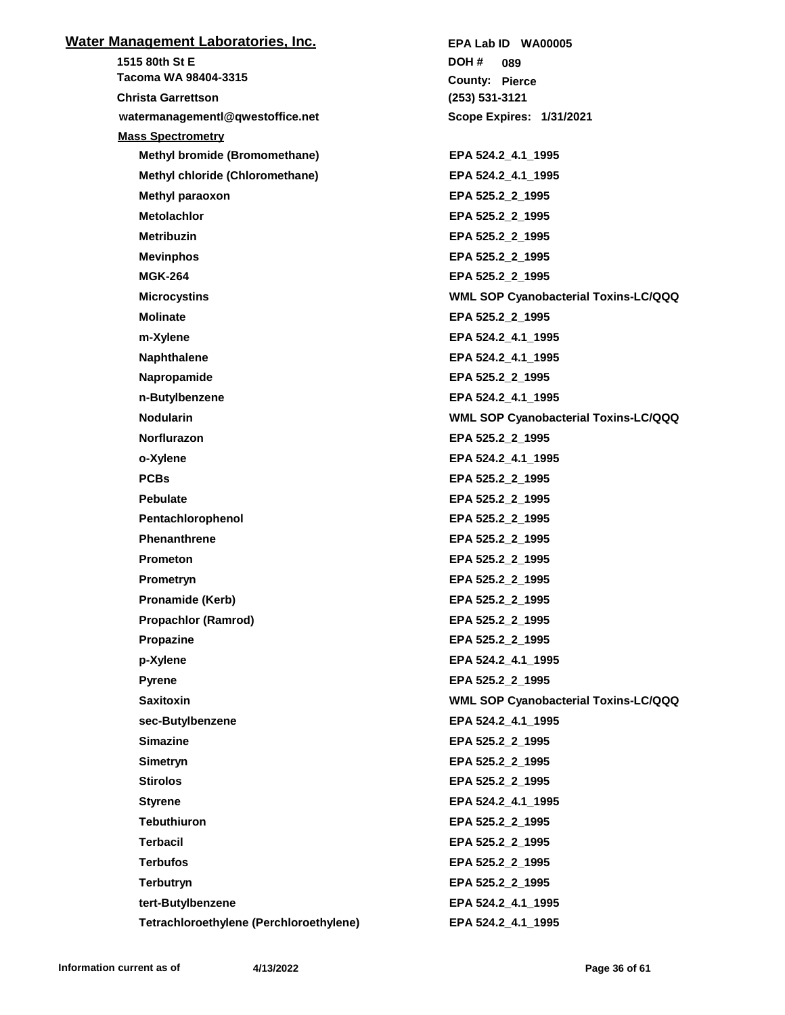| <u>Water Management Laboratories, Inc.</u> | EPA Lab ID WA00005                          |
|--------------------------------------------|---------------------------------------------|
| 1515 80th St E                             | DOH#<br>089                                 |
| Tacoma WA 98404-3315                       | <b>County: Pierce</b>                       |
| <b>Christa Garrettson</b>                  | (253) 531-3121                              |
| watermanagementl@qwestoffice.net           | <b>Scope Expires: 1/31/2021</b>             |
| <b>Mass Spectrometry</b>                   |                                             |
| <b>Methyl bromide (Bromomethane)</b>       | EPA 524.2_4.1_1995                          |
| Methyl chloride (Chloromethane)            | EPA 524.2 4.1 1995                          |
| Methyl paraoxon                            | EPA 525.2_2_1995                            |
| <b>Metolachlor</b>                         | EPA 525.2_2_1995                            |
| <b>Metribuzin</b>                          | EPA 525.2_2_1995                            |
| <b>Mevinphos</b>                           | EPA 525.2_2_1995                            |
| <b>MGK-264</b>                             | EPA 525.2_2_1995                            |
| <b>Microcystins</b>                        | <b>WML SOP Cyanobacterial Toxins-LC/QQQ</b> |
| <b>Molinate</b>                            | EPA 525.2_2_1995                            |
| m-Xylene                                   | EPA 524.2_4.1_1995                          |
| <b>Naphthalene</b>                         | EPA 524.2_4.1_1995                          |
| Napropamide                                | EPA 525.2 2 1995                            |
| n-Butylbenzene                             | EPA 524.2_4.1_1995                          |
| <b>Nodularin</b>                           | <b>WML SOP Cyanobacterial Toxins-LC/QQQ</b> |
| Norflurazon                                | EPA 525.2_2_1995                            |
| o-Xylene                                   | EPA 524.2_4.1_1995                          |
| <b>PCBs</b>                                | EPA 525.2_2_1995                            |
| <b>Pebulate</b>                            | EPA 525.2_2_1995                            |
| Pentachlorophenol                          | EPA 525.2_2_1995                            |
| <b>Phenanthrene</b>                        | EPA 525.2_2_1995                            |
| <b>Prometon</b>                            | EPA 525.2_2_1995                            |
| Prometryn                                  | EPA 525.2_2_1995                            |
| Pronamide (Kerb)                           | EPA 525.2 2 1995                            |
| <b>Propachlor (Ramrod)</b>                 | EPA 525.2_2_1995                            |
| Propazine                                  | EPA 525.2_2_1995                            |
| p-Xylene                                   | EPA 524.2_4.1_1995                          |
| Pyrene                                     | EPA 525.2_2_1995                            |
| <b>Saxitoxin</b>                           | WML SOP Cyanobacterial Toxins-LC/QQQ        |
| sec-Butylbenzene                           | EPA 524.2_4.1_1995                          |
| <b>Simazine</b>                            | EPA 525.2_2_1995                            |
| Simetryn                                   | EPA 525.2_2_1995                            |
| <b>Stirolos</b>                            | EPA 525.2_2_1995                            |
| <b>Styrene</b>                             | EPA 524.2_4.1_1995                          |
| <b>Tebuthiuron</b>                         | EPA 525.2_2_1995                            |
| <b>Terbacil</b>                            | EPA 525.2_2_1995                            |
| <b>Terbufos</b>                            | EPA 525.2_2_1995                            |
| <b>Terbutryn</b>                           | EPA 525.2_2_1995                            |
| tert-Butylbenzene                          | EPA 524.2_4.1_1995                          |
| Tetrachloroethylene (Perchloroethylene)    | EPA 524.2_4.1_1995                          |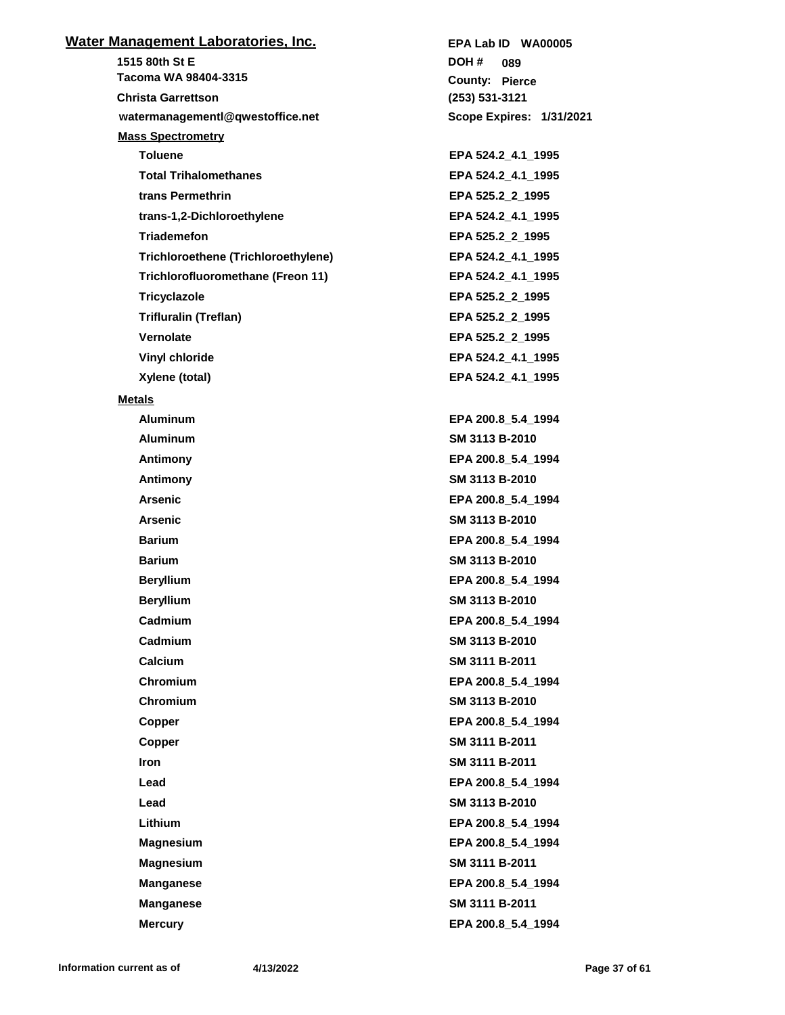| <u>Water Management Laboratories, Inc.</u> | EPA Lab ID WA00005       |
|--------------------------------------------|--------------------------|
| 1515 80th St E                             | DOH #<br>089             |
| Tacoma WA 98404-3315                       | <b>County: Pierce</b>    |
| <b>Christa Garrettson</b>                  | $(253) 531 - 3121$       |
| watermanagementl@qwestoffice.net           | Scope Expires: 1/31/2021 |
| <b>Mass Spectrometry</b>                   |                          |
| <b>Toluene</b>                             | EPA 524.2 4.1 1995       |
| <b>Total Trihalomethanes</b>               | EPA 524.2_4.1_1995       |
| trans Permethrin                           | EPA 525.2_2_1995         |
| trans-1,2-Dichloroethylene                 | EPA 524.2_4.1_1995       |
| <b>Triademefon</b>                         | EPA 525.2_2_1995         |
| Trichloroethene (Trichloroethylene)        | EPA 524.2_4.1_1995       |
| Trichlorofluoromethane (Freon 11)          | EPA 524.2_4.1_1995       |
| Tricyclazole                               | EPA 525.2_2_1995         |
| Trifluralin (Treflan)                      | EPA 525.2_2_1995         |
| Vernolate                                  | EPA 525.2 2 1995         |
| Vinyl chloride                             | EPA 524.2_4.1_1995       |
| Xylene (total)                             | EPA 524.2_4.1_1995       |
| <b>Metals</b>                              |                          |
| <b>Aluminum</b>                            | EPA 200.8 5.4 1994       |
| <b>Aluminum</b>                            | SM 3113 B-2010           |
| Antimony                                   | EPA 200.8_5.4_1994       |
| Antimony                                   | SM 3113 B-2010           |
| <b>Arsenic</b>                             | EPA 200.8_5.4_1994       |
| <b>Arsenic</b>                             | SM 3113 B-2010           |
| <b>Barium</b>                              | EPA 200.8_5.4_1994       |
| <b>Barium</b>                              | SM 3113 B-2010           |
| <b>Beryllium</b>                           | EPA 200.8_5.4_1994       |
| <b>Beryllium</b>                           | SM 3113 B-2010           |
| Cadmium                                    | EPA 200.8 5.4 1994       |
| Cadmium                                    | SM 3113 B-2010           |
| <b>Calcium</b>                             | SM 3111 B-2011           |
| Chromium                                   | EPA 200.8_5.4_1994       |
| Chromium                                   | SM 3113 B-2010           |
| Copper                                     | EPA 200.8 5.4 1994       |
| Copper                                     | SM 3111 B-2011           |
| Iron                                       | SM 3111 B-2011           |
| Lead                                       | EPA 200.8 5.4 1994       |
| Lead                                       | SM 3113 B-2010           |
| Lithium                                    | EPA 200.8 5.4 1994       |
| <b>Magnesium</b>                           | EPA 200.8 5.4 1994       |
| <b>Magnesium</b>                           | SM 3111 B-2011           |
| <b>Manganese</b>                           | EPA 200.8 5.4 1994       |
| <b>Manganese</b>                           | SM 3111 B-2011           |
| <b>Mercury</b>                             | EPA 200.8_5.4_1994       |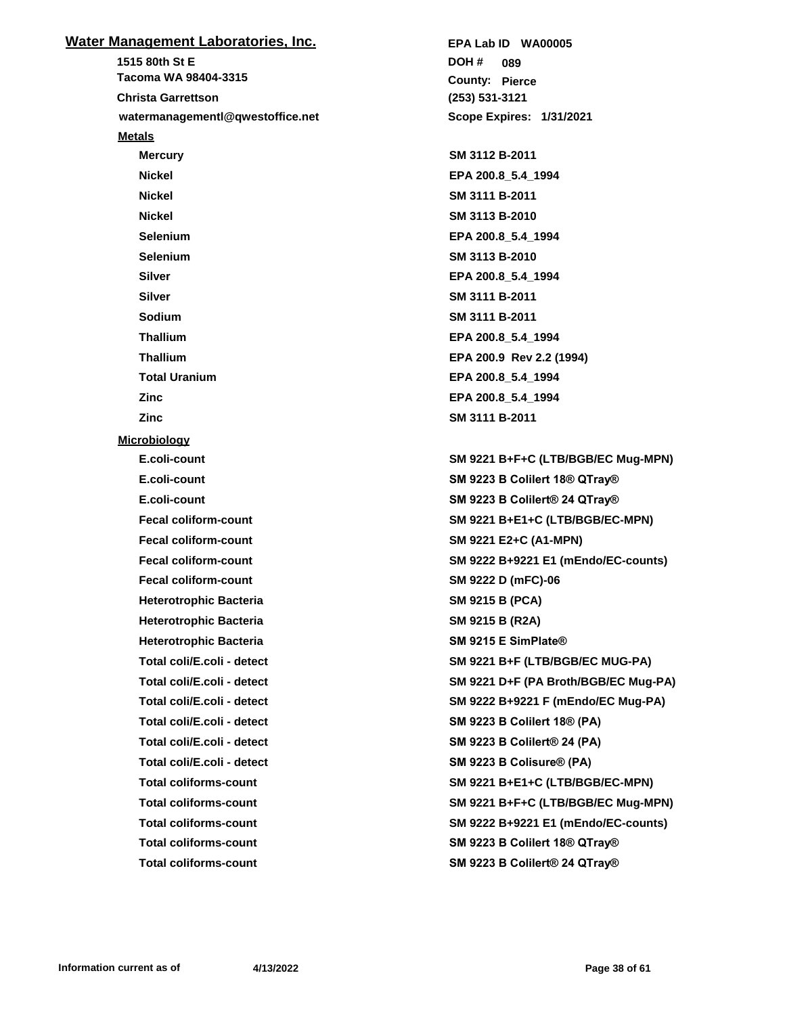| <u> Water Management Laboratories, Inc.</u> |
|---------------------------------------------|
| 1515 80th St E                              |
| Tacoma WA 98404-3315                        |
| <b>Christa Garrettson</b>                   |
| watermanagementl@qwestoffice.net            |
| <b>Metals</b>                               |
| <b>Mercury</b>                              |
| Nickel                                      |
| <b>Nickel</b>                               |
| <b>Nickel</b>                               |
| Selenium                                    |
| <b>Selenium</b>                             |
| Silver                                      |
| Silver                                      |
| Sodium                                      |
| <b>Thallium</b>                             |
| <b>Thallium</b>                             |
| <b>Total Uranium</b>                        |
| Zinc                                        |
| Zinc                                        |
| <b>Microbiology</b>                         |
| E.coli-count                                |
| E.coli-count                                |
| E.coli-count                                |
| <b>Fecal coliform-count</b>                 |
| <b>Fecal coliform-count</b>                 |
| <b>Fecal coliform-count</b>                 |
| <b>Fecal coliform-count</b>                 |
| <b>Heterotrophic Bacteria</b>               |
| <b>Heterotrophic Bacteria</b>               |
| <b>Heterotrophic Bacteria</b>               |
| Total coli/E.coli - detect                  |
| Total coli/E.coli - detect                  |
| Total coli/E.coli - detect                  |
| Total coli/E.coli - detect                  |
| Total coli/E.coli - detect                  |
| Total coli/E.coli - detect                  |
| <b>Total coliforms-count</b>                |
| <b>Total coliforms-count</b>                |
| <b>Total coliforms-count</b>                |
| <b>Total coliforms-count</b>                |
| <b>Total coliforms-count</b>                |

**(253) 531-3121** County: Pierce **089 DOH # Scope Expires: 1/31/2021 EPA Lab ID WA00005 Mercury SM 3112 B-2011 Nickel EPA 200.8\_5.4\_1994 Nickel SM 3111 B-2011 Nickel SM 3113 B-2010 Selenium EPA 200.8\_5.4\_1994 Selenium SM 3113 B-2010 Silver EPA 200.8\_5.4\_1994 Silver SM 3111 B-2011 Sodium SM 3111 B-2011 Thallium EPA 200.8\_5.4\_1994 Thallium EPA 200.9 Rev 2.2 (1994) Total Uranium EPA 200.8\_5.4\_1994 Zinc EPA 200.8\_5.4\_1994 Zinc SM 3111 B-2011**

**E.coli-count SM 9221 B+F+C (LTB/BGB/EC Mug-MPN) E.coli-count SM 9223 B Colilert 18® QTray® E.coli-count SM 9223 B Colilert® 24 QTray® Fecal coliform-count SM 9221 B+E1+C (LTB/BGB/EC-MPN) Fecal coliform-count SM 9221 E2+C (A1-MPN) Fecal coliform-count SM 9222 B+9221 E1 (mEndo/EC-counts) Fecal coliform-count SM 9222 D (mFC)-06 Heterotrophic Bacteria SM 9215 B (PCA) Heterotrophic Bacteria SM 9215 B (R2A) SM 9215 E SimPlate® Total coli/E.coli - detect SM 9221 B+F (LTB/BGB/EC MUG-PA) Total coli/E.coli - detect SM 9221 D+F (PA Broth/BGB/EC Mug-PA) Total coli/E.coli - detect SM 9222 B+9221 F (mEndo/EC Mug-PA) Total coli/E.coli - detect SM 9223 B Colilert 18® (PA) Total coli/E.coli - detect SM 9223 B Colilert® 24 (PA) SM 9223 B Colisure® (PA) Total coliforms-count SM 9221 B+E1+C (LTB/BGB/EC-MPN) Total coliforms-count SM 9221 B+F+C (LTB/BGB/EC Mug-MPN) Total coliforms-count SM 9222 B+9221 E1 (mEndo/EC-counts) Total coliforms-count SM 9223 B Colilert 18® QTray® Total coliforms-count SM 9223 B Colilert® 24 QTray®**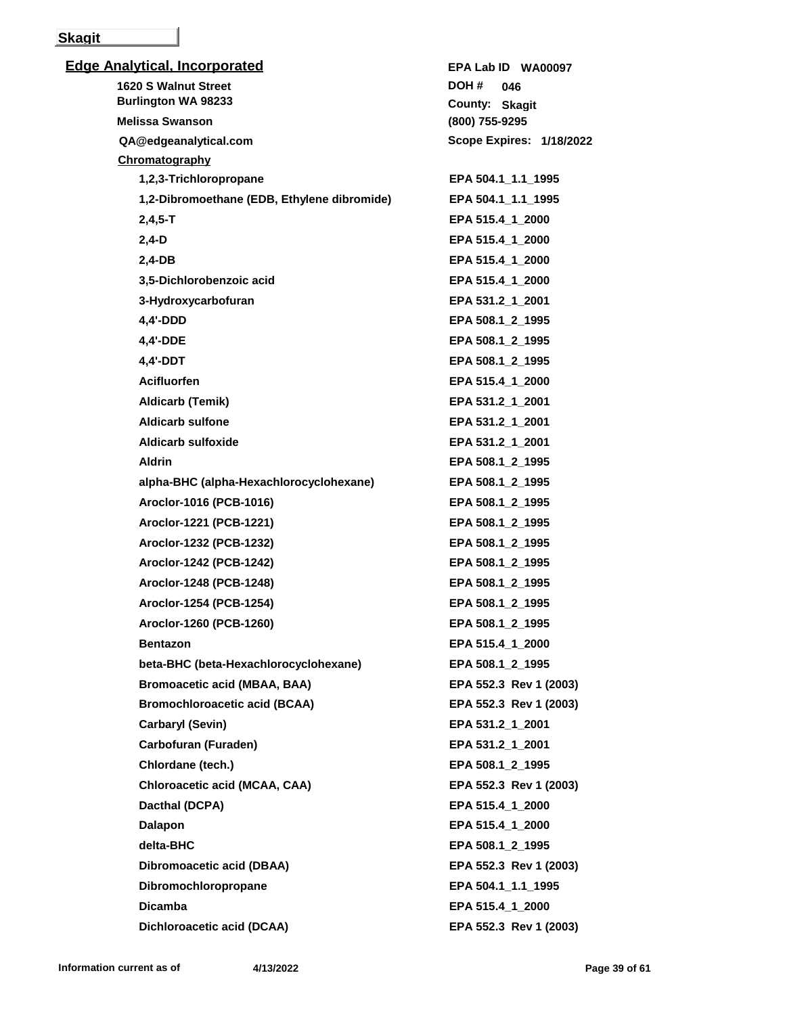## **Skagit**

| <b>Edge Analytical, Incorporated</b>        | EPA Lab ID WA00097       |
|---------------------------------------------|--------------------------|
| <b>1620 S Walnut Street</b>                 | DOH #<br>046             |
| <b>Burlington WA 98233</b>                  | County: Skagit           |
| <b>Melissa Swanson</b>                      | (800) 755-9295           |
| QA@edgeanalytical.com                       | Scope Expires: 1/18/2022 |
| Chromatography                              |                          |
| 1,2,3-Trichloropropane                      | EPA 504.1 1.1 1995       |
| 1,2-Dibromoethane (EDB, Ethylene dibromide) | EPA 504.1_1.1_1995       |
| $2,4,5 - T$                                 | EPA 515.4_1_2000         |
| $2,4-D$                                     | EPA 515.4_1_2000         |
| $2,4-DB$                                    | EPA 515.4_1_2000         |
| 3,5-Dichlorobenzoic acid                    | EPA 515.4_1_2000         |
| 3-Hydroxycarbofuran                         | EPA 531.2_1_2001         |
| 4,4'-DDD                                    | EPA 508.1_2_1995         |
| 4,4'-DDE                                    | EPA 508.1_2_1995         |
| 4,4'-DDT                                    | EPA 508.1_2_1995         |
| <b>Acifluorfen</b>                          | EPA 515.4 1 2000         |
| Aldicarb (Temik)                            | EPA 531.2_1_2001         |
| <b>Aldicarb sulfone</b>                     | EPA 531.2_1_2001         |
| Aldicarb sulfoxide                          | EPA 531.2_1_2001         |
| <b>Aldrin</b>                               | EPA 508.1_2_1995         |
| alpha-BHC (alpha-Hexachlorocyclohexane)     | EPA 508.1_2_1995         |
| Aroclor-1016 (PCB-1016)                     | EPA 508.1 2 1995         |
| Aroclor-1221 (PCB-1221)                     | EPA 508.1_2_1995         |
| Aroclor-1232 (PCB-1232)                     | EPA 508.1_2_1995         |
| Aroclor-1242 (PCB-1242)                     | EPA 508.1_2_1995         |
| Aroclor-1248 (PCB-1248)                     | EPA 508.1_2_1995         |
| Aroclor-1254 (PCB-1254)                     | EPA 508.1 2 1995         |
| Aroclor-1260 (PCB-1260)                     | EPA 508.1_2_1995         |
| <b>Bentazon</b>                             | EPA 515.4 1 2000         |
| beta-BHC (beta-Hexachlorocyclohexane)       | EPA 508.1_2_1995         |
| <b>Bromoacetic acid (MBAA, BAA)</b>         | EPA 552.3 Rev 1 (2003)   |
| <b>Bromochloroacetic acid (BCAA)</b>        | EPA 552.3 Rev 1 (2003)   |
| Carbaryl (Sevin)                            | EPA 531.2_1_2001         |
| Carbofuran (Furaden)                        | EPA 531.2_1_2001         |
| Chlordane (tech.)                           | EPA 508.1_2_1995         |
| Chloroacetic acid (MCAA, CAA)               | EPA 552.3 Rev 1 (2003)   |
| Dacthal (DCPA)                              | EPA 515.4_1_2000         |
| Dalapon                                     | EPA 515.4_1_2000         |
| delta-BHC                                   | EPA 508.1_2_1995         |
| Dibromoacetic acid (DBAA)                   | EPA 552.3 Rev 1 (2003)   |
| Dibromochloropropane                        | EPA 504.1_1.1_1995       |
| <b>Dicamba</b>                              | EPA 515.4_1_2000         |
| Dichloroacetic acid (DCAA)                  | EPA 552.3 Rev 1 (2003)   |
|                                             |                          |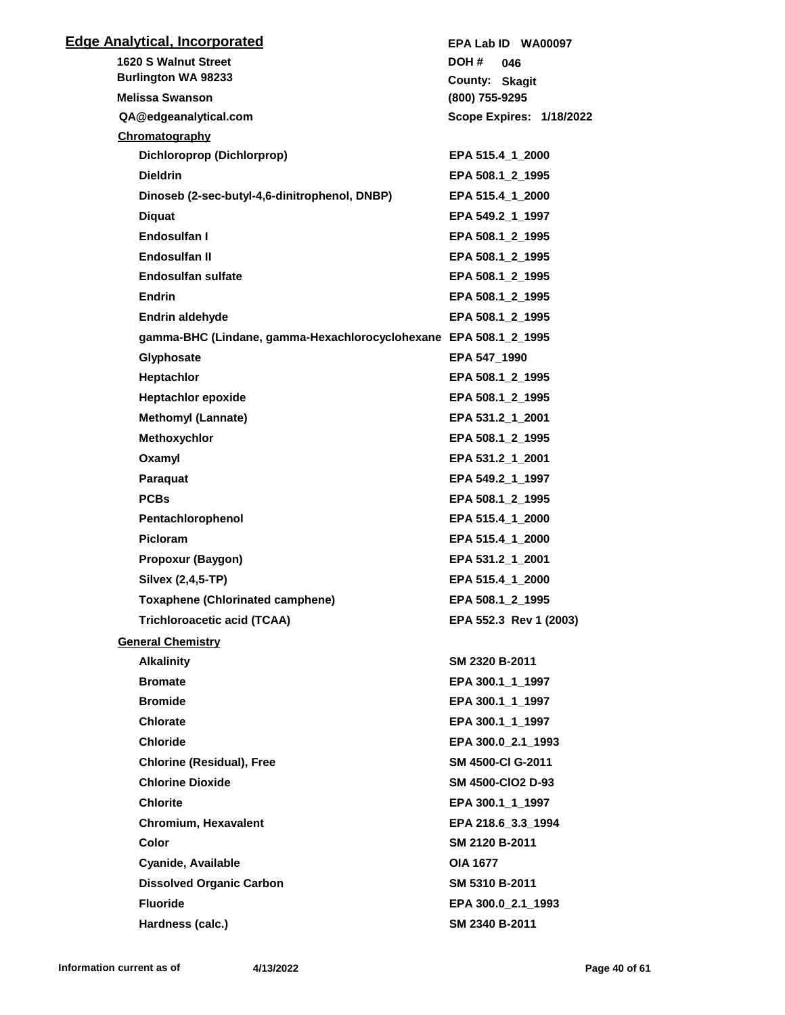| <b>Edge Analytical, Incorporated</b>                             | EPA Lab ID WA00097       |
|------------------------------------------------------------------|--------------------------|
| 1620 S Walnut Street                                             | DOH #<br>046             |
| <b>Burlington WA 98233</b>                                       | County: Skagit           |
| <b>Melissa Swanson</b>                                           | (800) 755-9295           |
| QA@edgeanalytical.com                                            | Scope Expires: 1/18/2022 |
| Chromatography                                                   |                          |
| Dichloroprop (Dichlorprop)                                       | EPA 515.4 1 2000         |
| <b>Dieldrin</b>                                                  | EPA 508.1 2 1995         |
| Dinoseb (2-sec-butyl-4,6-dinitrophenol, DNBP)                    | EPA 515.4 1 2000         |
| <b>Diquat</b>                                                    | EPA 549.2 1 1997         |
| Endosulfan I                                                     | EPA 508.1 2 1995         |
| Endosulfan II                                                    | EPA 508.1_2_1995         |
| <b>Endosulfan sulfate</b>                                        | EPA 508.1 2 1995         |
| <b>Endrin</b>                                                    | EPA 508.1 2 1995         |
| <b>Endrin aldehyde</b>                                           | EPA 508.1 2 1995         |
| gamma-BHC (Lindane, gamma-Hexachlorocyclohexane EPA 508.1_2_1995 |                          |
| Glyphosate                                                       | EPA 547_1990             |
| Heptachlor                                                       | EPA 508.1 2 1995         |
| <b>Heptachlor epoxide</b>                                        | EPA 508.1_2_1995         |
| <b>Methomyl (Lannate)</b>                                        | EPA 531.2 1 2001         |
| Methoxychlor                                                     | EPA 508.1 2 1995         |
| Oxamyl                                                           | EPA 531.2 1 2001         |
| Paraquat                                                         | EPA 549.2 1 1997         |
| <b>PCBs</b>                                                      | EPA 508.1 2 1995         |
| Pentachlorophenol                                                | EPA 515.4_1_2000         |
| <b>Picloram</b>                                                  | EPA 515.4 1 2000         |
| Propoxur (Baygon)                                                | EPA 531.2 1 2001         |
| Silvex (2,4,5-TP)                                                | EPA 515.4 1 2000         |
| <b>Toxaphene (Chlorinated camphene)</b>                          | EPA 508.1_2_1995         |
| <b>Trichloroacetic acid (TCAA)</b>                               | EPA 552.3 Rev 1 (2003)   |
| <b>General Chemistry</b>                                         |                          |
| <b>Alkalinity</b>                                                | SM 2320 B-2011           |
| <b>Bromate</b>                                                   | EPA 300.1_1_1997         |
| <b>Bromide</b>                                                   | EPA 300.1_1_1997         |
| <b>Chlorate</b>                                                  | EPA 300.1_1_1997         |
| <b>Chloride</b>                                                  | EPA 300.0 2.1 1993       |
| <b>Chlorine (Residual), Free</b>                                 | SM 4500-CI G-2011        |
| <b>Chlorine Dioxide</b>                                          | <b>SM 4500-CIO2 D-93</b> |
| <b>Chlorite</b>                                                  | EPA 300.1_1_1997         |
| <b>Chromium, Hexavalent</b>                                      | EPA 218.6_3.3_1994       |
| <b>Color</b>                                                     | SM 2120 B-2011           |
| Cyanide, Available                                               | <b>OIA 1677</b>          |
| <b>Dissolved Organic Carbon</b>                                  | SM 5310 B-2011           |
| <b>Fluoride</b>                                                  | EPA 300.0_2.1_1993       |
| Hardness (calc.)                                                 | SM 2340 B-2011           |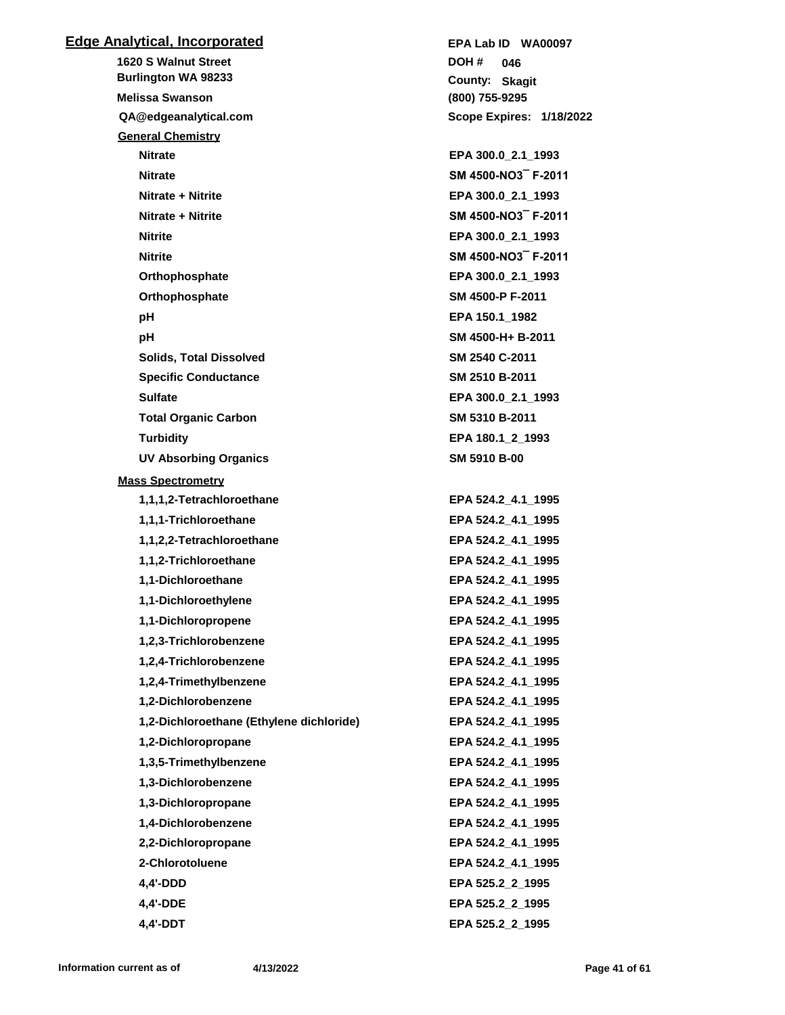## **Edge Analytical, Incorporated 1620 S Walnut Street (800) 755-9295 QA@edgeanalytical.com Skagit County: 046 Burlington WA 98233 Melissa Swanson DOH # Scope Expires: 1/18/2022 EPA Lab ID WA00097 General Chemistry Nitrate EPA 300.0\_2.1\_1993 Nitrate SM 4500-NO3¯ F-2011 Nitrate + Nitrite EPA 300.0\_2.1\_1993 Nitrate + Nitrite SM 4500-NO3¯ F-2011 Nitrite EPA 300.0\_2.1\_1993 Nitrite SM 4500-NO3¯ F-2011 Orthophosphate EPA 300.0\_2.1\_1993 Orthophosphate SM 4500-P F-2011 pH EPA 150.1\_1982 pH SM 4500-H+ B-2011 Solids, Total Dissolved SM 2540 C-2011 Specific Conductance SM 2510 B-2011 Sulfate EPA 300.0\_2.1\_1993 Total Organic Carbon SM 5310 B-2011 Turbidity EPA 180.1\_2\_1993 UV Absorbing Organics SM 5910 B-00 Mass Spectrometry 1,1,1,2-Tetrachloroethane EPA 524.2\_4.1\_1995 1,1,1-Trichloroethane EPA 524.2\_4.1\_1995 1,1,2,2-Tetrachloroethane EPA 524.2\_4.1\_1995 1,1,2-Trichloroethane EPA 524.2\_4.1\_1995 1,1-Dichloroethane EPA 524.2\_4.1\_1995 1,1-Dichloroethylene EPA 524.2\_4.1\_1995 1,1-Dichloropropene EPA 524.2\_4.1\_1995 1,2,3-Trichlorobenzene EPA 524.2\_4.1\_1995 1,2,4-Trichlorobenzene EPA 524.2\_4.1\_1995 1,2,4-Trimethylbenzene EPA 524.2\_4.1\_1995 1,2-Dichlorobenzene EPA 524.2\_4.1\_1995 1,2-Dichloroethane (Ethylene dichloride) EPA 524.2\_4.1\_1995 1,2-Dichloropropane EPA 524.2\_4.1\_1995 1,3,5-Trimethylbenzene EPA 524.2\_4.1\_1995 1,3-Dichlorobenzene EPA 524.2\_4.1\_1995 1,3-Dichloropropane EPA 524.2\_4.1\_1995 1,4-Dichlorobenzene EPA 524.2\_4.1\_1995 2,2-Dichloropropane EPA 524.2\_4.1\_1995 2-Chlorotoluene EPA 524.2\_4.1\_1995 4,4'-DDD EPA 525.2\_2\_1995 4,4'-DDE EPA 525.2\_2\_1995**

**4,4'-DDT EPA 525.2\_2\_1995**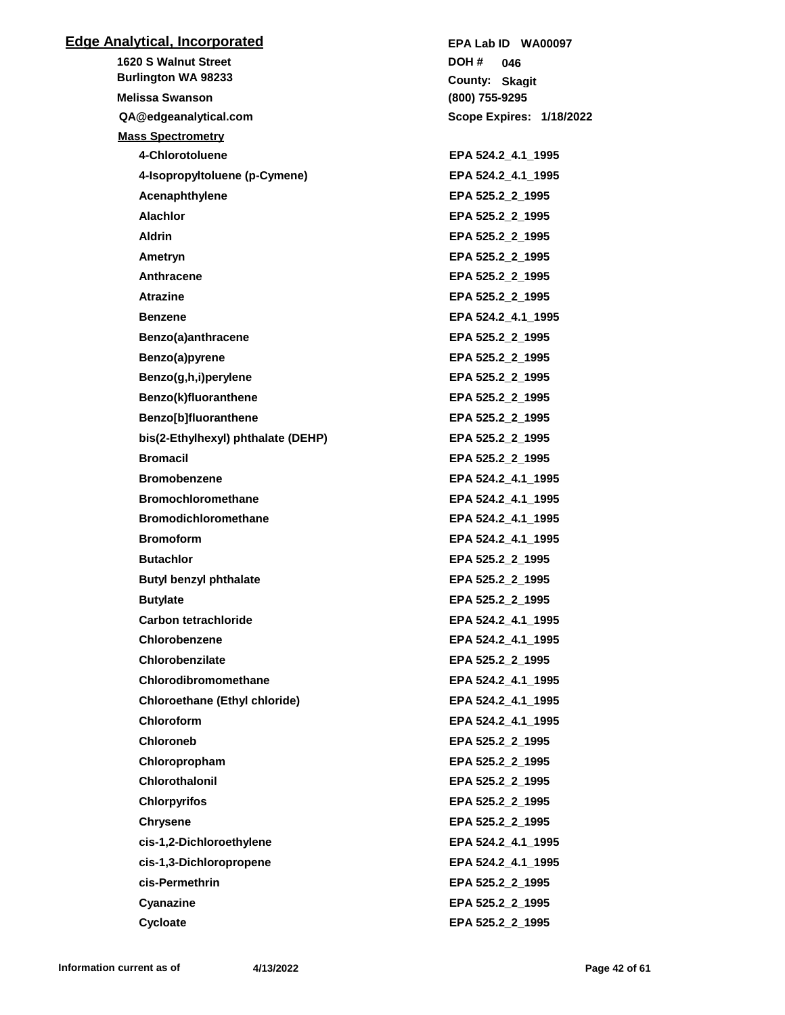## **Edge Analytical, Incorporated**

**1620 S Walnut Street QA@edgeanalytical.com Burlington WA 98233 Melissa Swanson Mass Spectrometry 4-Chlorotoluene EPA 524.2\_4.1\_1995 4-Isopropyltoluene (p-Cymene) EPA 524.2\_4.1\_1995 Acenaphthylene EPA 525.2\_2\_1995 Alachlor EPA 525.2\_2\_1995 Aldrin EPA 525.2\_2\_1995 Ametryn EPA 525.2\_2\_1995** Anthracene **EPA 525.2\_2\_1995 Atrazine EPA 525.2\_2\_1995 Benzene EPA 524.2 4.1 1995 Benzo(a)anthracene EPA 525.2\_2\_1995 Benzo(a)pyrene EPA 525.2\_2\_1995 Benzo(g,h,i)perylene EPA 525.2\_2\_1995 Benzo(k)fluoranthene EPA 525.2\_2\_1995 Benzo[b]fluoranthene EPA 525.2\_2\_1995 bis(2-Ethylhexyl) phthalate (DEHP) EPA 525.2\_2\_1995 Bromacil EPA 525.2\_2\_1995 Bromobenzene EPA 524.2\_4.1\_1995 Bromochloromethane EPA 524.2\_4.1\_1995 Bromodichloromethane EPA 524.2\_4.1\_1995 Bromoform EPA 524.2\_4.1\_1995 Butachlor EPA 525.2\_2\_1995 Butyl benzyl phthalate EPA 525.2\_2\_1995 Butylate EPA 525.2\_2\_1995 Carbon tetrachloride EPA 524.2\_4.1\_1995 Chlorobenzene EPA 524.2\_4.1\_1995 Chlorobenzilate EPA 525.2\_2\_1995 Chlorodibromomethane EPA 524.2\_4.1\_1995 Chloroethane (Ethyl chloride) EPA 524.2\_4.1\_1995 Chloroform EPA 524.2\_4.1\_1995 Chloroneb EPA 525.2\_2\_1995 Chloropropham EPA 525.2\_2\_1995 Chlorothalonil EPA 525.2\_2\_1995 Chlorpyrifos EPA 525.2\_2\_1995 Chrysene EPA 525.2\_2\_1995 cis-1,2-Dichloroethylene EPA 524.2\_4.1\_1995 cis-1,3-Dichloropropene EPA 524.2\_4.1\_1995 cis-Permethrin EPA 525.2\_2\_1995 Cyanazine EPA 525.2\_2\_1995 Cycloate EPA 525.2\_2\_1995**

**(800) 755-9295 Skagit County: 046 DOH # Scope Expires: 1/18/2022 EPA Lab ID WA00097**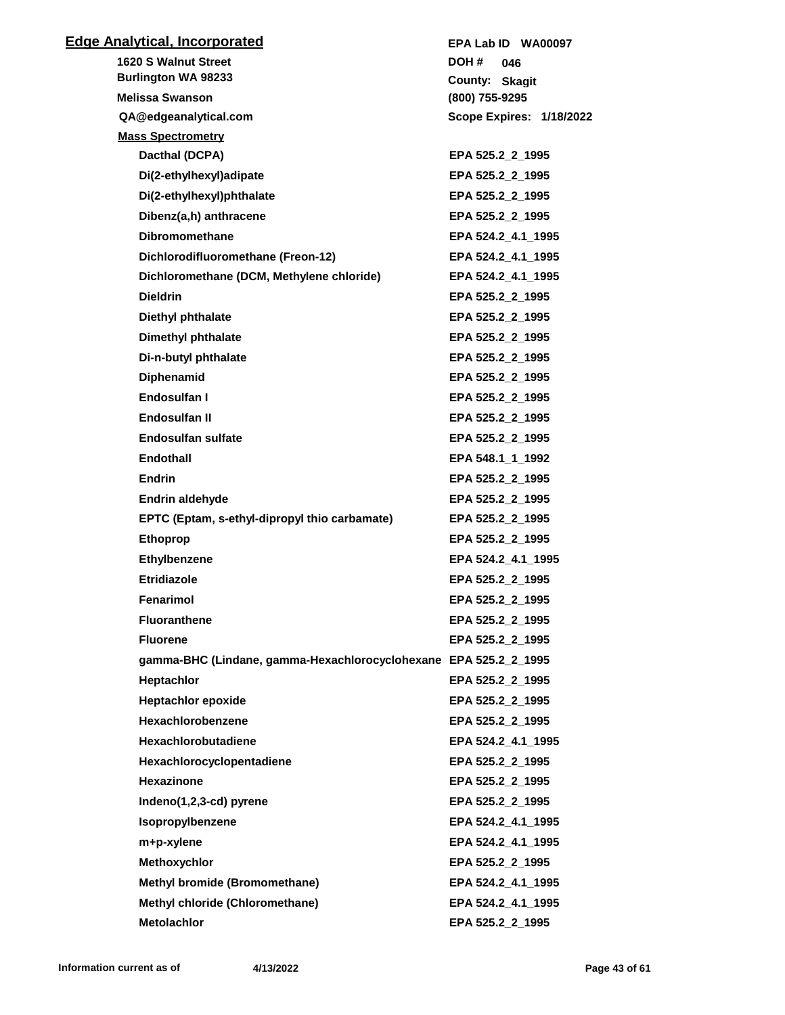| <b>Edge Analytical, Incorporated</b>                             | EPA Lab ID WA00097       |
|------------------------------------------------------------------|--------------------------|
| <b>1620 S Walnut Street</b>                                      | DOH #<br>046             |
| <b>Burlington WA 98233</b>                                       | County: Skagit           |
| <b>Melissa Swanson</b>                                           | (800) 755-9295           |
| QA@edgeanalytical.com                                            | Scope Expires: 1/18/2022 |
| <b>Mass Spectrometry</b>                                         |                          |
| Dacthal (DCPA)                                                   | EPA 525.2_2_1995         |
| Di(2-ethylhexyl)adipate                                          | EPA 525.2 2 1995         |
| Di(2-ethylhexyl)phthalate                                        | EPA 525.2_2_1995         |
| Dibenz(a,h) anthracene                                           | EPA 525.2_2_1995         |
| <b>Dibromomethane</b>                                            | EPA 524.2_4.1_1995       |
| Dichlorodifluoromethane (Freon-12)                               | EPA 524.2_4.1_1995       |
| Dichloromethane (DCM, Methylene chloride)                        | EPA 524.2_4.1_1995       |
| <b>Dieldrin</b>                                                  | EPA 525.2 2 1995         |
| Diethyl phthalate                                                | EPA 525.2 2 1995         |
| <b>Dimethyl phthalate</b>                                        | EPA 525.2 2 1995         |
| Di-n-butyl phthalate                                             | EPA 525.2_2_1995         |
| <b>Diphenamid</b>                                                | EPA 525.2 2 1995         |
| Endosulfan I                                                     | EPA 525.2_2_1995         |
| Endosulfan II                                                    | EPA 525.2_2_1995         |
| <b>Endosulfan sulfate</b>                                        | EPA 525.2_2_1995         |
| Endothall                                                        | EPA 548.1_1_1992         |
| <b>Endrin</b>                                                    | EPA 525.2_2_1995         |
| <b>Endrin aldehyde</b>                                           | EPA 525.2_2_1995         |
| EPTC (Eptam, s-ethyl-dipropyl thio carbamate)                    | EPA 525.2 2 1995         |
| <b>Ethoprop</b>                                                  | EPA 525.2_2_1995         |
| Ethylbenzene                                                     | EPA 524.2_4.1_1995       |
| <b>Etridiazole</b>                                               | EPA 525.2 2 1995         |
| Fenarimol                                                        | EPA 525.2_2_1995         |
| <b>Fluoranthene</b>                                              | EPA 525.2_2_1995         |
| <b>Fluorene</b>                                                  | EPA 525.2_2_1995         |
| gamma-BHC (Lindane, gamma-Hexachlorocyclohexane EPA 525.2_2_1995 |                          |
| Heptachlor                                                       | EPA 525.2 2 1995         |
| <b>Heptachlor epoxide</b>                                        | EPA 525.2_2_1995         |
| Hexachlorobenzene                                                | EPA 525.2_2_1995         |
| <b>Hexachlorobutadiene</b>                                       | EPA 524.2_4.1_1995       |
| Hexachlorocyclopentadiene                                        | EPA 525.2_2_1995         |
| Hexazinone                                                       | EPA 525.2_2_1995         |
| Indeno(1,2,3-cd) pyrene                                          | EPA 525.2_2_1995         |
| Isopropylbenzene                                                 | EPA 524.2 4.1 1995       |
| m+p-xylene                                                       | EPA 524.2_4.1_1995       |
| Methoxychlor                                                     | EPA 525.2_2_1995         |
| Methyl bromide (Bromomethane)                                    | EPA 524.2_4.1_1995       |
| <b>Methyl chloride (Chloromethane)</b>                           | EPA 524.2 4.1 1995       |
| <b>Metolachlor</b>                                               | EPA 525.2_2_1995         |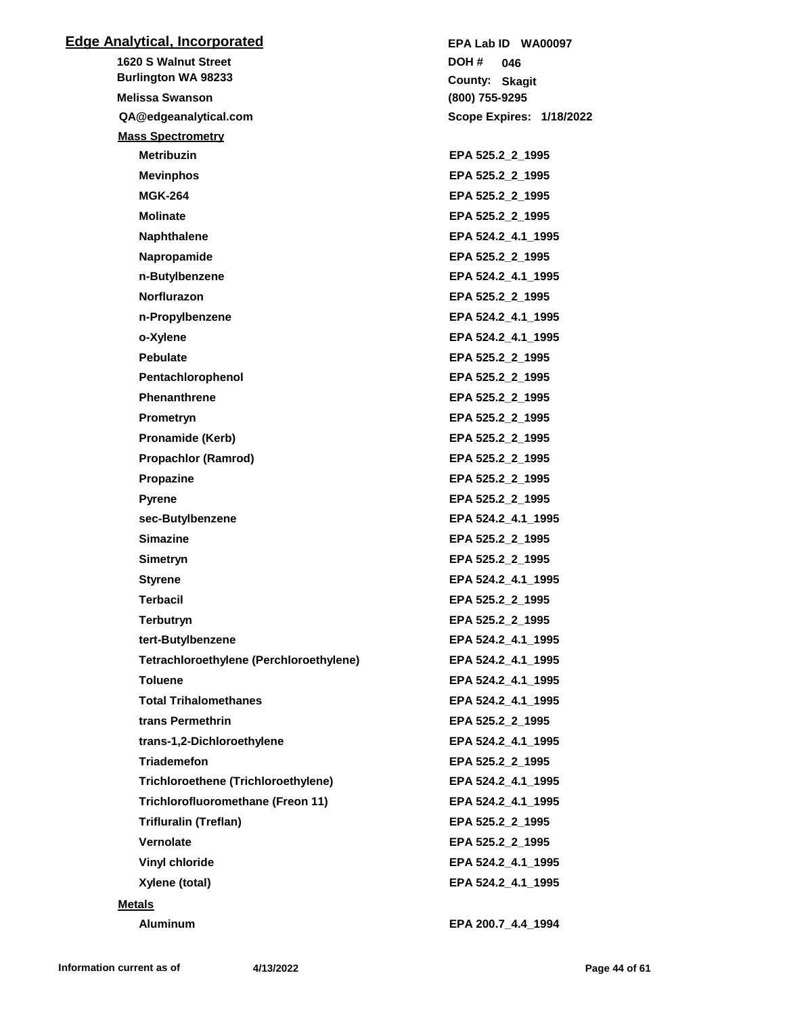| <b>Edge Analytical, Incorporated</b>       | EPA Lab ID WA00097       |
|--------------------------------------------|--------------------------|
| <b>1620 S Walnut Street</b>                | DOH #<br>046             |
| <b>Burlington WA 98233</b>                 | County: Skagit           |
| <b>Melissa Swanson</b>                     | (800) 755-9295           |
| QA@edgeanalytical.com                      | Scope Expires: 1/18/2022 |
| <b>Mass Spectrometry</b>                   |                          |
| <b>Metribuzin</b>                          | EPA 525.2 2 1995         |
| <b>Mevinphos</b>                           | EPA 525.2_2_1995         |
| <b>MGK-264</b>                             | EPA 525.2 2 1995         |
| <b>Molinate</b>                            | EPA 525.2_2_1995         |
| <b>Naphthalene</b>                         | EPA 524.2 4.1 1995       |
| Napropamide                                | EPA 525.2_2_1995         |
| n-Butylbenzene                             | EPA 524.2_4.1_1995       |
| <b>Norflurazon</b>                         | EPA 525.2_2_1995         |
| n-Propylbenzene                            | EPA 524.2 4.1 1995       |
| o-Xylene                                   | EPA 524.2_4.1_1995       |
| <b>Pebulate</b>                            | EPA 525.2_2_1995         |
| Pentachlorophenol                          | EPA 525.2_2_1995         |
| <b>Phenanthrene</b>                        | EPA 525.2_2_1995         |
| Prometryn                                  | EPA 525.2_2_1995         |
| Pronamide (Kerb)                           | EPA 525.2_2_1995         |
| <b>Propachlor (Ramrod)</b>                 | EPA 525.2_2_1995         |
| Propazine                                  | EPA 525.2_2_1995         |
| <b>Pyrene</b>                              | EPA 525.2_2_1995         |
| sec-Butylbenzene                           | EPA 524.2 4.1 1995       |
| <b>Simazine</b>                            | EPA 525.2_2_1995         |
| <b>Simetryn</b>                            | EPA 525.2_2_1995         |
| <b>Styrene</b>                             | EPA 524.2 4.1 1995       |
| Terbacil                                   | EPA 525.2 2 1995         |
| Terbutryn                                  | EPA 525.2_2_1995         |
| tert-Butylbenzene                          | EPA 524.2_4.1_1995       |
| Tetrachloroethylene (Perchloroethylene)    | EPA 524.2_4.1_1995       |
| <b>Toluene</b>                             | EPA 524.2_4.1_1995       |
| <b>Total Trihalomethanes</b>               | EPA 524.2_4.1_1995       |
| trans Permethrin                           | EPA 525.2_2_1995         |
| trans-1,2-Dichloroethylene                 | EPA 524.2_4.1_1995       |
| <b>Triademefon</b>                         | EPA 525.2_2_1995         |
| <b>Trichloroethene (Trichloroethylene)</b> | EPA 524.2_4.1_1995       |
| Trichlorofluoromethane (Freon 11)          | EPA 524.2_4.1_1995       |
| <b>Trifluralin (Treflan)</b>               | EPA 525.2 2 1995         |
| Vernolate                                  | EPA 525.2_2_1995         |
| <b>Vinyl chloride</b>                      | EPA 524.2_4.1_1995       |
| Xylene (total)                             | EPA 524.2_4.1_1995       |
| <b>Metals</b>                              |                          |
| <b>Aluminum</b>                            | EPA 200.7_4.4_1994       |
|                                            |                          |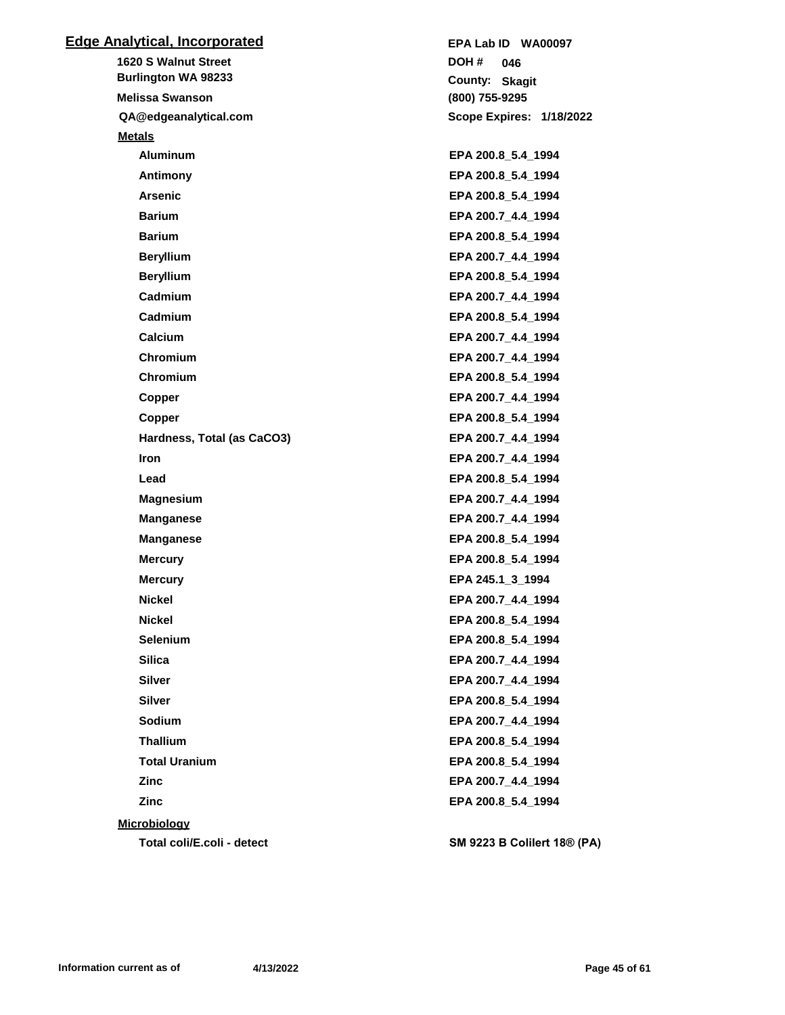| <b>Edge Analytical, Incorporated</b> | EPA Lab ID WA00097                 |
|--------------------------------------|------------------------------------|
| <b>1620 S Walnut Street</b>          | DOH #<br>046                       |
| <b>Burlington WA 98233</b>           | County: Skagit                     |
| <b>Melissa Swanson</b>               | (800) 755-9295                     |
| QA@edgeanalytical.com                | Scope Expires: 1/18/2022           |
| <b>Metals</b>                        |                                    |
| <b>Aluminum</b>                      | EPA 200.8_5.4_1994                 |
| Antimony                             | EPA 200.8_5.4_1994                 |
| <b>Arsenic</b>                       | EPA 200.8 5.4 1994                 |
| <b>Barium</b>                        | EPA 200.7_4.4_1994                 |
| <b>Barium</b>                        | EPA 200.8_5.4_1994                 |
| <b>Beryllium</b>                     | EPA 200.7_4.4_1994                 |
| <b>Beryllium</b>                     | EPA 200.8_5.4_1994                 |
| Cadmium                              | EPA 200.7 4.4 1994                 |
| Cadmium                              | EPA 200.8_5.4_1994                 |
| Calcium                              | EPA 200.7_4.4_1994                 |
| Chromium                             | EPA 200.7_4.4_1994                 |
| Chromium                             | EPA 200.8_5.4_1994                 |
| Copper                               | EPA 200.7 4.4 1994                 |
| Copper                               | EPA 200.8_5.4_1994                 |
| Hardness, Total (as CaCO3)           | EPA 200.7_4.4_1994                 |
| <b>Iron</b>                          | EPA 200.7_4.4_1994                 |
| Lead                                 | EPA 200.8_5.4_1994                 |
| <b>Magnesium</b>                     | EPA 200.7_4.4_1994                 |
| <b>Manganese</b>                     | EPA 200.7_4.4_1994                 |
| <b>Manganese</b>                     | EPA 200.8_5.4_1994                 |
| <b>Mercury</b>                       | EPA 200.8_5.4_1994                 |
| <b>Mercury</b>                       | EPA 245.1_3_1994                   |
| <b>Nickel</b>                        | EPA 200.7_4.4_1994                 |
| <b>Nickel</b>                        | EPA 200.8_5.4_1994                 |
| <b>Selenium</b>                      | EPA 200.8 5.4 1994                 |
| <b>Silica</b>                        | EPA 200.7_4.4_1994                 |
| <b>Silver</b>                        | EPA 200.7_4.4_1994                 |
| <b>Silver</b>                        | EPA 200.8_5.4_1994                 |
| Sodium                               | EPA 200.7_4.4_1994                 |
| <b>Thallium</b>                      | EPA 200.8_5.4_1994                 |
| <b>Total Uranium</b>                 | EPA 200.8 5.4 1994                 |
| <b>Zinc</b>                          | EPA 200.7_4.4_1994                 |
| <b>Zinc</b>                          | EPA 200.8_5.4_1994                 |
| <b>Microbiology</b>                  |                                    |
| Total coli/E.coli - detect           | <b>SM 9223 B Colilert 18® (PA)</b> |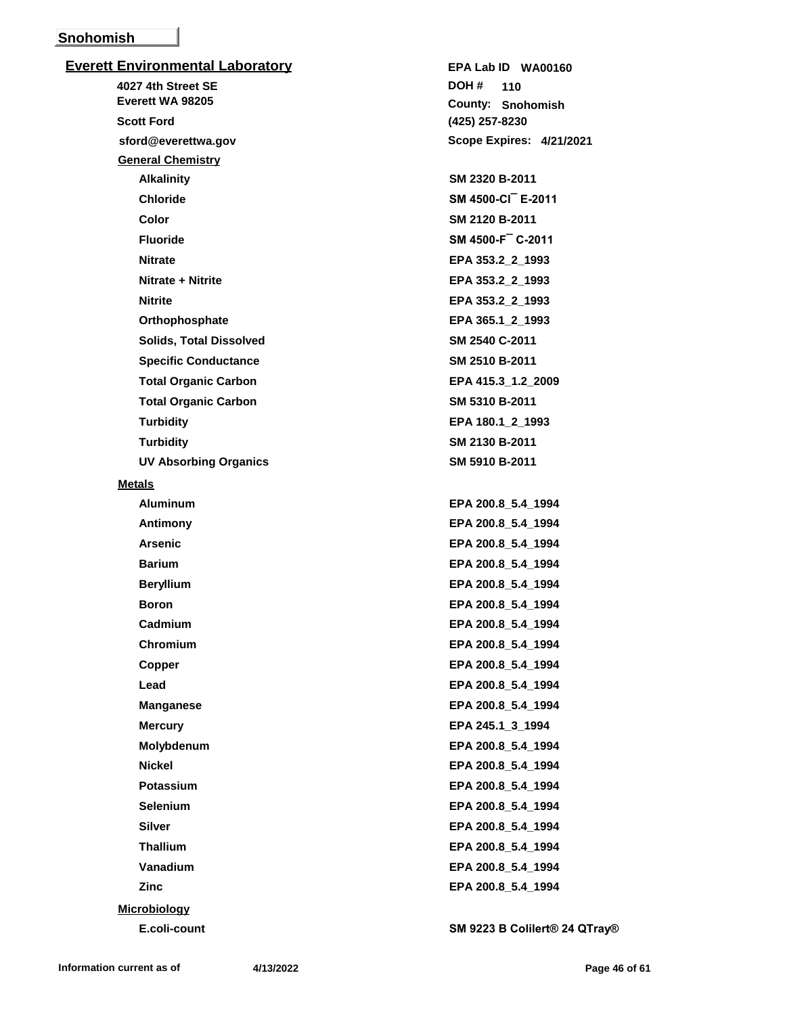## **Snohomish**

**Everett Environmental Laboratory 4027 4th Street SE sford@everettwa.gov Everett WA 98205 Scott Ford General Chemistry Alkalinity SM 2320 B-2011 Chloride SM 4500-Cl¯ E-2011 Color SM 2120 B-2011 Fluoride SM 4500-F¯ C-2011 Nitrate EPA 353.2\_2\_1993 Nitrate + Nitrite EPA 353.2\_2\_1993 Nitrite EPA 353.2\_2\_1993 Orthophosphate EPA 365.1\_2\_1993 Solids, Total Dissolved SM 2540 C-2011 Specific Conductance SM 2510 B-2011 Total Organic Carbon EPA 415.3\_1.2\_2009 Total Organic Carbon SM 5310 B-2011 Turbidity EPA 180.1\_2\_1993 Turbidity SM 2130 B-2011 UV Absorbing Organics SM 5910 B-2011 Metals Aluminum EPA 200.8\_5.4\_1994 Antimony EPA 200.8\_5.4\_1994 Arsenic EPA 200.8\_5.4\_1994 Barium EPA 200.8\_5.4\_1994 Beryllium EPA 200.8\_5.4\_1994 Boron EPA 200.8\_5.4\_1994 Cadmium EPA 200.8\_5.4\_1994 Chromium EPA 200.8\_5.4\_1994 Copper EPA 200.8\_5.4\_1994 Lead EPA 200.8\_5.4\_1994 Manganese EPA 200.8\_5.4\_1994 Mercury EPA 245.1\_3\_1994 Molybdenum EPA 200.8\_5.4\_1994 Nickel EPA 200.8\_5.4\_1994 Potassium EPA 200.8\_5.4\_1994 Selenium EPA 200.8\_5.4\_1994**

**(425) 257-8230 Snohomish County: 110 DOH # Scope Expires: 4/21/2021 EPA Lab ID WA00160 Silver EPA 200.8\_5.4\_1994 Thallium EPA 200.8\_5.4\_1994 Vanadium EPA 200.8\_5.4\_1994 Zinc EPA 200.8\_5.4\_1994**

**E.coli-count SM 9223 B Colilert® 24 QTray®**

**Microbiology**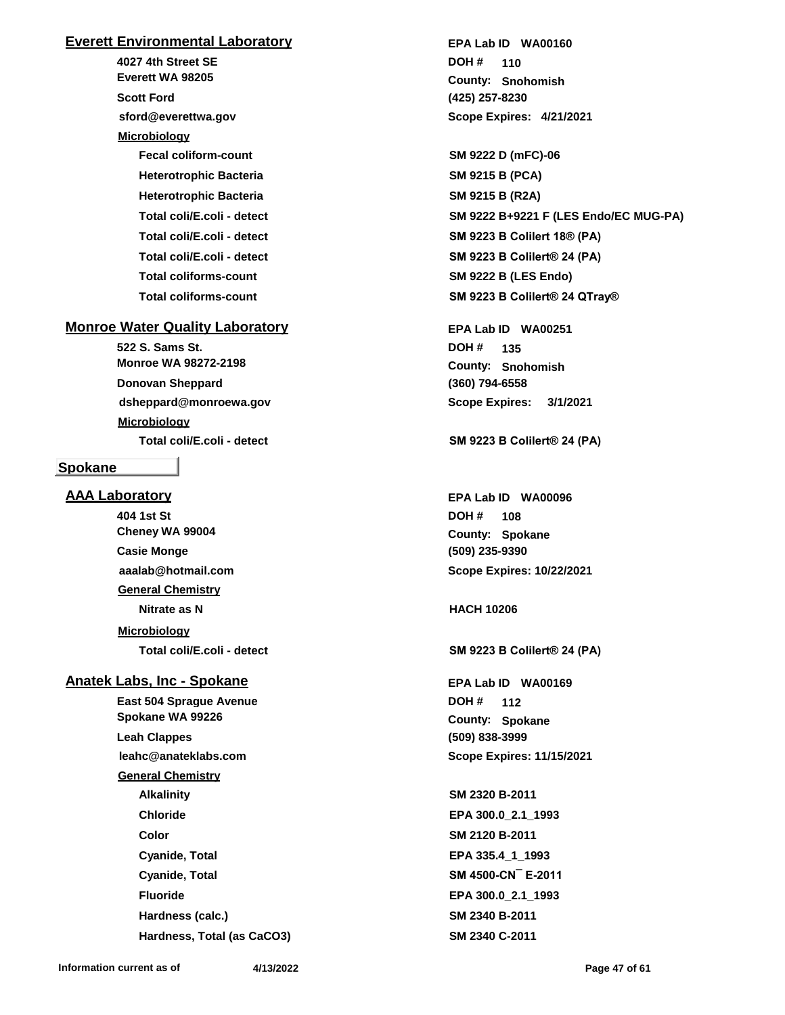## **Everett Environmental Laboratory**

**4027 4th Street SE sford@everettwa.gov Everett WA 98205 Scott Ford Microbiology Fecal coliform-count SM 9222 D (mFC)-06 Heterotrophic Bacteria SM 9215 B (PCA) Heterotrophic Bacteria SM 9215 B (R2A) Total coliforms-count SM 9222 B (LES Endo)**

## **Monroe Water Quality Laboratory**

**522 S. Sams St. dsheppard@monroewa.gov Monroe WA 98272-2198 Donovan Sheppard Microbiology**

#### **Spokane**

## **AAA Laboratory**

**404 1st St aaalab@hotmail.com Cheney WA 99004 Casie Monge General Chemistry Nitrate as N HACH 10206 Microbiology**

## **Anatek Labs, Inc - Spokane**

**East 504 Sprague Avenue leahc@anateklabs.com Spokane WA 99226 Leah Clappes General Chemistry Alkalinity SM 2320 B-2011 Chloride EPA 300.0\_2.1\_1993 Color SM 2120 B-2011 Cyanide, Total EPA 335.4\_1\_1993 Cyanide, Total SM 4500-CN¯ E-2011 Fluoride EPA 300.0\_2.1\_1993 Hardness (calc.) SM 2340 B-2011 Hardness, Total (as CaCO3) SM 2340 C-2011**

**(425) 257-8230 Snohomish County: 110 DOH # Scope Expires: 4/21/2021 EPA Lab ID WA00160**

**Total coli/E.coli - detect SM 9222 B+9221 F (LES Endo/EC MUG-PA) Total coli/E.coli - detect SM 9223 B Colilert 18® (PA) Total coli/E.coli - detect SM 9223 B Colilert® 24 (PA) Total coliforms-count SM 9223 B Colilert® 24 QTray®**

> **(360) 794-6558 Snohomish County: 135 DOH # Scope Expires: 3/1/2021 EPA Lab ID WA00251**

**Total coli/E.coli - detect SM 9223 B Colilert® 24 (PA)**

**(509) 235-9390 Spokane County: 108 DOH # Scope Expires: 10/22/2021 EPA Lab ID WA00096**

**Total coli/E.coli - detect SM 9223 B Colilert® 24 (PA)**

**(509) 838-3999 Spokane County: 112 DOH # Scope Expires: 11/15/2021 EPA Lab ID WA00169**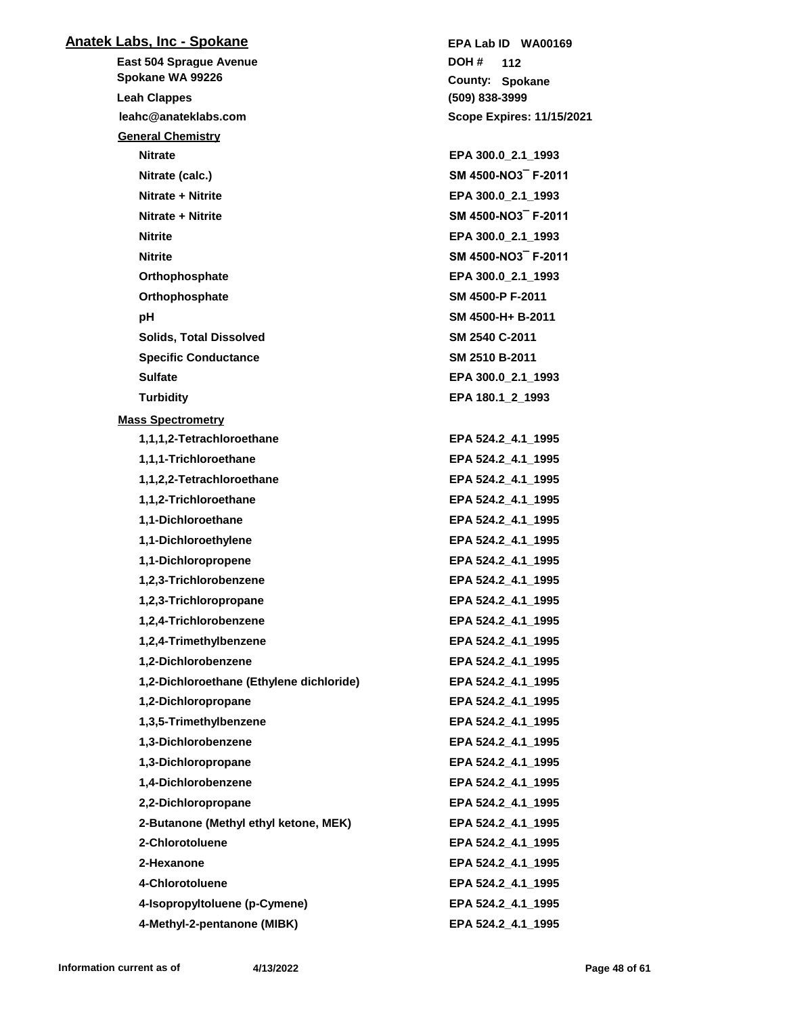| <u> Anatek Labs, Inc - Spokane</u>         | EPA Lab ID WA00169                       |
|--------------------------------------------|------------------------------------------|
| <b>East 504 Sprague Avenue</b>             | DOH #<br>112                             |
| Spokane WA 99226                           | <b>County: Spokane</b>                   |
| <b>Leah Clappes</b>                        | (509) 838-3999                           |
| leahc@anateklabs.com                       | <b>Scope Expires: 11/15/2021</b>         |
| <b>General Chemistry</b><br><b>Nitrate</b> |                                          |
| Nitrate (calc.)                            | EPA 300.0_2.1_1993<br>SM 4500-NO3 F-2011 |
| Nitrate + Nitrite                          | EPA 300.0 2.1 1993                       |
| Nitrate + Nitrite                          | SM 4500-NO3 F-2011                       |
| <b>Nitrite</b>                             | EPA 300.0 2.1 1993                       |
| <b>Nitrite</b>                             | SM 4500-NO3 F-2011                       |
|                                            |                                          |
| Orthophosphate                             | EPA 300.0_2.1_1993<br>SM 4500-P F-2011   |
| Orthophosphate                             |                                          |
| рH                                         | SM 4500-H+ B-2011                        |
| <b>Solids, Total Dissolved</b>             | SM 2540 C-2011                           |
| <b>Specific Conductance</b>                | SM 2510 B-2011                           |
| <b>Sulfate</b>                             | EPA 300.0_2.1_1993                       |
| <b>Turbidity</b>                           | EPA 180.1 2 1993                         |
| <b>Mass Spectrometry</b>                   |                                          |
| 1,1,1,2-Tetrachloroethane                  | EPA 524.2 4.1 1995                       |
| 1,1,1-Trichloroethane                      | EPA 524.2_4.1_1995                       |
| 1,1,2,2-Tetrachloroethane                  | EPA 524.2_4.1_1995                       |
| 1,1,2-Trichloroethane                      | EPA 524.2_4.1_1995                       |
| 1,1-Dichloroethane                         | EPA 524.2_4.1_1995                       |
| 1,1-Dichloroethylene                       | EPA 524.2_4.1_1995                       |
| 1,1-Dichloropropene                        | EPA 524.2 4.1 1995                       |
| 1,2,3-Trichlorobenzene                     | EPA 524.2 4.1 1995                       |
| 1,2,3-Trichloropropane                     | EPA 524.2_4.1_1995                       |
| 1,2,4-Trichlorobenzene                     | EPA 524.2 4.1 1995                       |
| 1,2,4-Trimethylbenzene                     | EPA 524.2_4.1_1995                       |
| 1,2-Dichlorobenzene                        | EPA 524.2 4.1 1995                       |
| 1,2-Dichloroethane (Ethylene dichloride)   | EPA 524.2_4.1_1995                       |
| 1,2-Dichloropropane                        | EPA 524.2_4.1_1995                       |
| 1,3,5-Trimethylbenzene                     | EPA 524.2_4.1_1995                       |
| 1,3-Dichlorobenzene                        | EPA 524.2 4.1 1995                       |
| 1,3-Dichloropropane                        | EPA 524.2_4.1_1995                       |
| 1,4-Dichlorobenzene                        | EPA 524.2_4.1_1995                       |
| 2,2-Dichloropropane                        | EPA 524.2_4.1_1995                       |
| 2-Butanone (Methyl ethyl ketone, MEK)      | EPA 524.2_4.1_1995                       |
| 2-Chlorotoluene                            | EPA 524.2_4.1_1995                       |
| 2-Hexanone                                 | EPA 524.2_4.1_1995                       |
| 4-Chlorotoluene                            | EPA 524.2 4.1 1995                       |
| 4-Isopropyltoluene (p-Cymene)              | EPA 524.2_4.1_1995                       |
| 4-Methyl-2-pentanone (MIBK)                | EPA 524.2_4.1_1995                       |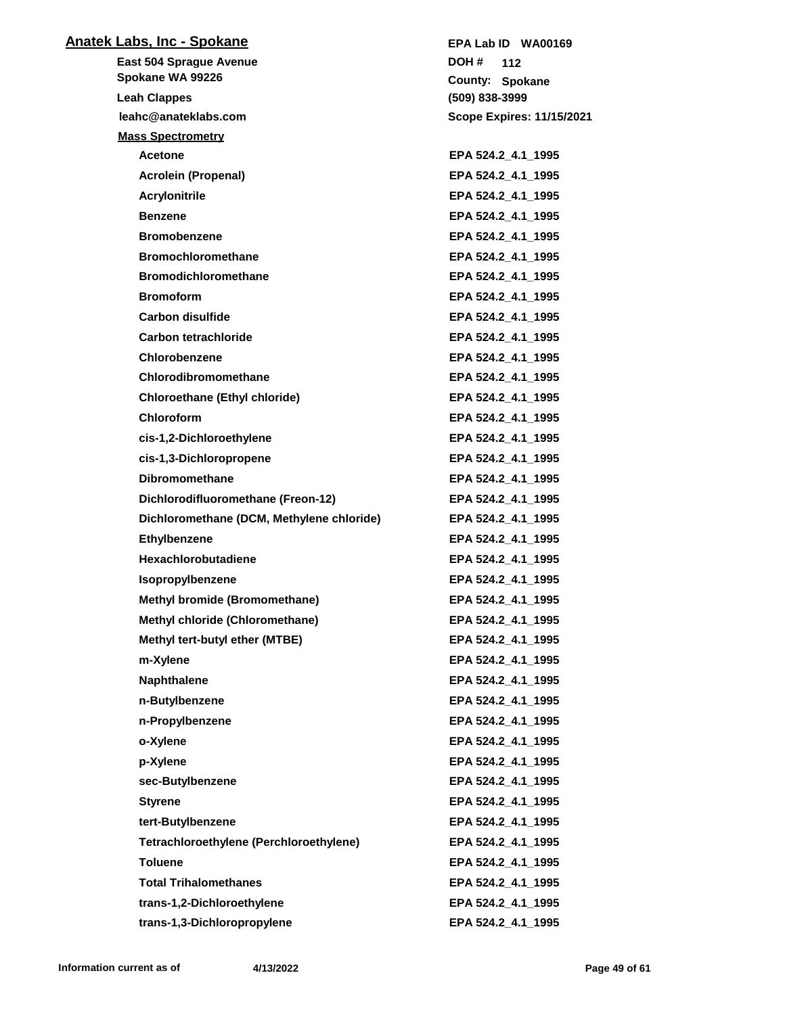| <b>Anatek Labs, Inc - Spokane</b>         | EPA Lab ID WA00169               |
|-------------------------------------------|----------------------------------|
| East 504 Sprague Avenue                   | DOH #<br>112                     |
| Spokane WA 99226                          | County: Spokane                  |
| <b>Leah Clappes</b>                       | (509) 838-3999                   |
| leahc@anateklabs.com                      | <b>Scope Expires: 11/15/2021</b> |
| <b>Mass Spectrometry</b>                  |                                  |
| <b>Acetone</b>                            | EPA 524.2_4.1_1995               |
| <b>Acrolein (Propenal)</b>                | EPA 524.2_4.1_1995               |
| <b>Acrylonitrile</b>                      | EPA 524.2_4.1_1995               |
| <b>Benzene</b>                            | EPA 524.2 4.1 1995               |
| <b>Bromobenzene</b>                       | EPA 524.2_4.1_1995               |
| <b>Bromochloromethane</b>                 | EPA 524.2_4.1_1995               |
| <b>Bromodichloromethane</b>               | EPA 524.2_4.1_1995               |
| <b>Bromoform</b>                          | EPA 524.2_4.1_1995               |
| <b>Carbon disulfide</b>                   | EPA 524.2_4.1_1995               |
| Carbon tetrachloride                      | EPA 524.2_4.1_1995               |
| Chlorobenzene                             | EPA 524.2 4.1 1995               |
| Chlorodibromomethane                      | EPA 524.2 4.1 1995               |
| <b>Chloroethane (Ethyl chloride)</b>      | EPA 524.2_4.1_1995               |
| <b>Chloroform</b>                         | EPA 524.2 4.1 1995               |
| cis-1,2-Dichloroethylene                  | EPA 524.2_4.1_1995               |
| cis-1,3-Dichloropropene                   | EPA 524.2_4.1_1995               |
| <b>Dibromomethane</b>                     | EPA 524.2_4.1_1995               |
| Dichlorodifluoromethane (Freon-12)        | EPA 524.2_4.1_1995               |
| Dichloromethane (DCM, Methylene chloride) | EPA 524.2_4.1_1995               |
| <b>Ethylbenzene</b>                       | EPA 524.2_4.1_1995               |
| Hexachlorobutadiene                       | EPA 524.2_4.1_1995               |
| Isopropylbenzene                          | EPA 524.2 4.1 1995               |
| <b>Methyl bromide (Bromomethane)</b>      | EPA 524.2 4.1 1995               |
| Methyl chloride (Chloromethane)           | EPA 524.2_4.1_1995               |
| Methyl tert-butyl ether (MTBE)            | EPA 524.2 4.1 1995               |
| m-Xylene                                  | EPA 524.2_4.1_1995               |
| <b>Naphthalene</b>                        | EPA 524.2_4.1_1995               |
| n-Butylbenzene                            | EPA 524.2_4.1_1995               |
| n-Propylbenzene                           | EPA 524.2_4.1_1995               |
| o-Xylene                                  | EPA 524.2 4.1 1995               |
| p-Xylene                                  | EPA 524.2_4.1_1995               |
| sec-Butylbenzene                          | EPA 524.2 4.1 1995               |
| <b>Styrene</b>                            | EPA 524.2_4.1_1995               |
| tert-Butylbenzene                         | EPA 524.2 4.1 1995               |
| Tetrachloroethylene (Perchloroethylene)   | EPA 524.2_4.1_1995               |
| <b>Toluene</b>                            | EPA 524.2_4.1_1995               |
| <b>Total Trihalomethanes</b>              | EPA 524.2_4.1_1995               |
| trans-1,2-Dichloroethylene                | EPA 524.2 4.1 1995               |
| trans-1,3-Dichloropropylene               | EPA 524.2_4.1_1995               |

**Information current as of 4/13/2022 Page 49 of 61**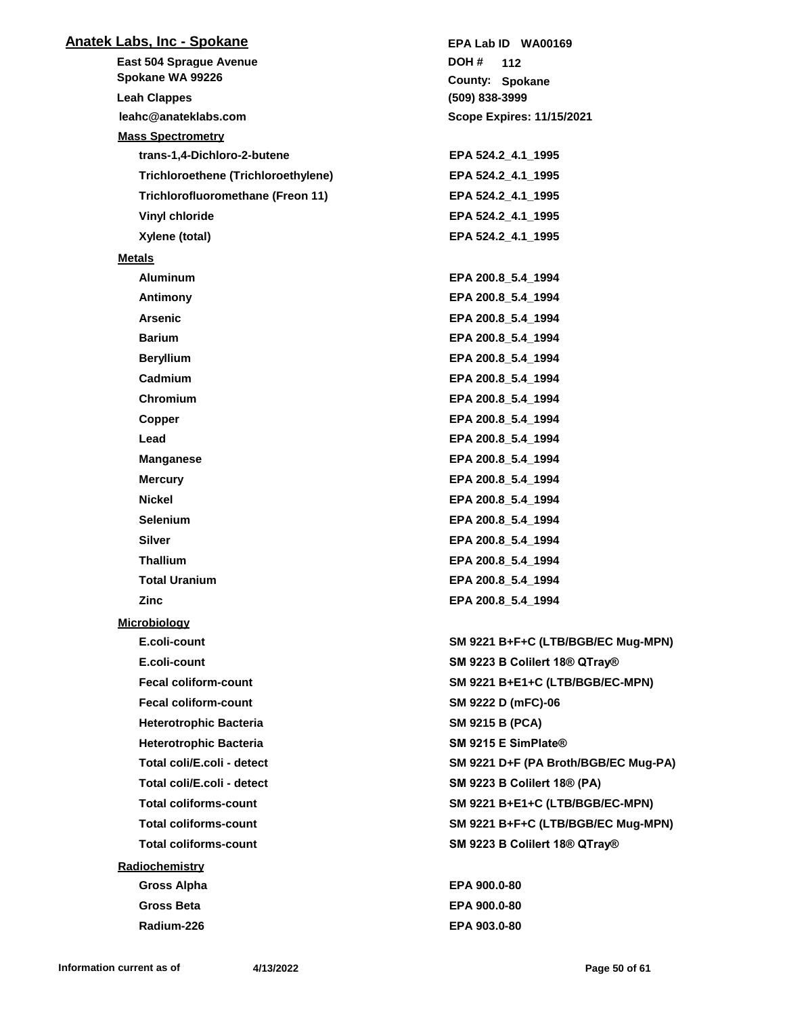| <b>Anatek Labs, Inc - Spokane</b>   | EPA Lab ID WA00169                                    |
|-------------------------------------|-------------------------------------------------------|
| East 504 Sprague Avenue             | DOH #<br>112                                          |
| Spokane WA 99226                    | County: Spokane                                       |
| <b>Leah Clappes</b>                 | (509) 838-3999                                        |
| leahc@anateklabs.com                | <b>Scope Expires: 11/15/2021</b>                      |
| <b>Mass Spectrometry</b>            |                                                       |
| trans-1,4-Dichloro-2-butene         | EPA 524.2 4.1 1995                                    |
| Trichloroethene (Trichloroethylene) | EPA 524.2_4.1_1995                                    |
| Trichlorofluoromethane (Freon 11)   | EPA 524.2 4.1 1995                                    |
| Vinyl chloride                      | EPA 524.2_4.1_1995                                    |
| Xylene (total)                      | EPA 524.2_4.1_1995                                    |
| <b>Metals</b>                       |                                                       |
| <b>Aluminum</b>                     | EPA 200.8 5.4 1994                                    |
| Antimony                            | EPA 200.8_5.4_1994                                    |
| <b>Arsenic</b>                      | EPA 200.8 5.4 1994                                    |
| <b>Barium</b>                       | EPA 200.8 5.4 1994                                    |
| <b>Beryllium</b>                    | EPA 200.8_5.4_1994                                    |
| Cadmium                             | EPA 200.8 5.4 1994                                    |
| Chromium                            | EPA 200.8_5.4_1994                                    |
| Copper                              | EPA 200.8_5.4_1994                                    |
| Lead                                | EPA 200.8 5.4 1994                                    |
| <b>Manganese</b>                    | EPA 200.8_5.4_1994                                    |
| <b>Mercury</b>                      | EPA 200.8_5.4_1994                                    |
| Nickel                              | EPA 200.8_5.4_1994                                    |
| <b>Selenium</b>                     | EPA 200.8 5.4 1994                                    |
| <b>Silver</b>                       | EPA 200.8_5.4_1994                                    |
| <b>Thallium</b>                     | EPA 200.8_5.4_1994                                    |
| <b>Total Uranium</b>                | EPA 200.8_5.4_1994                                    |
| Zinc                                | EPA 200.8_5.4_1994                                    |
| <b>Microbiology</b>                 |                                                       |
| E.coli-count                        | SM 9221 B+F+C (LTB/BGB/EC Mug-MPN)                    |
| E.coli-count                        | SM 9223 B Colilert 18® QTray®                         |
| <b>Fecal coliform-count</b>         | SM 9221 B+E1+C (LTB/BGB/EC-MPN)                       |
| <b>Fecal coliform-count</b>         | SM 9222 D (mFC)-06                                    |
| <b>Heterotrophic Bacteria</b>       | <b>SM 9215 B (PCA)</b>                                |
| <b>Heterotrophic Bacteria</b>       | SM 9215 E SimPlate®                                   |
| Total coli/E.coli - detect          | SM 9221 D+F (PA Broth/BGB/EC Mug-PA)                  |
| Total coli/E.coli - detect          | <b>SM 9223 B Colilert 18® (PA)</b>                    |
| <b>Total coliforms-count</b>        | SM 9221 B+E1+C (LTB/BGB/EC-MPN)                       |
| <b>Total coliforms-count</b>        | SM 9221 B+F+C (LTB/BGB/EC Mug-MPN)                    |
| <b>Total coliforms-count</b>        | SM 9223 B Colilert 18 <sup>®</sup> QTray <sup>®</sup> |
| Radiochemistry                      |                                                       |
| <b>Gross Alpha</b>                  | EPA 900.0-80                                          |
| <b>Gross Beta</b>                   | EPA 900.0-80                                          |

**Radium-226 EPA 903.0-80**

**Information current as of 4/13/2022 Page 50 of 61**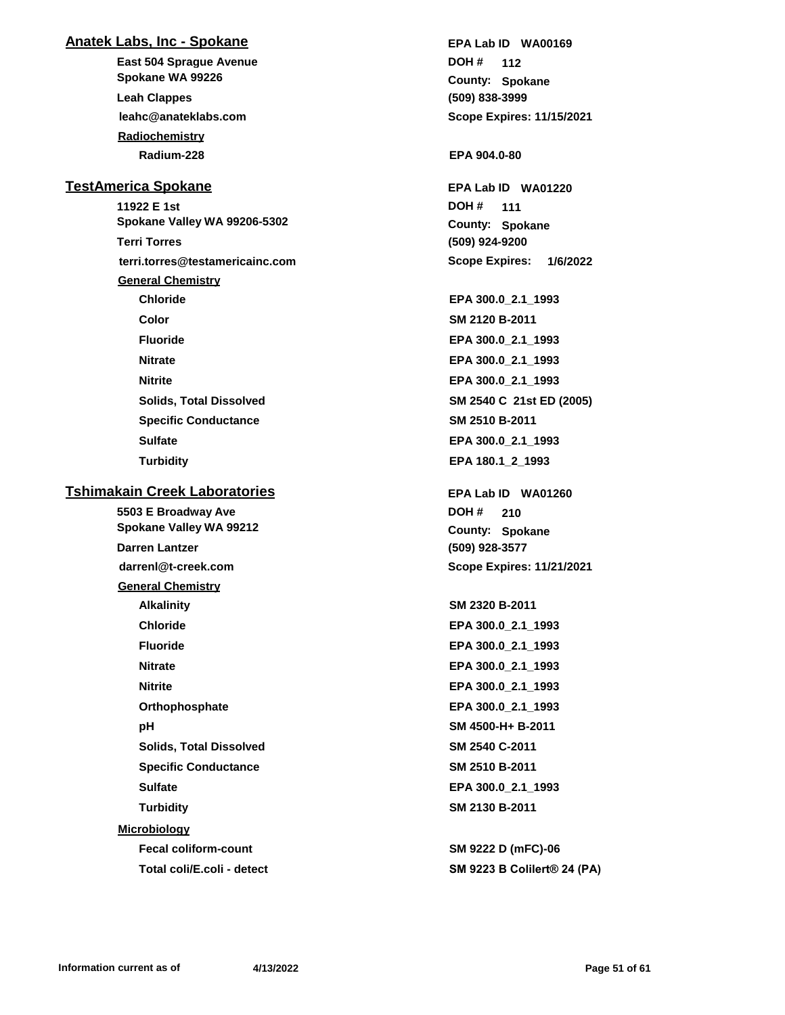## **Anatek Labs, Inc - Spokane**

**East 504 Sprague Avenue leahc@anateklabs.com Spokane WA 99226 Leah Clappes Radiochemistry Radium-228 EPA 904.0-80**

## **TestAmerica Spokane**

**11922 E 1st terri.torres@testamericainc.com Spokane Valley WA 99206-5302 Terri Torres General Chemistry Chloride EPA 300.0\_2.1\_1993 Color SM 2120 B-2011 Fluoride EPA 300.0\_2.1\_1993 Nitrate EPA 300.0\_2.1\_1993 Nitrite EPA 300.0\_2.1\_1993 Solids, Total Dissolved SM 2540 C 21st ED (2005) Specific Conductance SM 2510 B-2011 Sulfate EPA 300.0\_2.1\_1993**

#### **Tshimakain Creek Laboratories**

**5503 E Broadway Ave darrenl@t-creek.com Spokane Valley WA 99212 Darren Lantzer General Chemistry Alkalinity SM 2320 B-2011 Chloride EPA 300.0\_2.1\_1993 Fluoride EPA 300.0\_2.1\_1993 Nitrate EPA 300.0\_2.1\_1993 Nitrite EPA 300.0\_2.1\_1993 Orthophosphate EPA 300.0\_2.1\_1993 pH SM 4500-H+ B-2011 Solids, Total Dissolved SM 2540 C-2011 Specific Conductance SM 2510 B-2011 Sulfate EPA 300.0\_2.1\_1993 Turbidity SM 2130 B-2011 Microbiology**

**(509) 838-3999 Spokane County: 112 DOH # Scope Expires: 11/15/2021 EPA Lab ID WA00169**

**(509) 924-9200 Spokane County: 111 DOH # Scope Expires: 1/6/2022 EPA Lab ID WA01220**

**Turbidity EPA 180.1\_2\_1993**

**(509) 928-3577 Spokane County: 210 DOH # Scope Expires: 11/21/2021 EPA Lab ID WA01260**

**Fecal coliform-count SM 9222 D (mFC)-06 Total coli/E.coli - detect SM 9223 B Colilert® 24 (PA)**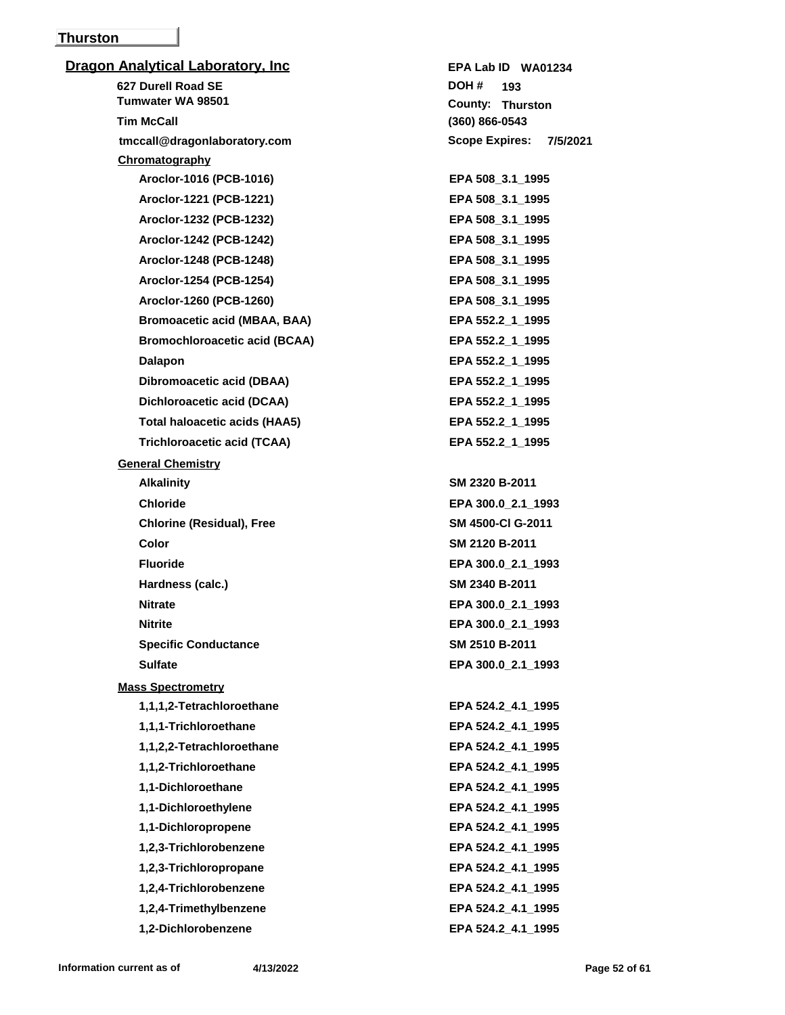## **Thurston**

| <b>Dragon Analytical Laboratory, Inc</b> | EPA Lab ID WA01234                |
|------------------------------------------|-----------------------------------|
| 627 Durell Road SE                       | DOH#<br>193                       |
| Tumwater WA 98501                        | County: Thurston                  |
| <b>Tim McCall</b>                        | $(360) 866 - 0543$                |
| tmccall@dragonlaboratory.com             | <b>Scope Expires:</b><br>7/5/2021 |
| Chromatography                           |                                   |
| Aroclor-1016 (PCB-1016)                  | EPA 508_3.1_1995                  |
| Aroclor-1221 (PCB-1221)                  | EPA 508 3.1 1995                  |
| Aroclor-1232 (PCB-1232)                  | EPA 508_3.1_1995                  |
| Aroclor-1242 (PCB-1242)                  | EPA 508 3.1 1995                  |
| Aroclor-1248 (PCB-1248)                  | EPA 508_3.1_1995                  |
| Aroclor-1254 (PCB-1254)                  | EPA 508_3.1_1995                  |
| Aroclor-1260 (PCB-1260)                  | EPA 508_3.1_1995                  |
| <b>Bromoacetic acid (MBAA, BAA)</b>      | EPA 552.2_1_1995                  |
| <b>Bromochloroacetic acid (BCAA)</b>     | EPA 552.2_1_1995                  |
| <b>Dalapon</b>                           | EPA 552.2 1 1995                  |
| Dibromoacetic acid (DBAA)                | EPA 552.2_1_1995                  |
| Dichloroacetic acid (DCAA)               | EPA 552.2_1_1995                  |
| <b>Total haloacetic acids (HAA5)</b>     | EPA 552.2_1_1995                  |
| <b>Trichloroacetic acid (TCAA)</b>       | EPA 552.2 1 1995                  |
| <b>General Chemistry</b>                 |                                   |
| <b>Alkalinity</b>                        | SM 2320 B-2011                    |
| <b>Chloride</b>                          | EPA 300.0_2.1_1993                |
| <b>Chlorine (Residual), Free</b>         | SM 4500-CI G-2011                 |
| <b>Color</b>                             | SM 2120 B-2011                    |
| <b>Fluoride</b>                          | EPA 300.0_2.1_1993                |
| Hardness (calc.)                         | SM 2340 B-2011                    |
| <b>Nitrate</b>                           | EPA 300.0 2.1 1993                |
| <b>Nitrite</b>                           | EPA 300.0_2.1_1993                |
| <b>Specific Conductance</b>              | SM 2510 B-2011                    |
| <b>Sulfate</b>                           | EPA 300.0_2.1_1993                |
| <b>Mass Spectrometry</b>                 |                                   |
| 1,1,1,2-Tetrachloroethane                | EPA 524.2 4.1 1995                |
| 1,1,1-Trichloroethane                    | EPA 524.2_4.1_1995                |
| 1,1,2,2-Tetrachloroethane                | EPA 524.2_4.1_1995                |
| 1,1,2-Trichloroethane                    | EPA 524.2_4.1_1995                |
| 1,1-Dichloroethane                       | EPA 524.2_4.1_1995                |
| 1,1-Dichloroethylene                     | EPA 524.2_4.1_1995                |
| 1,1-Dichloropropene                      | EPA 524.2_4.1_1995                |
| 1,2,3-Trichlorobenzene                   | EPA 524.2_4.1_1995                |
| 1,2,3-Trichloropropane                   | EPA 524.2_4.1_1995                |
| 1,2,4-Trichlorobenzene                   | EPA 524.2_4.1_1995                |
| 1,2,4-Trimethylbenzene                   | EPA 524.2_4.1_1995                |
| 1,2-Dichlorobenzene                      | EPA 524.2_4.1_1995                |
|                                          |                                   |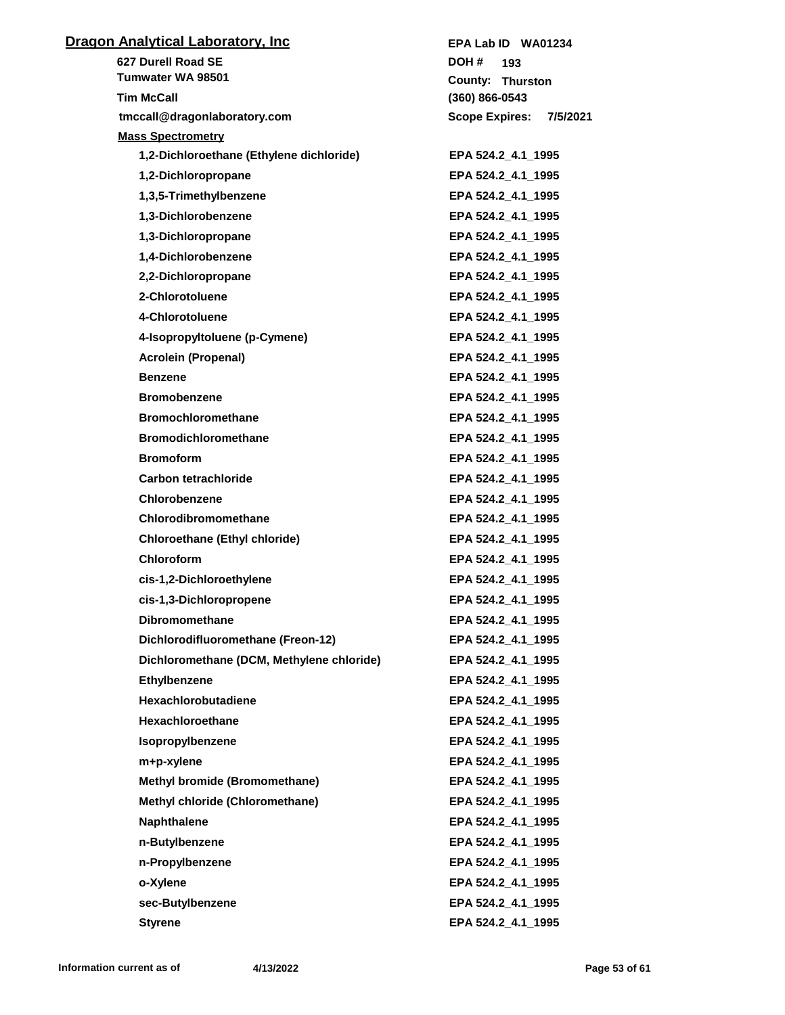| <b>Dragon Analytical Laboratory, Inc.</b> | EPA Lab ID WA01234                |
|-------------------------------------------|-----------------------------------|
| 627 Durell Road SE                        | DOH #<br>193                      |
| Tumwater WA 98501                         | County: Thurston                  |
| <b>Tim McCall</b>                         | $(360) 866 - 0543$                |
| tmccall@dragonlaboratory.com              | <b>Scope Expires:</b><br>7/5/2021 |
| <b>Mass Spectrometry</b>                  |                                   |
| 1,2-Dichloroethane (Ethylene dichloride)  | EPA 524.2_4.1_1995                |
| 1,2-Dichloropropane                       | EPA 524.2_4.1_1995                |
| 1,3,5-Trimethylbenzene                    | EPA 524.2 4.1 1995                |
| 1,3-Dichlorobenzene                       | EPA 524.2_4.1_1995                |
| 1,3-Dichloropropane                       | EPA 524.2 4.1 1995                |
| 1,4-Dichlorobenzene                       | EPA 524.2 4.1 1995                |
| 2,2-Dichloropropane                       | EPA 524.2_4.1_1995                |
| 2-Chlorotoluene                           | EPA 524.2 4.1 1995                |
| 4-Chlorotoluene                           | EPA 524.2 4.1 1995                |
| 4-Isopropyltoluene (p-Cymene)             | EPA 524.2_4.1_1995                |
| <b>Acrolein (Propenal)</b>                | EPA 524.2 4.1 1995                |
| <b>Benzene</b>                            | EPA 524.2 4.1 1995                |
| <b>Bromobenzene</b>                       | EPA 524.2_4.1_1995                |
| <b>Bromochloromethane</b>                 | EPA 524.2_4.1_1995                |
| <b>Bromodichloromethane</b>               | EPA 524.2_4.1_1995                |
| <b>Bromoform</b>                          | EPA 524.2_4.1_1995                |
| Carbon tetrachloride                      | EPA 524.2_4.1_1995                |
| Chlorobenzene                             | EPA 524.2_4.1_1995                |
| Chlorodibromomethane                      | EPA 524.2_4.1_1995                |
| Chloroethane (Ethyl chloride)             | EPA 524.2_4.1_1995                |
| <b>Chloroform</b>                         | EPA 524.2_4.1_1995                |
| cis-1,2-Dichloroethylene                  | EPA 524.2_4.1_1995                |
| cis-1,3-Dichloropropene                   | EPA 524.2_4.1_1995                |
| <b>Dibromomethane</b>                     | EPA 524.2_4.1_1995                |
| Dichlorodifluoromethane (Freon-12)        | EPA 524.2_4.1_1995                |
| Dichloromethane (DCM, Methylene chloride) | EPA 524.2_4.1_1995                |
| Ethylbenzene                              | EPA 524.2 4.1 1995                |
| <b>Hexachlorobutadiene</b>                | EPA 524.2 4.1 1995                |
| <b>Hexachloroethane</b>                   | EPA 524.2 4.1 1995                |
| Isopropylbenzene                          | EPA 524.2_4.1_1995                |
| m+p-xylene                                | EPA 524.2_4.1_1995                |
| Methyl bromide (Bromomethane)             | EPA 524.2_4.1_1995                |
| Methyl chloride (Chloromethane)           | EPA 524.2_4.1_1995                |
| <b>Naphthalene</b>                        | EPA 524.2 4.1 1995                |
| n-Butylbenzene                            | EPA 524.2_4.1_1995                |
| n-Propylbenzene                           | EPA 524.2_4.1_1995                |
| o-Xylene                                  | EPA 524.2_4.1_1995                |
|                                           | EPA 524.2 4.1 1995                |
| sec-Butylbenzene                          | EPA 524.2 4.1 1995                |
| <b>Styrene</b>                            |                                   |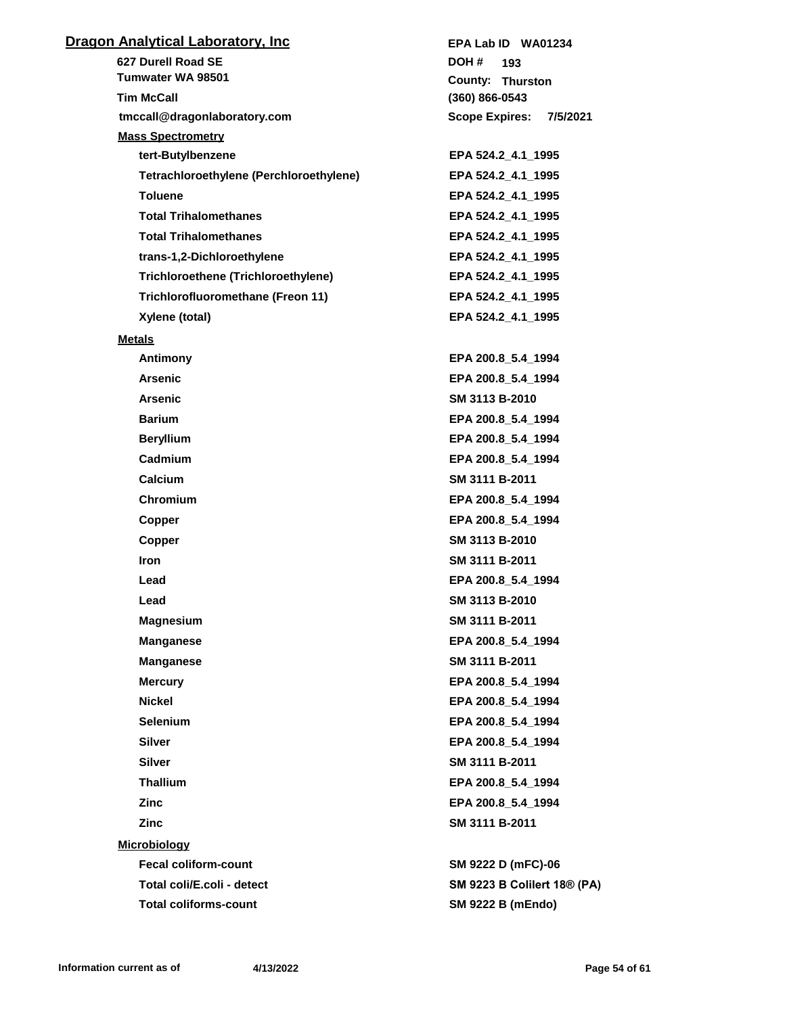| <u> Dragon Analytical Laboratory, Inc</u>  | EPA Lab ID WA01234                 |
|--------------------------------------------|------------------------------------|
| 627 Durell Road SE                         | DOH#<br>193                        |
| Tumwater WA 98501                          | <b>County: Thurston</b>            |
| <b>Tim McCall</b>                          | $(360) 866 - 0543$                 |
| tmccall@dragonlaboratory.com               | <b>Scope Expires:</b><br>7/5/2021  |
| <b>Mass Spectrometry</b>                   |                                    |
| tert-Butylbenzene                          | EPA 524.2 4.1 1995                 |
| Tetrachloroethylene (Perchloroethylene)    | EPA 524.2_4.1_1995                 |
| <b>Toluene</b>                             | EPA 524.2_4.1_1995                 |
| <b>Total Trihalomethanes</b>               | EPA 524.2_4.1_1995                 |
| <b>Total Trihalomethanes</b>               | EPA 524.2_4.1_1995                 |
| trans-1,2-Dichloroethylene                 | EPA 524.2_4.1_1995                 |
| <b>Trichloroethene (Trichloroethylene)</b> | EPA 524.2_4.1_1995                 |
| Trichlorofluoromethane (Freon 11)          | EPA 524.2 4.1 1995                 |
| Xylene (total)                             | EPA 524.2 4.1 1995                 |
| <b>Metals</b>                              |                                    |
| Antimony                                   | EPA 200.8_5.4_1994                 |
| <b>Arsenic</b>                             | EPA 200.8_5.4_1994                 |
| <b>Arsenic</b>                             | SM 3113 B-2010                     |
| <b>Barium</b>                              | EPA 200.8_5.4_1994                 |
| <b>Beryllium</b>                           | EPA 200.8_5.4_1994                 |
| Cadmium                                    | EPA 200.8_5.4_1994                 |
| Calcium                                    | SM 3111 B-2011                     |
| Chromium                                   | EPA 200.8_5.4_1994                 |
| Copper                                     | EPA 200.8_5.4_1994                 |
| Copper                                     | SM 3113 B-2010                     |
| <b>Iron</b>                                | SM 3111 B-2011                     |
| Lead                                       | EPA 200.8 5.4 1994                 |
| Lead                                       | SM 3113 B-2010                     |
| <b>Magnesium</b>                           | SM 3111 B-2011                     |
| <b>Manganese</b>                           | EPA 200.8_5.4_1994                 |
| <b>Manganese</b>                           | SM 3111 B-2011                     |
| <b>Mercury</b>                             | EPA 200.8 5.4 1994                 |
| <b>Nickel</b>                              | EPA 200.8_5.4_1994                 |
| <b>Selenium</b>                            | EPA 200.8 5.4 1994                 |
| <b>Silver</b>                              | EPA 200.8 5.4 1994                 |
| <b>Silver</b>                              | SM 3111 B-2011                     |
| <b>Thallium</b>                            | EPA 200.8_5.4_1994                 |
| <b>Zinc</b>                                | EPA 200.8 5.4 1994                 |
| Zinc                                       | SM 3111 B-2011                     |
| <b>Microbiology</b>                        |                                    |
| <b>Fecal coliform-count</b>                | SM 9222 D (mFC)-06                 |
| Total coli/E.coli - detect                 | <b>SM 9223 B Colilert 18® (PA)</b> |
|                                            |                                    |
| <b>Total coliforms-count</b>               | <b>SM 9222 B (mEndo)</b>           |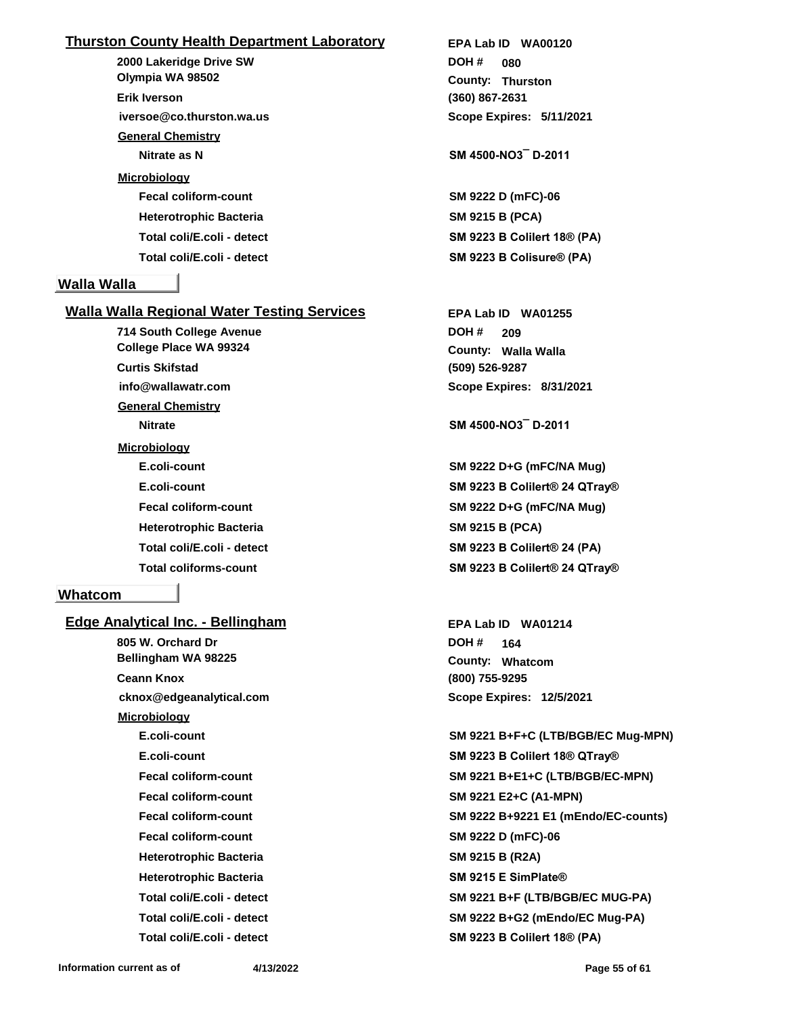## **Thurston County Health Department Laboratory**

**2000 Lakeridge Drive SW iversoe@co.thurston.wa.us Olympia WA 98502 Erik Iverson General Chemistry Nitrate as N SM 4500-NO3¯ D-2011 Microbiology Fecal coliform-count SM 9222 D (mFC)-06 Heterotrophic Bacteria SM 9215 B (PCA)**

## **Walla Walla**

## **Walla Walla Regional Water Testing Services**

**714 South College Avenue info@wallawatr.com College Place WA 99324 Curtis Skifstad General Chemistry Nitrate SM 4500-NO3¯ D-2011 Microbiology Heterotrophic Bacteria SM 9215 B (PCA)**

## **Whatcom**

**Edge Analytical Inc. - Bellingham 805 W. Orchard Dr cknox@edgeanalytical.com Bellingham WA 98225 Ceann Knox Microbiology Fecal coliform-count SM 9221 E2+C (A1-MPN) Fecal coliform-count SM 9222 D (mFC)-06 Heterotrophic Bacteria SM 9215 B (R2A) Heterotrophic Bacteria SM 9215 E SimPlate®**

**(360) 867-2631 Thurston County: 080 DOH # Scope Expires: 5/11/2021 EPA Lab ID WA00120**

**Total coli/E.coli - detect SM 9223 B Colilert 18® (PA) Total coli/E.coli - detect SM 9223 B Colisure® (PA)**

> **(509) 526-9287 Walla Walla County: 209 DOH # Scope Expires: 8/31/2021 EPA Lab ID WA01255**

**E.coli-count SM 9222 D+G (mFC/NA Mug) E.coli-count SM 9223 B Colilert® 24 QTray® Fecal coliform-count SM 9222 D+G (mFC/NA Mug) Total coli/E.coli - detect SM 9223 B Colilert® 24 (PA) Total coliforms-count SM 9223 B Colilert® 24 QTray®**

> **(800) 755-9295 Whatcom County: 164 DOH # Scope Expires: 12/5/2021 EPA Lab ID WA01214**

**E.coli-count SM 9221 B+F+C (LTB/BGB/EC Mug-MPN) E.coli-count SM 9223 B Colilert 18® QTray® Fecal coliform-count SM 9221 B+E1+C (LTB/BGB/EC-MPN) Fecal coliform-count SM 9222 B+9221 E1 (mEndo/EC-counts) Total coli/E.coli - detect SM 9221 B+F (LTB/BGB/EC MUG-PA) Total coli/E.coli - detect SM 9222 B+G2 (mEndo/EC Mug-PA) Total coli/E.coli - detect SM 9223 B Colilert 18® (PA)**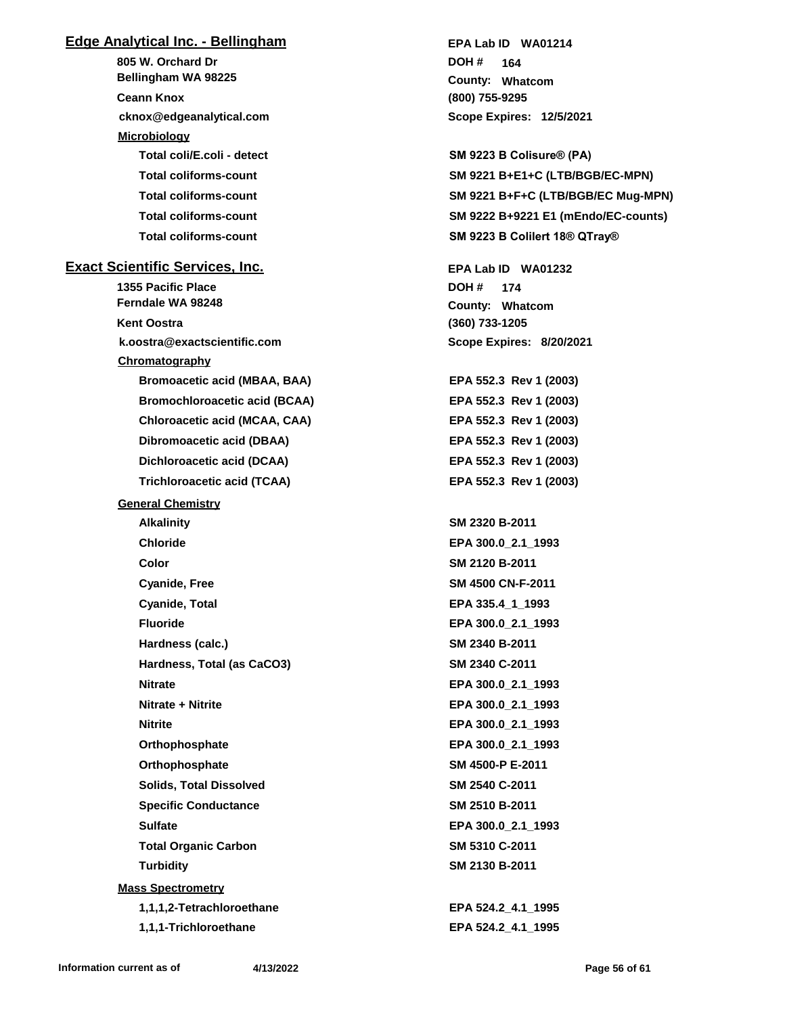## **Edge Analytical Inc. - Bellingham**

**805 W. Orchard Dr cknox@edgeanalytical.com Bellingham WA 98225 Ceann Knox Microbiology Total coli/E.coli - detect SM 9223 B Colisure® (PA) Total coliforms-count SM 9221 B+E1+C (LTB/BGB/EC-MPN) Total coliforms-count SM 9222 B+9221 E1 (mEndo/EC-counts) Total coliforms-count SM 9223 B Colilert 18® QTray® Exact Scientific Services, Inc. 1355 Pacific Place k.oostra@exactscientific.com Ferndale WA 98248 Kent Oostra Chromatography Bromoacetic acid (MBAA, BAA) EPA 552.3 Rev 1 (2003) Bromochloroacetic acid (BCAA) EPA 552.3 Rev 1 (2003) Chloroacetic acid (MCAA, CAA) EPA 552.3 Rev 1 (2003) Dibromoacetic acid (DBAA) EPA 552.3 Rev 1 (2003) Dichloroacetic acid (DCAA) EPA 552.3 Rev 1 (2003) Trichloroacetic acid (TCAA) EPA 552.3 Rev 1 (2003) General Chemistry Alkalinity SM 2320 B-2011 Chloride EPA 300.0\_2.1\_1993 Color SM 2120 B-2011 Cyanide, Free SM 4500 CN-F-2011 Cyanide, Total EPA 335.4\_1\_1993 Fluoride EPA 300.0\_2.1\_1993 Hardness (calc.) SM 2340 B-2011 Hardness, Total (as CaCO3) SM 2340 C-2011 Nitrate EPA 300.0\_2.1\_1993 Nitrate + Nitrite EPA 300.0\_2.1\_1993 Nitrite EPA 300.0\_2.1\_1993 Orthophosphate EPA 300.0\_2.1\_1993 Orthophosphate SM 4500-P E-2011 Solids, Total Dissolved SM 2540 C-2011 Specific Conductance SM 2510 B-2011 Sulfate EPA 300.0\_2.1\_1993 Total Organic Carbon SM 5310 C-2011 Turbidity SM 2130 B-2011 Mass Spectrometry 1,1,1,2-Tetrachloroethane EPA 524.2\_4.1\_1995 1,1,1-Trichloroethane EPA 524.2\_4.1\_1995**

**(800) 755-9295 Whatcom County: 164 DOH # Scope Expires: 12/5/2021 EPA Lab ID WA01214**

**Total coliforms-count SM 9221 B+F+C (LTB/BGB/EC Mug-MPN)**

**(360) 733-1205 Whatcom County: 174 DOH # Scope Expires: 8/20/2021 EPA Lab ID WA01232**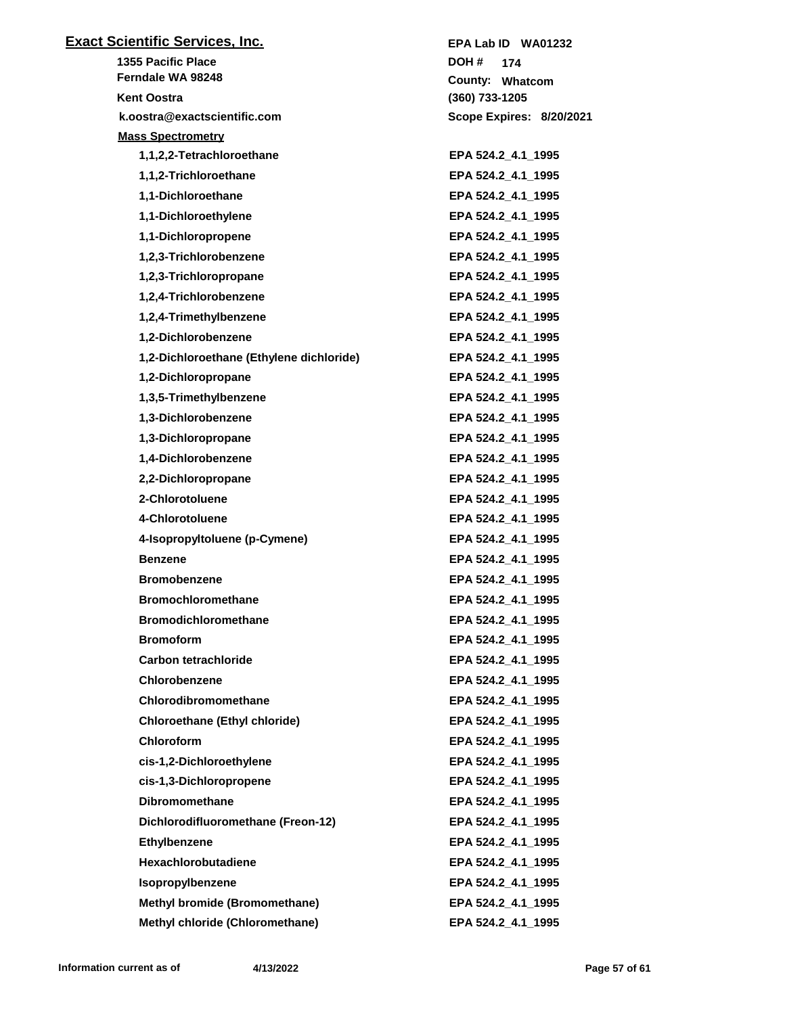| <b>Exact Scientific Services, Inc.</b>   | EPA Lab ID WA01232       |
|------------------------------------------|--------------------------|
| <b>1355 Pacific Place</b>                | DOH #<br>174             |
| Ferndale WA 98248                        | County: Whatcom          |
| <b>Kent Oostra</b>                       | (360) 733-1205           |
| k.oostra@exactscientific.com             | Scope Expires: 8/20/2021 |
| <b>Mass Spectrometry</b>                 |                          |
| 1,1,2,2-Tetrachloroethane                | EPA 524.2_4.1_1995       |
| 1,1,2-Trichloroethane                    | EPA 524.2 4.1 1995       |
| 1,1-Dichloroethane                       | EPA 524.2_4.1_1995       |
| 1,1-Dichloroethylene                     | EPA 524.2_4.1_1995       |
| 1,1-Dichloropropene                      | EPA 524.2_4.1_1995       |
| 1,2,3-Trichlorobenzene                   | EPA 524.2_4.1_1995       |
| 1,2,3-Trichloropropane                   | EPA 524.2_4.1_1995       |
| 1,2,4-Trichlorobenzene                   | EPA 524.2_4.1_1995       |
| 1,2,4-Trimethylbenzene                   | EPA 524.2_4.1_1995       |
| 1,2-Dichlorobenzene                      | EPA 524.2_4.1_1995       |
| 1,2-Dichloroethane (Ethylene dichloride) | EPA 524.2_4.1_1995       |
| 1,2-Dichloropropane                      | EPA 524.2_4.1_1995       |
| 1,3,5-Trimethylbenzene                   | EPA 524.2_4.1_1995       |
| 1,3-Dichlorobenzene                      | EPA 524.2_4.1_1995       |
| 1,3-Dichloropropane                      | EPA 524.2_4.1_1995       |
| 1,4-Dichlorobenzene                      | EPA 524.2_4.1_1995       |
| 2,2-Dichloropropane                      | EPA 524.2_4.1_1995       |
| 2-Chlorotoluene                          | EPA 524.2_4.1_1995       |
| 4-Chlorotoluene                          | EPA 524.2_4.1_1995       |
| 4-Isopropyltoluene (p-Cymene)            | EPA 524.2 4.1 1995       |
| <b>Benzene</b>                           | EPA 524.2_4.1_1995       |
| <b>Bromobenzene</b>                      | EPA 524.2_4.1_1995       |
| <b>Bromochloromethane</b>                | EPA 524.2_4.1_1995       |
| <b>Bromodichloromethane</b>              | EPA 524.2 4.1 1995       |
| <b>Bromoform</b>                         | EPA 524.2_4.1_1995       |
| <b>Carbon tetrachloride</b>              | EPA 524.2 4.1 1995       |
| <b>Chlorobenzene</b>                     | EPA 524.2 4.1 1995       |
| Chlorodibromomethane                     | EPA 524.2 4.1 1995       |
| <b>Chloroethane (Ethyl chloride)</b>     | EPA 524.2_4.1_1995       |
| Chloroform                               | EPA 524.2_4.1_1995       |
| cis-1,2-Dichloroethylene                 | EPA 524.2 4.1 1995       |
| cis-1,3-Dichloropropene                  | EPA 524.2_4.1_1995       |
| <b>Dibromomethane</b>                    | EPA 524.2_4.1_1995       |
| Dichlorodifluoromethane (Freon-12)       | EPA 524.2 4.1 1995       |
| <b>Ethylbenzene</b>                      | EPA 524.2_4.1_1995       |
| Hexachlorobutadiene                      | EPA 524.2_4.1_1995       |
| Isopropylbenzene                         | EPA 524.2_4.1_1995       |
| <b>Methyl bromide (Bromomethane)</b>     | EPA 524.2 4.1 1995       |
| Methyl chloride (Chloromethane)          | EPA 524.2_4.1_1995       |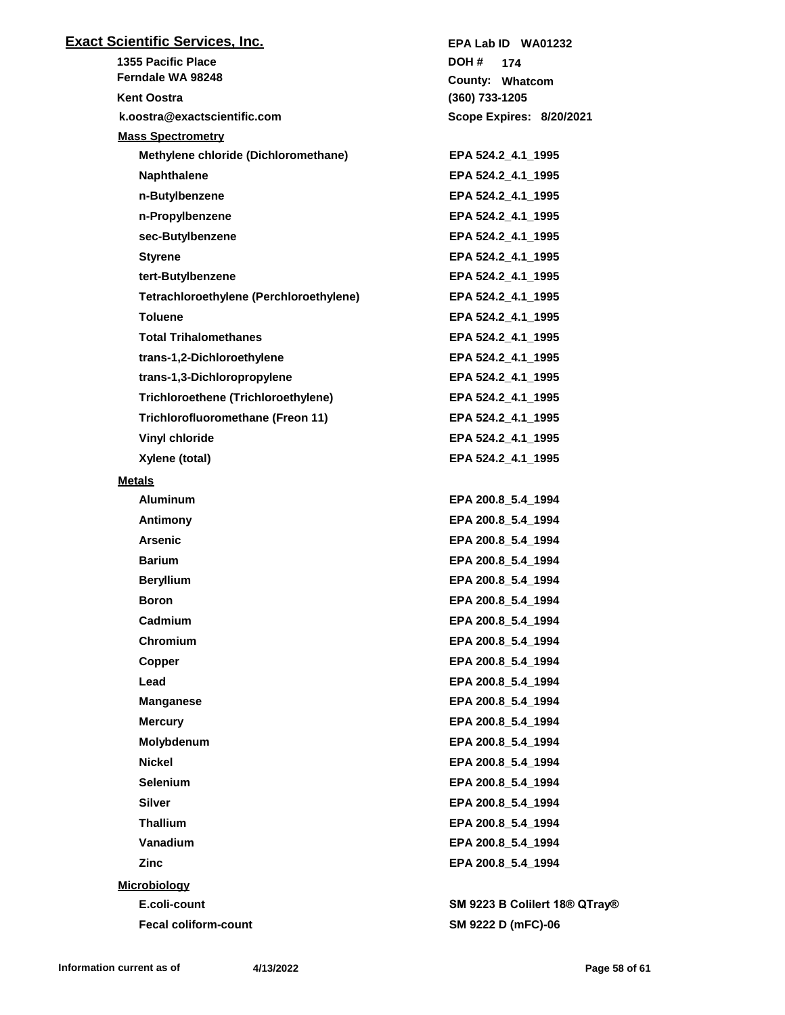| <b>Exact Scientific Services, Inc.</b>  | EPA Lab ID WA01232            |
|-----------------------------------------|-------------------------------|
| <b>1355 Pacific Place</b>               | DOH #<br>174                  |
| Ferndale WA 98248                       | County: Whatcom               |
| <b>Kent Oostra</b>                      | (360) 733-1205                |
| k.oostra@exactscientific.com            | Scope Expires: 8/20/2021      |
| <b>Mass Spectrometry</b>                |                               |
| Methylene chloride (Dichloromethane)    | EPA 524.2_4.1_1995            |
| <b>Naphthalene</b>                      | EPA 524.2_4.1_1995            |
| n-Butylbenzene                          | EPA 524.2_4.1_1995            |
| n-Propylbenzene                         | EPA 524.2 4.1 1995            |
| sec-Butylbenzene                        | EPA 524.2_4.1_1995            |
| <b>Styrene</b>                          | EPA 524.2_4.1_1995            |
| tert-Butylbenzene                       | EPA 524.2_4.1_1995            |
| Tetrachloroethylene (Perchloroethylene) | EPA 524.2_4.1_1995            |
| <b>Toluene</b>                          | EPA 524.2 4.1 1995            |
| <b>Total Trihalomethanes</b>            | EPA 524.2_4.1_1995            |
| trans-1,2-Dichloroethylene              | EPA 524.2 4.1 1995            |
| trans-1,3-Dichloropropylene             | EPA 524.2_4.1_1995            |
| Trichloroethene (Trichloroethylene)     | EPA 524.2 4.1 1995            |
| Trichlorofluoromethane (Freon 11)       | EPA 524.2_4.1_1995            |
| <b>Vinyl chloride</b>                   | EPA 524.2_4.1_1995            |
| Xylene (total)                          | EPA 524.2_4.1_1995            |
| <b>Metals</b>                           |                               |
| <b>Aluminum</b>                         | EPA 200.8_5.4_1994            |
| Antimony                                | EPA 200.8_5.4_1994            |
| <b>Arsenic</b>                          | EPA 200.8 5.4 1994            |
| <b>Barium</b>                           | EPA 200.8_5.4_1994            |
| <b>Beryllium</b>                        | EPA 200.8 5.4 1994            |
| Boron                                   | EPA 200.8_5.4_1994            |
| Cadmium                                 | EPA 200.8 5.4 1994            |
| <b>Chromium</b>                         | EPA 200.8_5.4_1994            |
| Copper                                  | EPA 200.8 5.4 1994            |
| Lead                                    | EPA 200.8_5.4_1994            |
| <b>Manganese</b>                        | EPA 200.8_5.4_1994            |
| <b>Mercury</b>                          | EPA 200.8 5.4 1994            |
| Molybdenum                              | EPA 200.8_5.4_1994            |
| <b>Nickel</b>                           | EPA 200.8_5.4_1994            |
| <b>Selenium</b>                         | EPA 200.8_5.4_1994            |
| <b>Silver</b>                           | EPA 200.8_5.4_1994            |
| <b>Thallium</b>                         | EPA 200.8 5.4 1994            |
| Vanadium                                | EPA 200.8_5.4_1994            |
| Zinc                                    | EPA 200.8_5.4_1994            |
| <b>Microbiology</b>                     |                               |
| E.coli-count                            | SM 9223 B Colilert 18® QTray® |
| <b>Fecal coliform-count</b>             | SM 9222 D (mFC)-06            |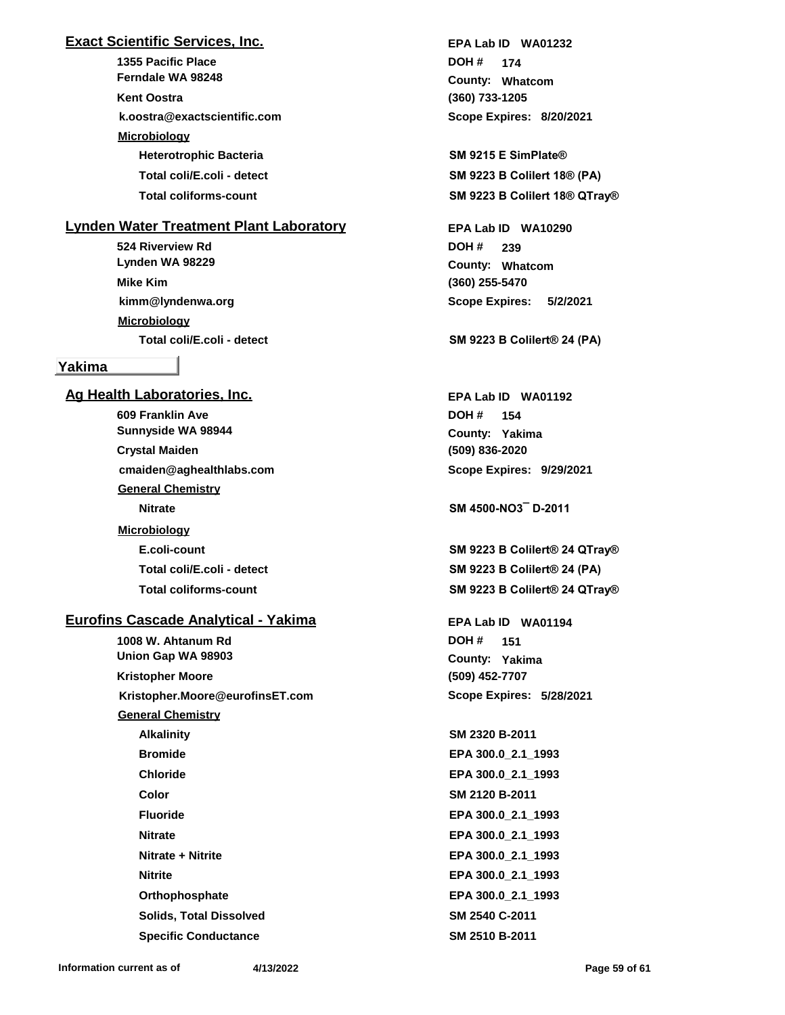## **Exact Scientific Services, Inc.**

**1355 Pacific Place k.oostra@exactscientific.com Ferndale WA 98248 Kent Oostra Microbiology Heterotrophic Bacteria SM 9215 E SimPlate®**

## **Lynden Water Treatment Plant Laboratory**

**524 Riverview Rd kimm@lyndenwa.org Lynden WA 98229 Mike Kim Microbiology**

## **Yakima**

**Ag Health Laboratories, Inc. 609 Franklin Ave cmaiden@aghealthlabs.com Sunnyside WA 98944 Crystal Maiden General Chemistry Nitrate SM 4500-NO3¯ D-2011 Microbiology**

## **Eurofins Cascade Analytical - Yakima**

**1008 W. Ahtanum Rd Kristopher.Moore@eurofinsET.com Union Gap WA 98903 Kristopher Moore General Chemistry Alkalinity SM 2320 B-2011 Bromide EPA 300.0\_2.1\_1993 Chloride EPA 300.0\_2.1\_1993 Color SM 2120 B-2011 Fluoride EPA 300.0\_2.1\_1993 Nitrate EPA 300.0\_2.1\_1993 Nitrate + Nitrite EPA 300.0\_2.1\_1993 Nitrite EPA 300.0\_2.1\_1993 Orthophosphate EPA 300.0\_2.1\_1993 Solids, Total Dissolved SM 2540 C-2011**

**(360) 733-1205 Whatcom County: 174 DOH # Scope Expires: 8/20/2021 EPA Lab ID WA01232**

**Total coli/E.coli - detect SM 9223 B Colilert 18® (PA) Total coliforms-count SM 9223 B Colilert 18® QTray®**

> **(360) 255-5470 Whatcom County: 239 DOH # Scope Expires: 5/2/2021 EPA Lab ID WA10290**

**Total coli/E.coli - detect SM 9223 B Colilert® 24 (PA)**

**(509) 836-2020 Yakima County: 154 DOH # Scope Expires: 9/29/2021 EPA Lab ID WA01192**

**E.coli-count SM 9223 B Colilert® 24 QTray® Total coli/E.coli - detect SM 9223 B Colilert® 24 (PA) Total coliforms-count SM 9223 B Colilert® 24 QTray®**

> **(509) 452-7707 Yakima County: 151 DOH # Scope Expires: 5/28/2021 EPA Lab ID WA01194**

**Specific Conductance SM 2510 B-2011**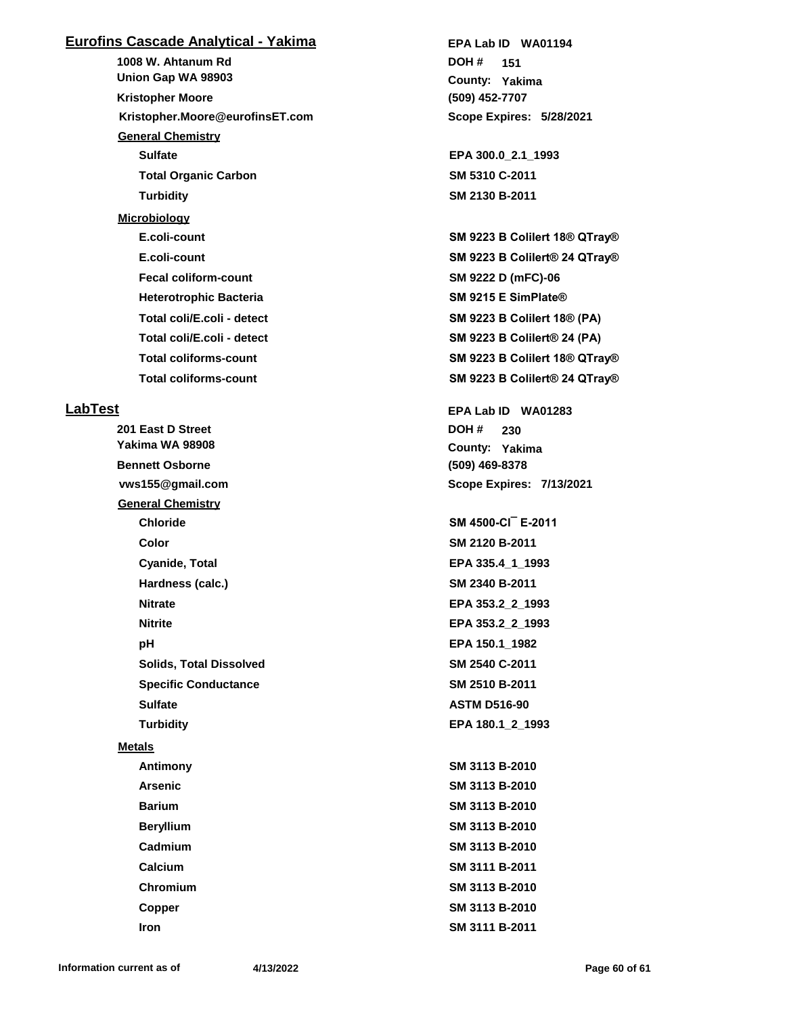## **Eurofins Cascade Analytical - Yakima**

**1008 W. Ahtanum Rd Kristopher.Moore@eurofinsET.com Union Gap WA 98903 Kristopher Moore General Chemistry Sulfate EPA 300.0\_2.1\_1993 Total Organic Carbon SM 5310 C-2011 Turbidity SM 2130 B-2011 Microbiology Fecal coliform-count SM 9222 D (mFC)-06 Heterotrophic Bacteria SM 9215 E SimPlate® Total coli/E.coli - detect SM 9223 B Colilert 18® (PA) Total coli/E.coli - detect SM 9223 B Colilert® 24 (PA)**

#### **LabTest**

**201 East D Street vws155@gmail.com Yakima WA 98908 Bennett Osborne DOH # General Chemistry Chloride SM 4500-Cl¯ E-2011 Color SM 2120 B-2011 Cyanide, Total EPA 335.4\_1\_1993 Hardness (calc.) SM 2340 B-2011 Nitrate EPA 353.2\_2\_1993 Nitrite EPA 353.2\_2\_1993 pH EPA 150.1\_1982 Solids, Total Dissolved SM 2540 C-2011 Specific Conductance SM 2510 B-2011 Sulfate ASTM D516-90 Turbidity EPA 180.1\_2\_1993 Metals Antimony SM 3113 B-2010 Arsenic SM 3113 B-2010 Barium SM 3113 B-2010 Beryllium SM 3113 B-2010 Cadmium SM 3113 B-2010 Calcium SM 3111 B-2011 Chromium SM 3113 B-2010 Copper SM 3113 B-2010 Iron SM 3111 B-2011**

**(509) 452-7707 Yakima County: 151 DOH # Scope Expires: 5/28/2021 EPA Lab ID WA01194**

**E.coli-count SM 9223 B Colilert 18® QTray® E.coli-count SM 9223 B Colilert® 24 QTray® Total coliforms-count SM 9223 B Colilert 18® QTray® Total coliforms-count SM 9223 B Colilert® 24 QTray®**

> **(509) 469-8378 Yakima County: 230 Scope Expires: 7/13/2021 EPA Lab ID WA01283**